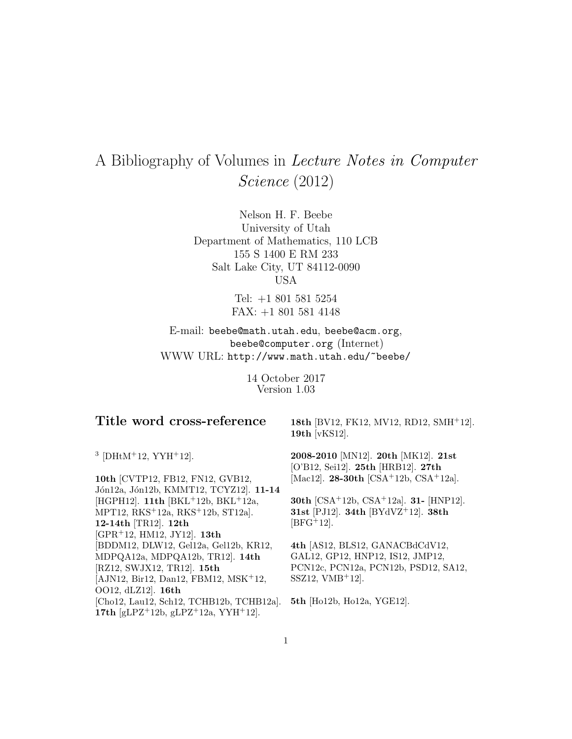# A Bibliography of Volumes in Lecture Notes in Computer Science (2012)

Nelson H. F. Beebe University of Utah Department of Mathematics, 110 LCB 155 S 1400 E RM 233 Salt Lake City, UT 84112-0090 USA

> Tel: +1 801 581 5254 FAX: +1 801 581 4148

E-mail: beebe@math.utah.edu, beebe@acm.org, beebe@computer.org (Internet) WWW URL: http://www.math.utah.edu/~beebe/

> 14 October 2017 Version 1.03

## **Title word cross-reference**

**18th** [BV12, FK12, MV12, RD12, SMH<sup>+</sup>12]. **19th** [vKS12].

 $3$  [DHtM<sup>+</sup>12, YYH<sup>+</sup>12].

**10th** [CVTP12, FB12, FN12, GVB12, Jón12a, Jón12b, KMMT12, TCYZ12]. 11-14 [HGPH12]. **11th** [BKL<sup>+</sup>12b, BKL<sup>+</sup>12a, MPT12, RKS<sup>+</sup>12a, RKS<sup>+</sup>12b, ST12a]. **12-14th** [TR12]. **12th** [GPR<sup>+</sup>12, HM12, JY12]. **13th** [BDDM12, DLW12, Gel12a, Gel12b, KR12, MDPQA12a, MDPQA12b, TR12]. **14th** [RZ12, SWJX12, TR12]. **15th** [AJN12, Bir12, Dan12, FBM12, MSK<sup>+</sup>12, OO12, dLZ12]. **16th** [Cho12, Lau12, Sch12, TCHB12b, TCHB12a]. **17th** [gLPZ<sup>+</sup>12b, gLPZ<sup>+</sup>12a, YYH<sup>+</sup>12].

**2008-2010** [MN12]. **20th** [MK12]. **21st** [O'B12, Sei12]. **25th** [HRB12]. **27th** [Mac12]. **28-30th** [CSA<sup>+</sup>12b, CSA<sup>+</sup>12a].

**30th** [CSA<sup>+</sup>12b, CSA<sup>+</sup>12a]. **31-** [HNP12]. **31st** [PJ12]. **34th** [BYdVZ<sup>+</sup>12]. **38th**  $[BFG+12]$ .

**4th** [AS12, BLS12, GANACBdCdV12, GAL12, GP12, HNP12, IS12, JMP12, PCN12c, PCN12a, PCN12b, PSD12, SA12,  $SSZ12$ ,  $VMB+12$ .

**5th** [Ho12b, Ho12a, YGE12].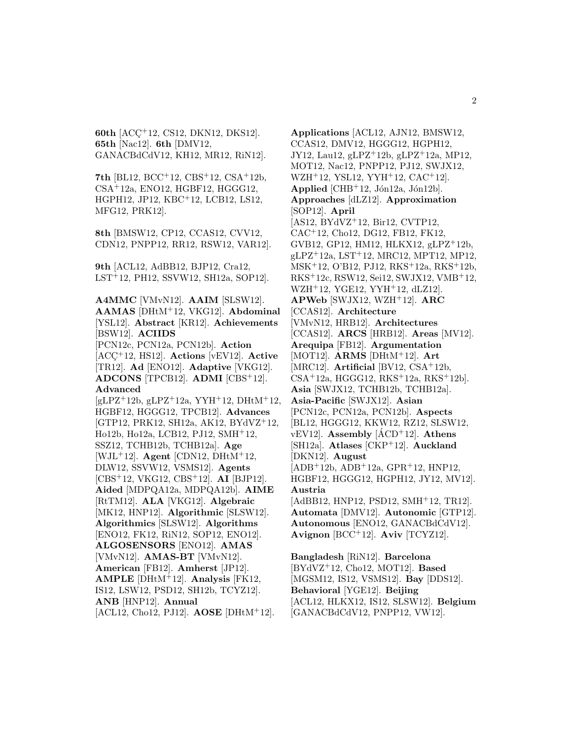**60th** [ACC<sup>+</sup>12, CS12, DKN12, DKS12]. **65th** [Nac12]. **6th** [DMV12, GANACBdCdV12, KH12, MR12, RiN12].

**7th** [BL12, BCC<sup>+</sup>12, CBS<sup>+</sup>12, CSA<sup>+</sup>12b, CSA<sup>+</sup>12a, ENO12, HGBF12, HGGG12, HGPH12, JP12, KBC<sup>+</sup>12, LCB12, LS12, MFG12, PRK12].

**8th** [BMSW12, CP12, CCAS12, CVV12, CDN12, PNPP12, RR12, RSW12, VAR12].

**9th** [ACL12, AdBB12, BJP12, Cra12, LST<sup>+</sup>12, PH12, SSVW12, SH12a, SOP12].

**A4MMC** [VMvN12]. **AAIM** [SLSW12]. **AAMAS** [DHtM<sup>+</sup>12, VKG12]. **Abdominal** [YSL12]. **Abstract** [KR12]. **Achievements** [BSW12]. **ACIIDS** [PCN12c, PCN12a, PCN12b]. **Action** [ACC¸ <sup>+</sup>12, HS12]. **Actions** [vEV12]. **Active** [TR12]. **Ad** [ENO12]. **Adaptive** [VKG12]. **ADCONS** [TPCB12]. **ADMI** [CBS<sup>+</sup>12]. **Advanced**  $[gLPZ^+12b, gLPZ^+12a, YYH^+12, DHtM^+12,$ HGBF12, HGGG12, TPCB12]. **Advances** [GTP12, PRK12, SH12a, AK12, BYdVZ<sup>+</sup>12, Ho12b, Ho12a, LCB12, PJ12, SMH<sup>+</sup>12, SSZ12, TCHB12b, TCHB12a]. **Age** [WJL<sup>+</sup>12]. **Agent** [CDN12, DHtM<sup>+</sup>12, DLW12, SSVW12, VSMS12]. **Agents** [CBS<sup>+</sup>12, VKG12, CBS<sup>+</sup>12]. **AI** [BJP12]. **Aided** [MDPQA12a, MDPQA12b]. **AIME** [RtTM12]. **ALA** [VKG12]. **Algebraic** [MK12, HNP12]. **Algorithmic** [SLSW12]. **Algorithmics** [SLSW12]. **Algorithms** [ENO12, FK12, RiN12, SOP12, ENO12]. **ALGOSENSORS** [ENO12]. **AMAS** [VMvN12]. **AMAS-BT** [VMvN12]. **American** [FB12]. **Amherst** [JP12]. **AMPLE** [DHtM<sup>+</sup>12]. **Analysis** [FK12, IS12, LSW12, PSD12, SH12b, TCYZ12]. **ANB** [HNP12]. **Annual**

[ACL12, Cho12, PJ12]. **AOSE** [DHtM<sup>+</sup>12].

**Applications** [ACL12, AJN12, BMSW12, CCAS12, DMV12, HGGG12, HGPH12, JY12, Lau12, gLPZ<sup>+</sup>12b, gLPZ<sup>+</sup>12a, MP12, MOT12, Nac12, PNPP12, PJ12, SWJX12, WZH<sup>+</sup>12, YSL12, YYH<sup>+</sup>12, CAC<sup>+</sup>12]. **Applied** [CHB<sup>+</sup>12, Jon12a, Jon12b]. **Approaches** [dLZ12]. **Approximation** [SOP12]. **April** [AS12, BYdVZ<sup>+</sup>12, Bir12, CVTP12, CAC<sup>+</sup>12, Cho12, DG12, FB12, FK12, GVB12, GP12, HM12, HLKX12, gLPZ<sup>+</sup>12b, gLPZ<sup>+</sup>12a, LST<sup>+</sup>12, MRC12, MPT12, MP12, MSK<sup>+</sup>12, O'B12, PJ12, RKS<sup>+</sup>12a, RKS<sup>+</sup>12b, RKS<sup>+</sup>12c, RSW12, Sei12, SWJX12, VMB<sup>+</sup>12, WZH<sup>+</sup>12, YGE12, YYH<sup>+</sup>12, dLZ12]. **APWeb** [SWJX12, WZH<sup>+</sup>12]. **ARC** [CCAS12]. **Architecture** [VMvN12, HRB12]. **Architectures** [CCAS12]. **ARCS** [HRB12]. **Areas** [MV12]. **Arequipa** [FB12]. **Argumentation** [MOT12]. **ARMS** [DHtM<sup>+</sup>12]. **Art** [MRC12]. **Artificial** [BV12, CSA<sup>+</sup>12b,  $CSA<sup>+</sup>12a$ , HGGG12, RKS<sup> $+12a$ </sup>, RKS<sup> $+12b$ </sup>. **Asia** [SWJX12, TCHB12b, TCHB12a]. **Asia-Pacific** [SWJX12]. **Asian** [PCN12c, PCN12a, PCN12b]. **Aspects** [BL12, HGGG12, KKW12, RZ12, SLSW12,  $vEV12$ . **Assembly**  $[ACD+12]$ . **Athens** [SH12a]. **Atlases** [CKP<sup>+</sup>12]. **Auckland** [DKN12]. **August** [ADB<sup>+</sup>12b, ADB<sup>+</sup>12a, GPR<sup>+</sup>12, HNP12, HGBF12, HGGG12, HGPH12, JY12, MV12]. **Austria** [AdBB12, HNP12, PSD12, SMH<sup>+</sup>12, TR12]. **Automata** [DMV12]. **Autonomic** [GTP12]. **Autonomous** [ENO12, GANACBdCdV12]. **Avignon** [BCC<sup>+</sup>12]. **Aviv** [TCYZ12]. **Bangladesh** [RiN12]. **Barcelona**

[BYdVZ<sup>+</sup>12, Cho12, MOT12]. **Based** [MGSM12, IS12, VSMS12]. **Bay** [DDS12]. **Behavioral** [YGE12]. **Beijing** [ACL12, HLKX12, IS12, SLSW12]. **Belgium** [GANACBdCdV12, PNPP12, VW12].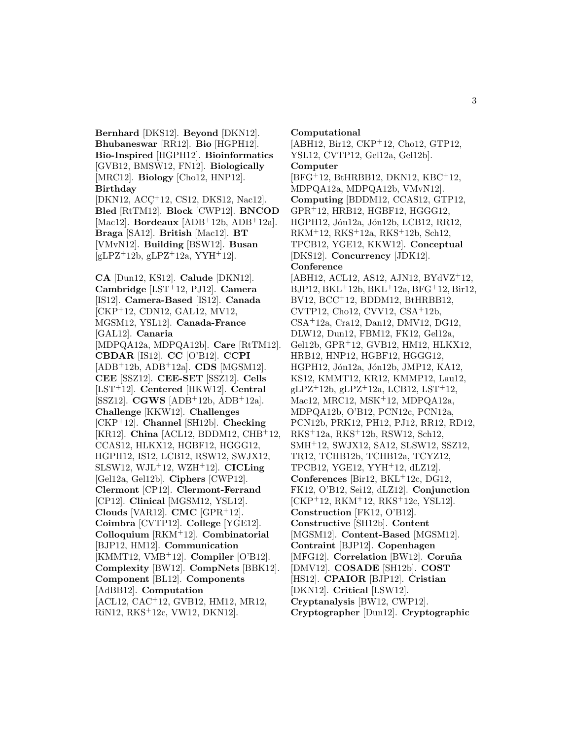**Bernhard** [DKS12]. **Beyond** [DKN12]. **Bhubaneswar** [RR12]. **Bio** [HGPH12]. **Bio-Inspired** [HGPH12]. **Bioinformatics** [GVB12, BMSW12, FN12]. **Biologically** [MRC12]. **Biology** [Cho12, HNP12]. **Birthday**

[DKN12, ACC<sup>+</sup>12, CS12, DKS12, Nac12]. **Bled** [RtTM12]. **Block** [CWP12]. **BNCOD** [Mac12]. **Bordeaux** [ADB<sup>+</sup>12b, ADB<sup>+</sup>12a]. **Braga** [SA12]. **British** [Mac12]. **BT** [VMvN12]. **Building** [BSW12]. **Busan** [gLPZ<sup>+</sup>12b, gLPZ<sup>+</sup>12a, YYH<sup>+</sup>12].

**CA** [Dun12, KS12]. **Calude** [DKN12]. **Cambridge** [LST<sup>+</sup>12, PJ12]. **Camera** [IS12]. **Camera-Based** [IS12]. **Canada** [CKP<sup>+</sup>12, CDN12, GAL12, MV12, MGSM12, YSL12]. **Canada-France** [GAL12]. **Canaria** [MDPQA12a, MDPQA12b]. **Care** [RtTM12]. **CBDAR** [IS12]. **CC** [O'B12]. **CCPI** [ADB<sup>+</sup>12b, ADB<sup>+</sup>12a]. **CDS** [MGSM12]. **CEE** [SSZ12]. **CEE-SET** [SSZ12]. **Cells** [LST<sup>+</sup>12]. **Centered** [HKW12]. **Central** [SSZ12]. **CGWS** [ADB<sup>+</sup>12b, ADB<sup>+</sup>12a]. **Challenge** [KKW12]. **Challenges** [CKP<sup>+</sup>12]. **Channel** [SH12b]. **Checking** [KR12]. **China** [ACL12, BDDM12, CHB<sup>+</sup>12, CCAS12, HLKX12, HGBF12, HGGG12, HGPH12, IS12, LCB12, RSW12, SWJX12, SLSW12, WJL<sup>+</sup>12, WZH<sup>+</sup>12]. **CICLing** [Gel12a, Gel12b]. **Ciphers** [CWP12]. **Clermont** [CP12]. **Clermont-Ferrand** [CP12]. **Clinical** [MGSM12, YSL12]. **Clouds** [VAR12]. **CMC** [GPR<sup>+</sup>12]. **Coimbra** [CVTP12]. **College** [YGE12]. **Colloquium** [RKM<sup>+</sup>12]. **Combinatorial** [BJP12, HM12]. **Communication** [KMMT12, VMB<sup>+</sup>12]. **Compiler** [O'B12]. **Complexity** [BW12]. **CompNets** [BBK12]. **Component** [BL12]. **Components** [AdBB12]. **Computation** [ACL12, CAC<sup>+</sup>12, GVB12, HM12, MR12, RiN12, RKS<sup>+</sup>12c, VW12, DKN12].

**Computational** [ABH12, Bir12, CKP<sup>+</sup>12, Cho12, GTP12, YSL12, CVTP12, Gel12a, Gel12b]. **Computer** [BFG<sup>+</sup>12, BtHRBB12, DKN12, KBC<sup>+</sup>12, MDPQA12a, MDPQA12b, VMvN12]. **Computing** [BDDM12, CCAS12, GTP12, GPR<sup>+</sup>12, HRB12, HGBF12, HGGG12, HGPH12, Jón12a, Jón12b, LCB12, RR12, RKM<sup>+</sup>12, RKS<sup>+</sup>12a, RKS<sup>+</sup>12b, Sch12, TPCB12, YGE12, KKW12]. **Conceptual** [DKS12]. **Concurrency** [JDK12]. **Conference** [ABH12, ACL12, AS12, AJN12, BYdVZ<sup>+</sup>12, BJP12, BKL<sup>+</sup>12b, BKL<sup>+</sup>12a, BFG<sup>+</sup>12, Bir12, BV12, BCC<sup>+</sup>12, BDDM12, BtHRBB12, CVTP12, Cho12, CVV12, CSA<sup>+</sup>12b, CSA<sup>+</sup>12a, Cra12, Dan12, DMV12, DG12, DLW12, Dun12, FBM12, FK12, Gel12a, Gel12b, GPR<sup>+</sup>12, GVB12, HM12, HLKX12, HRB12, HNP12, HGBF12, HGGG12, HGPH12, Jón12a, Jón12b, JMP12, KA12, KS12, KMMT12, KR12, KMMP12, Lau12,  $gLPZ+12b$ ,  $gLPZ+12a$ , LCB12, LST+12, Mac12, MRC12, MSK<sup>+</sup>12, MDPQA12a, MDPQA12b, O'B12, PCN12c, PCN12a, PCN12b, PRK12, PH12, PJ12, RR12, RD12, RKS<sup>+</sup>12a, RKS<sup>+</sup>12b, RSW12, Sch12, SMH<sup>+</sup>12, SWJX12, SA12, SLSW12, SSZ12, TR12, TCHB12b, TCHB12a, TCYZ12, TPCB12, YGE12, YYH<sup>+</sup>12, dLZ12].

**Conferences** [Bir12, BKL<sup>+</sup>12c, DG12, FK12, O'B12, Sei12, dLZ12]. **Conjunction**

[CKP<sup>+</sup>12, RKM<sup>+</sup>12, RKS<sup>+</sup>12c, YSL12].

**Construction** [FK12, O'B12]. **Constructive** [SH12b]. **Content**

[MGSM12]. **Content-Based** [MGSM12].

**Contraint** [BJP12]. **Copenhagen**

[MFG12]. **Correlation** [BW12]. **Coruña** 

[DMV12]. **COSADE** [SH12b]. **COST**

[HS12]. **CPAIOR** [BJP12]. **Cristian**

[DKN12]. **Critical** [LSW12].

**Cryptanalysis** [BW12, CWP12].

**Cryptographer** [Dun12]. **Cryptographic**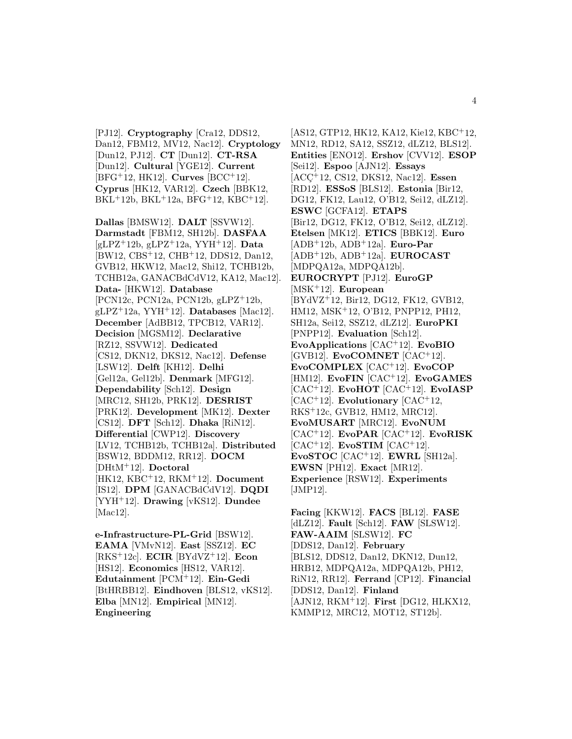[PJ12]. **Cryptography** [Cra12, DDS12, Dan12, FBM12, MV12, Nac12]. **Cryptology** [Dun12, PJ12]. **CT** [Dun12]. **CT-RSA** [Dun12]. **Cultural** [YGE12]. **Current** [BFG<sup>+</sup>12, HK12]. **Curves** [BCC<sup>+</sup>12]. **Cyprus** [HK12, VAR12]. **Czech** [BBK12, BKL<sup>+</sup>12b, BKL<sup>+</sup>12a, BFG<sup>+</sup>12, KBC<sup>+</sup>12].

**Dallas** [BMSW12]. **DALT** [SSVW12]. **Darmstadt** [FBM12, SH12b]. **DASFAA** [gLPZ<sup>+</sup>12b, gLPZ<sup>+</sup>12a, YYH<sup>+</sup>12]. **Data** [BW12, CBS<sup>+</sup>12, CHB<sup>+</sup>12, DDS12, Dan12, GVB12, HKW12, Mac12, Shi12, TCHB12b, TCHB12a, GANACBdCdV12, KA12, Mac12]. **Data-** [HKW12]. **Database** [PCN12c, PCN12a, PCN12b, gLPZ<sup>+</sup>12b, gLPZ<sup>+</sup>12a, YYH<sup>+</sup>12]. **Databases** [Mac12]. **December** [AdBB12, TPCB12, VAR12]. **Decision** [MGSM12]. **Declarative** [RZ12, SSVW12]. **Dedicated** [CS12, DKN12, DKS12, Nac12]. **Defense** [LSW12]. **Delft** [KH12]. **Delhi** [Gel12a, Gel12b]. **Denmark** [MFG12]. **Dependability** [Sch12]. **Design** [MRC12, SH12b, PRK12]. **DESRIST** [PRK12]. **Development** [MK12]. **Dexter** [CS12]. **DFT** [Sch12]. **Dhaka** [RiN12]. **Differential** [CWP12]. **Discovery** [LV12, TCHB12b, TCHB12a]. **Distributed** [BSW12, BDDM12, RR12]. **DOCM** [DHtM<sup>+</sup>12]. **Doctoral** [HK12, KBC<sup>+</sup>12, RKM<sup>+</sup>12]. **Document** [IS12]. **DPM** [GANACBdCdV12]. **DQDI** [YYH<sup>+</sup>12]. **Drawing** [vKS12]. **Dundee** [Mac12].

**e-Infrastructure-PL-Grid** [BSW12]. **EAMA** [VMvN12]. **East** [SSZ12]. **EC** [RKS<sup>+</sup>12c]. **ECIR** [BYdVZ<sup>+</sup>12]. **Econ** [HS12]. **Economics** [HS12, VAR12]. **Edutainment** [PCM<sup>+</sup>12]. **Ein-Gedi** [BtHRBB12]. **Eindhoven** [BLS12, vKS12]. **Elba** [MN12]. **Empirical** [MN12]. **Engineering**

[AS12, GTP12, HK12, KA12, Kie12, KBC<sup>+</sup>12, MN12, RD12, SA12, SSZ12, dLZ12, BLS12]. **Entities** [ENO12]. **Ershov** [CVV12]. **ESOP** [Sei12]. **Espoo** [AJN12]. **Essays** [ACC¸ <sup>+</sup>12, CS12, DKS12, Nac12]. **Essen** [RD12]. **ESSoS** [BLS12]. **Estonia** [Bir12, DG12, FK12, Lau12, O'B12, Sei12, dLZ12]. **ESWC** [GCFA12]. **ETAPS** [Bir12, DG12, FK12, O'B12, Sei12, dLZ12]. **Etelsen** [MK12]. **ETICS** [BBK12]. **Euro** [ADB<sup>+</sup>12b, ADB<sup>+</sup>12a]. **Euro-Par** [ADB<sup>+</sup>12b, ADB<sup>+</sup>12a]. **EUROCAST** [MDPQA12a, MDPQA12b]. **EUROCRYPT** [PJ12]. **EuroGP** [MSK<sup>+</sup>12]. **European** [BYdVZ<sup>+</sup>12, Bir12, DG12, FK12, GVB12, HM12, MSK<sup>+</sup>12, O'B12, PNPP12, PH12, SH12a, Sei12, SSZ12, dLZ12]. **EuroPKI** [PNPP12]. **Evaluation** [Sch12]. **EvoApplications** [CAC<sup>+</sup>12]. **EvoBIO** [GVB12]. **EvoCOMNET** [CAC<sup>+</sup>12]. **EvoCOMPLEX** [CAC<sup>+</sup>12]. **EvoCOP** [HM12]. **EvoFIN** [CAC<sup>+</sup>12]. **EvoGAMES** [CAC<sup>+</sup>12]. **EvoHOT** [CAC<sup>+</sup>12]. **EvoIASP** [CAC<sup>+</sup>12]. **Evolutionary** [CAC<sup>+</sup>12, RKS<sup>+</sup>12c, GVB12, HM12, MRC12]. **EvoMUSART** [MRC12]. **EvoNUM** [CAC<sup>+</sup>12]. **EvoPAR** [CAC<sup>+</sup>12]. **EvoRISK**  $[CAC+12]$ . **EvoSTIM**  $[CAC+12]$ . **EvoSTOC** [CAC<sup>+</sup>12]. **EWRL** [SH12a]. **EWSN** [PH12]. **Exact** [MR12]. **Experience** [RSW12]. **Experiments** [JMP12].

**Facing** [KKW12]. **FACS** [BL12]. **FASE** [dLZ12]. **Fault** [Sch12]. **FAW** [SLSW12]. **FAW-AAIM** [SLSW12]. **FC** [DDS12, Dan12]. **February** [BLS12, DDS12, Dan12, DKN12, Dun12, HRB12, MDPQA12a, MDPQA12b, PH12, RiN12, RR12]. **Ferrand** [CP12]. **Financial** [DDS12, Dan12]. **Finland** [AJN12, RKM<sup>+</sup>12]. **First** [DG12, HLKX12, KMMP12, MRC12, MOT12, ST12b].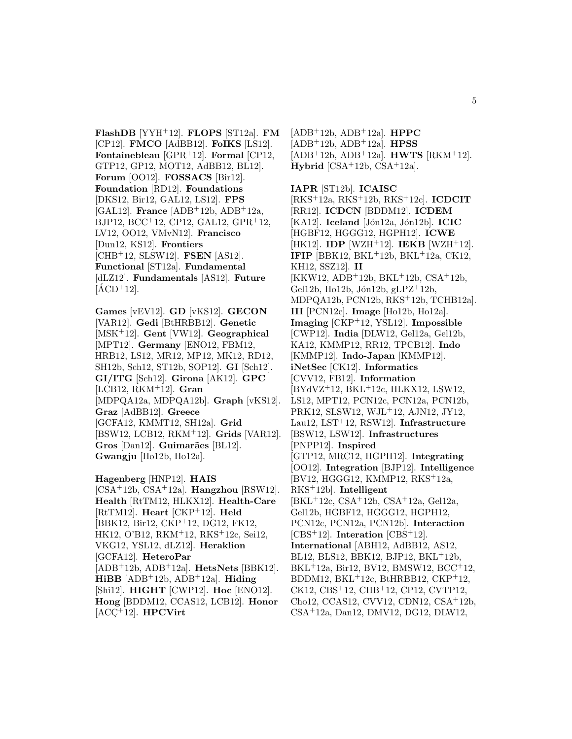**FlashDB** [YYH<sup>+</sup>12]. **FLOPS** [ST12a]. **FM** [CP12]. **FMCO** [AdBB12]. **FoIKS** [LS12]. **Fontainebleau** [GPR<sup>+</sup>12]. **Formal** [CP12, GTP12, GP12, MOT12, AdBB12, BL12]. **Forum** [OO12]. **FOSSACS** [Bir12]. **Foundation** [RD12]. **Foundations** [DKS12, Bir12, GAL12, LS12]. **FPS** [GAL12]. **France** [ADB<sup>+</sup>12b, ADB<sup>+</sup>12a, BJP12, BCC<sup>+</sup>12, CP12, GAL12, GPR<sup>+</sup>12, LV12, OO12, VMvN12]. **Francisco** [Dun12, KS12]. **Frontiers** [CHB<sup>+</sup>12, SLSW12]. **FSEN** [AS12]. **Functional** [ST12a]. **Fundamental** [dLZ12]. **Fundamentals** [AS12]. **Future**  $[ACD+12]$ .

**Games** [vEV12]. **GD** [vKS12]. **GECON** [VAR12]. **Gedi** [BtHRBB12]. **Genetic** [MSK<sup>+</sup>12]. **Gent** [VW12]. **Geographical** [MPT12]. **Germany** [ENO12, FBM12, HRB12, LS12, MR12, MP12, MK12, RD12, SH12b, Sch12, ST12b, SOP12]. **GI** [Sch12]. **GI/ITG** [Sch12]. **Girona** [AK12]. **GPC** [LCB12, RKM<sup>+</sup>12]. **Gran** [MDPQA12a, MDPQA12b]. **Graph** [vKS12]. **Graz** [AdBB12]. **Greece** [GCFA12, KMMT12, SH12a]. **Grid** [BSW12, LCB12, RKM<sup>+</sup>12]. **Grids** [VAR12]. Gros<sup>[Dan12]</sup>. Guimarães<sup>[BL12]</sup>. **Gwangju** [Ho12b, Ho12a].

**Hagenberg** [HNP12]. **HAIS** [CSA<sup>+</sup>12b, CSA<sup>+</sup>12a]. **Hangzhou** [RSW12]. **Health** [RtTM12, HLKX12]. **Health-Care** [RtTM12]. **Heart** [CKP<sup>+</sup>12]. **Held** [BBK12, Bir12, CKP<sup>+</sup>12, DG12, FK12, HK12, O'B12, RKM<sup>+</sup>12, RKS<sup>+</sup>12c, Sei12, VKG12, YSL12, dLZ12]. **Heraklion** [GCFA12]. **HeteroPar** [ADB<sup>+</sup>12b, ADB<sup>+</sup>12a]. **HetsNets** [BBK12]. **HiBB** [ADB<sup>+</sup>12b, ADB<sup>+</sup>12a]. **Hiding** [Shi12]. **HIGHT** [CWP12]. **Hoc** [ENO12]. **Hong** [BDDM12, CCAS12, LCB12]. **Honor**  $[ACC^+12]$ . **HPCVirt** 

[ADB<sup>+</sup>12b, ADB<sup>+</sup>12a]. **HPPC** [ADB<sup>+</sup>12b, ADB<sup>+</sup>12a]. **HPSS** [ADB<sup>+</sup>12b, ADB<sup>+</sup>12a]. **HWTS** [RKM<sup>+</sup>12]. **Hybrid** [CSA<sup>+</sup>12b, CSA<sup>+</sup>12a].

**IAPR** [ST12b]. **ICAISC** [RKS<sup>+</sup>12a, RKS<sup>+</sup>12b, RKS<sup>+</sup>12c]. **ICDCIT** [RR12]. **ICDCN** [BDDM12]. **ICDEM** [KA12]. **Iceland** [Jón12a, Jón12b]. **ICIC** [HGBF12, HGGG12, HGPH12]. **ICWE** [HK12]. **IDP** [WZH<sup>+</sup>12]. **IEKB** [WZH<sup>+</sup>12]. **IFIP** [BBK12, BKL+12b, BKL+12a, CK12, KH12, SSZ12]. **II** [KKW12, ADB<sup>+</sup>12b, BKL<sup>+</sup>12b, CSA<sup>+</sup>12b, Gel $12b$ , Ho $12b$ , Jón $12b$ , gLPZ<sup>+</sup>12b, MDPQA12b, PCN12b, RKS<sup>+</sup>12b, TCHB12a]. **III** [PCN12c]. **Image** [Ho12b, Ho12a]. **Imaging** [CKP<sup>+</sup>12, YSL12]. **Impossible** [CWP12]. **India** [DLW12, Gel12a, Gel12b, KA12, KMMP12, RR12, TPCB12]. **Indo** [KMMP12]. **Indo-Japan** [KMMP12]. **iNetSec** [CK12]. **Informatics** [CVV12, FB12]. **Information** [BYdVZ<sup>+</sup>12, BKL<sup>+</sup>12c, HLKX12, LSW12, LS12, MPT12, PCN12c, PCN12a, PCN12b, PRK12, SLSW12, WJL<sup>+</sup>12, AJN12, JY12, Lau12, LST<sup>+</sup>12, RSW12]. **Infrastructure** [BSW12, LSW12]. **Infrastructures** [PNPP12]. **Inspired** [GTP12, MRC12, HGPH12]. **Integrating** [OO12]. **Integration** [BJP12]. **Intelligence** [BV12, HGGG12, KMMP12, RKS<sup>+</sup>12a, RKS<sup>+</sup>12b]. **Intelligent** [BKL<sup>+</sup>12c, CSA<sup>+</sup>12b, CSA<sup>+</sup>12a, Gel12a, Gel12b, HGBF12, HGGG12, HGPH12, PCN12c, PCN12a, PCN12b]. **Interaction** [CBS<sup>+</sup>12]. **Interation** [CBS<sup>+</sup>12]. **International** [ABH12, AdBB12, AS12, BL12, BLS12, BBK12, BJP12, BKL<sup>+</sup>12b, BKL<sup>+</sup>12a, Bir12, BV12, BMSW12, BCC<sup>+</sup>12, BDDM12, BKL<sup>+</sup>12c, BtHRBB12, CKP<sup>+</sup>12, CK12, CBS<sup>+</sup>12, CHB<sup>+</sup>12, CP12, CVTP12, Cho12, CCAS12, CVV12, CDN12, CSA<sup>+</sup>12b, CSA<sup>+</sup>12a, Dan12, DMV12, DG12, DLW12,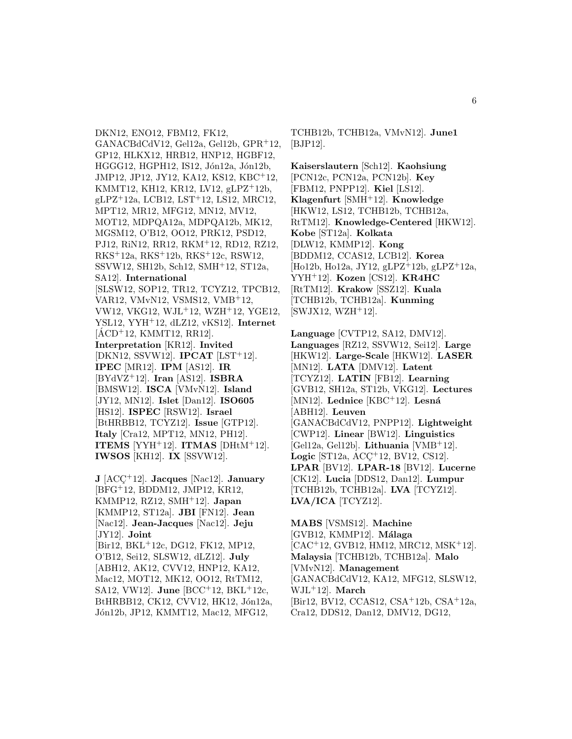DKN12, ENO12, FBM12, FK12, GANACBdCdV12, Gel12a, Gel12b, GPR<sup>+</sup>12, GP12, HLKX12, HRB12, HNP12, HGBF12, HGGG12, HGPH12, IS12, Jón12a, Jón12b, JMP12, JP12, JY12, KA12, KS12, KBC<sup>+</sup>12, KMMT12, KH12, KR12, LV12, gLPZ<sup>+</sup>12b, gLPZ<sup>+</sup>12a, LCB12, LST<sup>+</sup>12, LS12, MRC12, MPT12, MR12, MFG12, MN12, MV12, MOT12, MDPQA12a, MDPQA12b, MK12, MGSM12, O'B12, OO12, PRK12, PSD12, PJ12, RiN12, RR12, RKM<sup>+</sup>12, RD12, RZ12, RKS<sup>+</sup>12a, RKS<sup>+</sup>12b, RKS<sup>+</sup>12c, RSW12, SSVW12, SH12b, Sch12, SMH<sup>+</sup>12, ST12a, SA12]. **International** [SLSW12, SOP12, TR12, TCYZ12, TPCB12, VAR12, VMvN12, VSMS12, VMB<sup>+</sup>12, VW12, VKG12, WJL<sup>+</sup>12, WZH<sup>+</sup>12, YGE12, YSL12, YYH<sup>+</sup>12, dLZ12, vKS12]. **Internet**  $[ACD+12, KMMT12, RR12].$ **Interpretation** [KR12]. **Invited** [DKN12, SSVW12]. **IPCAT** [LST<sup>+</sup>12]. **IPEC** [MR12]. **IPM** [AS12]. **IR** [BYdVZ<sup>+</sup>12]. **Iran** [AS12]. **ISBRA** [BMSW12]. **ISCA** [VMvN12]. **Island** [JY12, MN12]. **Islet** [Dan12]. **ISO605** [HS12]. **ISPEC** [RSW12]. **Israel** [BtHRBB12, TCYZ12]. **Issue** [GTP12]. **Italy** [Cra12, MPT12, MN12, PH12]. **ITEMS** [YYH<sup>+</sup>12]. **ITMAS** [DHtM<sup>+</sup>12]. **IWSOS** [KH12]. **IX** [SSVW12]. **J** [ACC¸ <sup>+</sup>12]. **Jacques** [Nac12]. **January**

[BFG<sup>+</sup>12, BDDM12, JMP12, KR12, KMMP12, RZ12, SMH<sup>+</sup>12]. **Japan** [KMMP12, ST12a]. **JBI** [FN12]. **Jean** [Nac12]. **Jean-Jacques** [Nac12]. **Jeju** [JY12]. **Joint** [Bir12, BKL<sup>+</sup>12c, DG12, FK12, MP12, O'B12, Sei12, SLSW12, dLZ12]. **July** [ABH12, AK12, CVV12, HNP12, KA12, Mac12, MOT12, MK12, OO12, RtTM12, SA12, VW12]. **June** [BCC<sup>+</sup>12, BKL<sup>+</sup>12c, BtHRBB12, CK12, CVV12, HK12, Jón12a,

Jón12b, JP12, KMMT12, Mac12, MFG12,

TCHB12b, TCHB12a, VMvN12]. **June1** [BJP12].

**Kaiserslautern** [Sch12]. **Kaohsiung** [PCN12c, PCN12a, PCN12b]. **Key** [FBM12, PNPP12]. **Kiel** [LS12]. **Klagenfurt** [SMH<sup>+</sup>12]. **Knowledge** [HKW12, LS12, TCHB12b, TCHB12a, RtTM12]. **Knowledge-Centered** [HKW12]. **Kobe** [ST12a]. **Kolkata** [DLW12, KMMP12]. **Kong** [BDDM12, CCAS12, LCB12]. **Korea** [Ho12b, Ho12a, JY12, gLPZ<sup>+</sup>12b, gLPZ<sup>+</sup>12a, YYH<sup>+</sup>12]. **Kozen** [CS12]. **KR4HC** [RtTM12]. **Krakow** [SSZ12]. **Kuala** [TCHB12b, TCHB12a]. **Kunming**  $[SWJX12, WZH+12].$ 

**Language** [CVTP12, SA12, DMV12]. **Languages** [RZ12, SSVW12, Sei12]. **Large** [HKW12]. **Large-Scale** [HKW12]. **LASER** [MN12]. **LATA** [DMV12]. **Latent** [TCYZ12]. **LATIN** [FB12]. **Learning** [GVB12, SH12a, ST12b, VKG12]. **Lectures** [MN12]. **Lednice** [KBC<sup>+</sup>12]. **Lesn´a** [ABH12]. **Leuven** [GANACBdCdV12, PNPP12]. **Lightweight** [CWP12]. **Linear** [BW12]. **Linguistics** [Gel12a, Gel12b]. **Lithuania** [VMB<sup>+</sup>12]. **Logic** [ST12a, ACC<sup>+</sup>12, BV12, CS12]. **LPAR** [BV12]. **LPAR-18** [BV12]. **Lucerne** [CK12]. **Lucia** [DDS12, Dan12]. **Lumpur** [TCHB12b, TCHB12a]. **LVA** [TCYZ12]. **LVA/ICA** [TCYZ12].

**MABS** [VSMS12]. **Machine** [GVB12, KMMP12]. **M´alaga** [CAC<sup>+</sup>12, GVB12, HM12, MRC12, MSK<sup>+</sup>12]. **Malaysia** [TCHB12b, TCHB12a]. **Malo** [VMvN12]. **Management** [GANACBdCdV12, KA12, MFG12, SLSW12, WJL<sup>+</sup>12]. **March** [Bir12, BV12, CCAS12, CSA<sup>+</sup>12b, CSA<sup>+</sup>12a, Cra12, DDS12, Dan12, DMV12, DG12,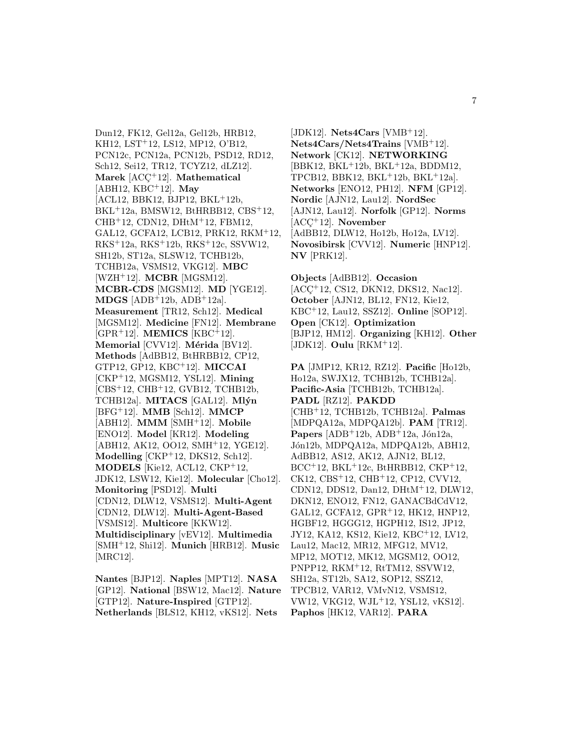Dun12, FK12, Gel12a, Gel12b, HRB12, KH12, LST<sup>+</sup>12, LS12, MP12, O'B12, PCN12c, PCN12a, PCN12b, PSD12, RD12, Sch12, Sei12, TR12, TCYZ12, dLZ12]. **Marek** [ACC<sup>+</sup>12]. **Mathematical** [ABH12, KBC<sup>+</sup>12]. **May** [ACL12, BBK12, BJP12, BKL<sup>+</sup>12b, BKL<sup>+</sup>12a, BMSW12, BtHRBB12, CBS<sup>+</sup>12, CHB<sup>+</sup>12, CDN12, DHtM<sup>+</sup>12, FBM12, GAL12, GCFA12, LCB12, PRK12, RKM<sup>+</sup>12, RKS<sup>+</sup>12a, RKS<sup>+</sup>12b, RKS<sup>+</sup>12c, SSVW12, SH12b, ST12a, SLSW12, TCHB12b, TCHB12a, VSMS12, VKG12]. **MBC** [WZH<sup>+</sup>12]. **MCBR** [MGSM12]. **MCBR-CDS** [MGSM12]. **MD** [YGE12]. **MDGS** [ADB<sup>+</sup>12b, ADB<sup>+</sup>12a]. **Measurement** [TR12, Sch12]. **Medical** [MGSM12]. **Medicine** [FN12]. **Membrane** [GPR<sup>+</sup>12]. **MEMICS** [KBC<sup>+</sup>12]. **Memorial** [CVV12]. **Mérida** [BV12]. **Methods** [AdBB12, BtHRBB12, CP12, GTP12, GP12, KBC<sup>+</sup>12]. **MICCAI** [CKP<sup>+</sup>12, MGSM12, YSL12]. **Mining** [CBS<sup>+</sup>12, CHB<sup>+</sup>12, GVB12, TCHB12b, TCHB12a]. **MITACS** [GAL12]. **Ml´yn** [BFG<sup>+</sup>12]. **MMB** [Sch12]. **MMCP** [ABH12]. **MMM** [SMH<sup>+</sup>12]. **Mobile** [ENO12]. **Model** [KR12]. **Modeling** [ABH12, AK12, OO12, SMH<sup>+</sup>12, YGE12]. **Modelling** [CKP<sup>+</sup>12, DKS12, Sch12]. **MODELS** [Kie12, ACL12, CKP<sup>+</sup>12, JDK12, LSW12, Kie12]. **Molecular** [Cho12]. **Monitoring** [PSD12]. **Multi** [CDN12, DLW12, VSMS12]. **Multi-Agent** [CDN12, DLW12]. **Multi-Agent-Based** [VSMS12]. **Multicore** [KKW12]. **Multidisciplinary** [vEV12]. **Multimedia** [SMH<sup>+</sup>12, Shi12]. **Munich** [HRB12]. **Music** [MRC12].

**Nantes** [BJP12]. **Naples** [MPT12]. **NASA** [GP12]. **National** [BSW12, Mac12]. **Nature** [GTP12]. **Nature-Inspired** [GTP12]. **Netherlands** [BLS12, KH12, vKS12]. **Nets**

[JDK12]. **Nets4Cars** [VMB<sup>+</sup>12]. **Nets4Cars/Nets4Trains** [VMB<sup>+</sup>12]. **Network** [CK12]. **NETWORKING** [BBK12, BKL<sup>+</sup>12b, BKL<sup>+</sup>12a, BDDM12, TPCB12, BBK12, BKL<sup>+</sup>12b, BKL<sup>+</sup>12a]. **Networks** [ENO12, PH12]. **NFM** [GP12]. **Nordic** [AJN12, Lau12]. **NordSec** [AJN12, Lau12]. **Norfolk** [GP12]. **Norms** [ACC<sup>+</sup>12]. **November** [AdBB12, DLW12, Ho12b, Ho12a, LV12]. **Novosibirsk** [CVV12]. **Numeric** [HNP12]. **NV** [PRK12].

**Objects** [AdBB12]. **Occasion** [ACC<sup>+</sup>12, CS12, DKN12, DKS12, Nac12]. **October** [AJN12, BL12, FN12, Kie12, KBC<sup>+</sup>12, Lau12, SSZ12]. **Online** [SOP12]. **Open** [CK12]. **Optimization** [BJP12, HM12]. **Organizing** [KH12]. **Other** [JDK12]. **Oulu** [RKM<sup>+</sup>12].

**PA** [JMP12, KR12, RZ12]. **Pacific** [Ho12b, Ho12a, SWJX12, TCHB12b, TCHB12a]. **Pacific-Asia** [TCHB12b, TCHB12a]. **PADL** [RZ12]. **PAKDD** [CHB<sup>+</sup>12, TCHB12b, TCHB12a]. **Palmas** [MDPQA12a, MDPQA12b]. **PAM** [TR12]. **Papers**  $[ADB+12b, ADB+12a, Jón12a,$ J´on12b, MDPQA12a, MDPQA12b, ABH12, AdBB12, AS12, AK12, AJN12, BL12, BCC<sup>+</sup>12, BKL<sup>+</sup>12c, BtHRBB12, CKP<sup>+</sup>12, CK12, CBS<sup>+</sup>12, CHB<sup>+</sup>12, CP12, CVV12, CDN12, DDS12, Dan12, DHtM<sup>+</sup>12, DLW12, DKN12, ENO12, FN12, GANACBdCdV12, GAL12, GCFA12, GPR<sup>+</sup>12, HK12, HNP12, HGBF12, HGGG12, HGPH12, IS12, JP12, JY12, KA12, KS12, Kie12, KBC<sup>+</sup>12, LV12, Lau12, Mac12, MR12, MFG12, MV12, MP12, MOT12, MK12, MGSM12, OO12, PNPP12, RKM<sup>+</sup>12, RtTM12, SSVW12, SH12a, ST12b, SA12, SOP12, SSZ12, TPCB12, VAR12, VMvN12, VSMS12, VW12, VKG12, WJL<sup>+</sup>12, YSL12, vKS12]. **Paphos** [HK12, VAR12]. **PARA**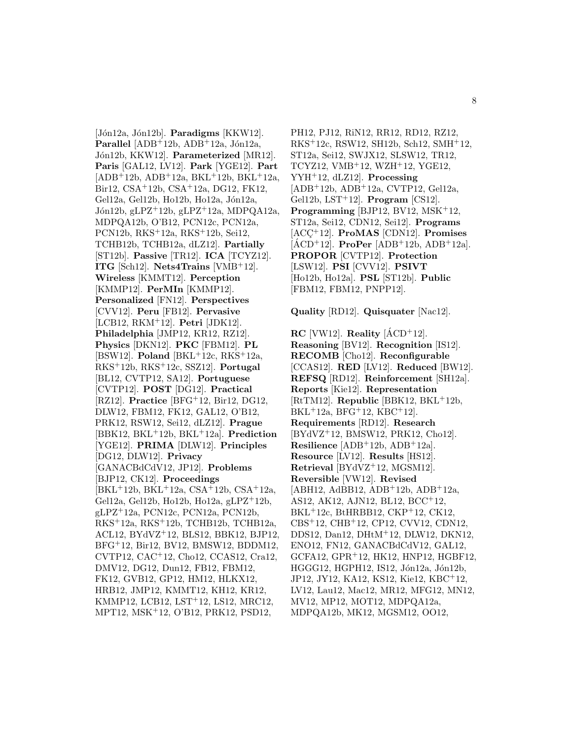[Jón12a, Jón12b]. **Paradigms** [KKW12]. **Parallel**  $[ADB+12b, ADB+12a, Jón12a,$ J´on12b, KKW12]. **Parameterized** [MR12]. **Paris** [GAL12, LV12]. **Park** [YGE12]. **Part**  $[ADB+12b, ADB+12a, BKL+12b, BKL+12a,$ Bir12, CSA<sup>+</sup>12b, CSA<sup>+</sup>12a, DG12, FK12, Gel12a, Gel12b, Ho12b, Ho12a, Jón12a, Jón12b, gLPZ<sup>+</sup>12b, gLPZ<sup>+</sup>12a, MDPQA12a, MDPQA12b, O'B12, PCN12c, PCN12a, PCN12b, RKS<sup>+</sup>12a, RKS<sup>+</sup>12b, Sei12, TCHB12b, TCHB12a, dLZ12]. **Partially** [ST12b]. **Passive** [TR12]. **ICA** [TCYZ12]. **ITG** [Sch12]. **Nets4Trains** [VMB<sup>+</sup>12]. **Wireless** [KMMT12]. **Perception** [KMMP12]. **PerMIn** [KMMP12]. **Personalized** [FN12]. **Perspectives** [CVV12]. **Peru** [FB12]. **Pervasive** [LCB12, RKM<sup>+</sup>12]. **Petri** [JDK12]. **Philadelphia** [JMP12, KR12, RZ12]. **Physics** [DKN12]. **PKC** [FBM12]. **PL** [BSW12]. **Poland** [BKL<sup>+</sup>12c, RKS<sup>+</sup>12a, RKS<sup>+</sup>12b, RKS<sup>+</sup>12c, SSZ12]. **Portugal** [BL12, CVTP12, SA12]. **Portuguese** [CVTP12]. **POST** [DG12]. **Practical** [RZ12]. **Practice** [BFG<sup>+</sup>12, Bir12, DG12, DLW12, FBM12, FK12, GAL12, O'B12, PRK12, RSW12, Sei12, dLZ12]. **Prague** [BBK12, BKL<sup>+</sup>12b, BKL<sup>+</sup>12a]. **Prediction** [YGE12]. **PRIMA** [DLW12]. **Principles** [DG12, DLW12]. **Privacy** [GANACBdCdV12, JP12]. **Problems** [BJP12, CK12]. **Proceedings** [BKL<sup>+</sup>12b, BKL<sup>+</sup>12a, CSA<sup>+</sup>12b, CSA<sup>+</sup>12a, Gel12a, Gel12b, Ho12b, Ho12a, gLPZ<sup>+</sup>12b, gLPZ<sup>+</sup>12a, PCN12c, PCN12a, PCN12b, RKS<sup>+</sup>12a, RKS<sup>+</sup>12b, TCHB12b, TCHB12a, ACL12, BYdVZ<sup>+</sup>12, BLS12, BBK12, BJP12, BFG<sup>+</sup>12, Bir12, BV12, BMSW12, BDDM12, CVTP12, CAC<sup>+</sup>12, Cho12, CCAS12, Cra12, DMV12, DG12, Dun12, FB12, FBM12, FK12, GVB12, GP12, HM12, HLKX12, HRB12, JMP12, KMMT12, KH12, KR12, KMMP12, LCB12, LST<sup>+</sup>12, LS12, MRC12, MPT12, MSK<sup>+</sup>12, O'B12, PRK12, PSD12,

PH12, PJ12, RiN12, RR12, RD12, RZ12, RKS<sup>+</sup>12c, RSW12, SH12b, Sch12, SMH<sup>+</sup>12, ST12a, Sei12, SWJX12, SLSW12, TR12, TCYZ12, VMB<sup>+</sup>12, WZH<sup>+</sup>12, YGE12, YYH<sup>+</sup>12, dLZ12]. **Processing** [ADB<sup>+</sup>12b, ADB<sup>+</sup>12a, CVTP12, Gel12a, Gel12b, LST<sup>+</sup>12]. **Program** [CS12]. Programming [BJP12, BV12, MSK<sup>+</sup>12, ST12a, Sei12, CDN12, Sei12]. **Programs** [ACC<sup>+</sup>12]. **ProMAS** [CDN12]. **Promises**  $[ACD+12]$ . **ProPer**  $[ADB+12b, ADB+12a]$ . **PROPOR** [CVTP12]. **Protection** [LSW12]. **PSI** [CVV12]. **PSIVT** [Ho12b, Ho12a]. **PSL** [ST12b]. **Public** [FBM12, FBM12, PNPP12].

**Quality** [RD12]. **Quisquater** [Nac12].

**RC** [VW12]. **Reality**  $[\text{ACD}^+12]$ . **Reasoning** [BV12]. **Recognition** [IS12]. **RECOMB** [Cho12]. **Reconfigurable** [CCAS12]. **RED** [LV12]. **Reduced** [BW12]. **REFSQ** [RD12]. **Reinforcement** [SH12a]. **Reports** [Kie12]. **Representation** [RtTM12]. **Republic** [BBK12, BKL<sup>+</sup>12b,  $BKL+12a$ ,  $BFG+12$ ,  $KBC+12$ . **Requirements** [RD12]. **Research** [BYdVZ<sup>+</sup>12, BMSW12, PRK12, Cho12]. **Resilience** [ADB<sup>+</sup>12b, ADB<sup>+</sup>12a]. **Resource** [LV12]. **Results** [HS12]. **Retrieval** [BYdVZ<sup>+</sup>12, MGSM12]. **Reversible** [VW12]. **Revised**  $[ABH12, AdBB12, ADB<sup>+</sup>12b, ADB<sup>+</sup>12a,$ AS12, AK12, AJN12, BL12, BCC<sup>+</sup>12, BKL<sup>+</sup>12c, BtHRBB12, CKP<sup>+</sup>12, CK12, CBS<sup>+</sup>12, CHB<sup>+</sup>12, CP12, CVV12, CDN12, DDS12, Dan12, DHtM<sup>+</sup>12, DLW12, DKN12, ENO12, FN12, GANACBdCdV12, GAL12, GCFA12, GPR<sup>+</sup>12, HK12, HNP12, HGBF12, HGGG12, HGPH12, IS12, Jón12a, Jón12b, JP12, JY12, KA12, KS12, Kie12, KBC<sup>+</sup>12, LV12, Lau12, Mac12, MR12, MFG12, MN12, MV12, MP12, MOT12, MDPQA12a, MDPQA12b, MK12, MGSM12, OO12,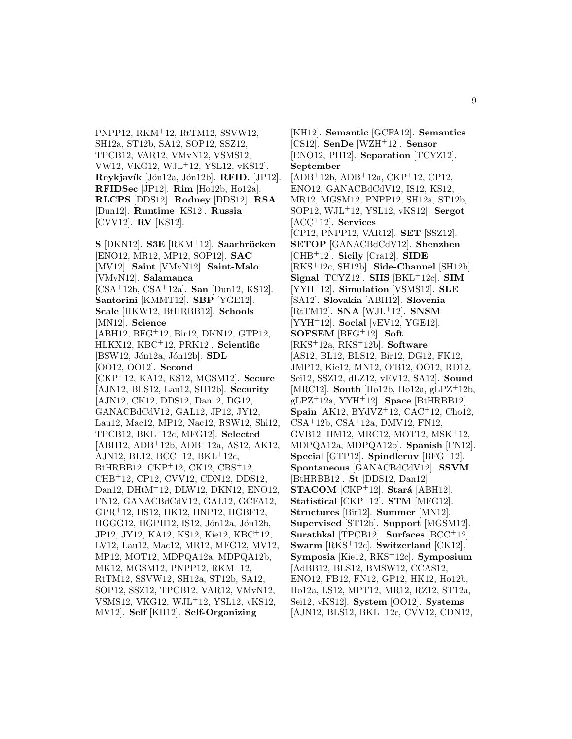PNPP12, RKM<sup>+</sup>12, RtTM12, SSVW12, SH12a, ST12b, SA12, SOP12, SSZ12, TPCB12, VAR12, VMvN12, VSMS12, VW12, VKG12, WJL<sup>+</sup>12, YSL12, vKS12]. **Reykjavík** [Jón12a, Jón12b]. **RFID.** [JP12]. **RFIDSec** [JP12]. **Rim** [Ho12b, Ho12a]. **RLCPS** [DDS12]. **Rodney** [DDS12]. **RSA** [Dun12]. **Runtime** [KS12]. **Russia** [CVV12]. **RV** [KS12].

**S** [DKN12]. **S3E** [RKM<sup>+</sup>12]. **Saarbr¨ucken** [ENO12, MR12, MP12, SOP12]. **SAC** [MV12]. **Saint** [VMvN12]. **Saint-Malo** [VMvN12]. **Salamanca** [CSA<sup>+</sup>12b, CSA<sup>+</sup>12a]. **San** [Dun12, KS12]. **Santorini** [KMMT12]. **SBP** [YGE12]. **Scale** [HKW12, BtHRBB12]. **Schools** [MN12]. **Science** [ABH12, BFG<sup>+</sup>12, Bir12, DKN12, GTP12, HLKX12, KBC<sup>+</sup>12, PRK12]. **Scientific** [BSW12, Jón12a, Jón12b]. **SDL** [OO12, OO12]. **Second** [CKP<sup>+</sup>12, KA12, KS12, MGSM12]. **Secure** [AJN12, BLS12, Lau12, SH12b]. **Security** [AJN12, CK12, DDS12, Dan12, DG12, GANACBdCdV12, GAL12, JP12, JY12, Lau12, Mac12, MP12, Nac12, RSW12, Shi12, TPCB12, BKL<sup>+</sup>12c, MFG12]. **Selected** [ABH12, ADB<sup>+</sup>12b, ADB<sup>+</sup>12a, AS12, AK12, AJN12, BL12, BCC<sup>+</sup>12, BKL<sup>+</sup>12c, BtHRBB12, CKP<sup>+</sup>12, CK12, CBS<sup>+</sup>12, CHB<sup>+</sup>12, CP12, CVV12, CDN12, DDS12, Dan12, DHtM<sup>+</sup>12, DLW12, DKN12, ENO12, FN12, GANACBdCdV12, GAL12, GCFA12, GPR<sup>+</sup>12, HS12, HK12, HNP12, HGBF12, HGGG12, HGPH12, IS12, Jón12a, Jón12b, JP12, JY12, KA12, KS12, Kie12, KBC<sup>+</sup>12, LV12, Lau12, Mac12, MR12, MFG12, MV12, MP12, MOT12, MDPQA12a, MDPQA12b, MK12, MGSM12, PNPP12, RKM<sup>+</sup>12, RtTM12, SSVW12, SH12a, ST12b, SA12, SOP12, SSZ12, TPCB12, VAR12, VMvN12, VSMS12, VKG12, WJL<sup>+</sup>12, YSL12, vKS12, MV12]. **Self** [KH12]. **Self-Organizing**

[KH12]. **Semantic** [GCFA12]. **Semantics** [CS12]. **SenDe** [WZH<sup>+</sup>12]. **Sensor** [ENO12, PH12]. **Separation** [TCYZ12]. **September** [ADB<sup>+</sup>12b, ADB<sup>+</sup>12a, CKP<sup>+</sup>12, CP12, ENO12, GANACBdCdV12, IS12, KS12, MR12, MGSM12, PNPP12, SH12a, ST12b, SOP12, WJL<sup>+</sup>12, YSL12, vKS12]. **Sergot** [ACC<sup>+</sup>12]. **Services** [CP12, PNPP12, VAR12]. **SET** [SSZ12]. **SETOP** [GANACBdCdV12]. **Shenzhen** [CHB<sup>+</sup>12]. **Sicily** [Cra12]. **SIDE** [RKS<sup>+</sup>12c, SH12b]. **Side-Channel** [SH12b]. **Signal** [TCYZ12]. **SIIS** [BKL<sup>+</sup>12c]. **SIM** [YYH<sup>+</sup>12]. **Simulation** [VSMS12]. **SLE** [SA12]. **Slovakia** [ABH12]. **Slovenia** [RtTM12]. **SNA** [WJL<sup>+</sup>12]. **SNSM** [YYH<sup>+</sup>12]. **Social** [vEV12, YGE12]. **SOFSEM** [BFG<sup>+</sup>12]. **Soft** [RKS<sup>+</sup>12a, RKS<sup>+</sup>12b]. **Software** [AS12, BL12, BLS12, Bir12, DG12, FK12, JMP12, Kie12, MN12, O'B12, OO12, RD12, Sei12, SSZ12, dLZ12, vEV12, SA12]. **Sound** [MRC12]. **South** [Ho12b, Ho12a, gLPZ<sup>+</sup>12b, gLPZ<sup>+</sup>12a, YYH<sup>+</sup>12]. **Space** [BtHRBB12]. **Spain** [AK12, BYdVZ<sup>+</sup>12, CAC<sup>+</sup>12, Cho12, CSA<sup>+</sup>12b, CSA<sup>+</sup>12a, DMV12, FN12, GVB12, HM12, MRC12, MOT12, MSK<sup>+</sup>12, MDPQA12a, MDPQA12b]. **Spanish** [FN12]. **Special** [GTP12]. **Spindleruv** [BFG<sup>+</sup>12]. **Spontaneous** [GANACBdCdV12]. **SSVM** [BtHRBB12]. **St** [DDS12, Dan12]. **STACOM**  $[CKP+12]$ . **Stará**  $[ABH12]$ . **Statistical** [CKP<sup>+</sup>12]. **STM** [MFG12]. **Structures** [Bir12]. **Summer** [MN12]. **Supervised** [ST12b]. **Support** [MGSM12]. **Surathkal** [TPCB12]. **Surfaces** [BCC<sup>+</sup>12]. **Swarm** [RKS<sup>+</sup>12c]. **Switzerland** [CK12]. **Symposia** [Kie12, RKS<sup>+</sup>12c]. **Symposium** [AdBB12, BLS12, BMSW12, CCAS12, ENO12, FB12, FN12, GP12, HK12, Ho12b, Ho12a, LS12, MPT12, MR12, RZ12, ST12a, Sei12, vKS12]. **System** [OO12]. **Systems** [AJN12, BLS12, BKL<sup>+</sup>12c, CVV12, CDN12,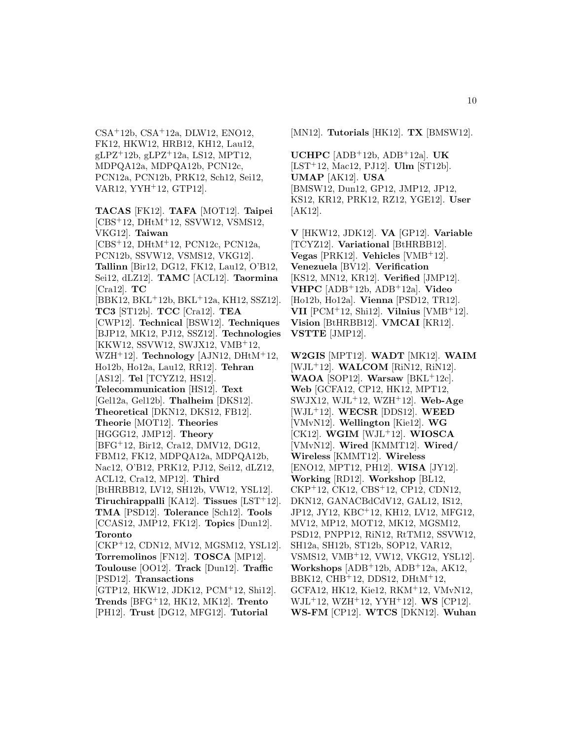$CSA<sup>+</sup>12b$ ,  $CSA<sup>+</sup>12a$ , DLW12, ENO12, FK12, HKW12, HRB12, KH12, Lau12,  $gLPZ^+12b$ ,  $gLPZ^+12a$ , LS12, MPT12, MDPQA12a, MDPQA12b, PCN12c, PCN12a, PCN12b, PRK12, Sch12, Sei12, VAR12, YYH<sup>+</sup>12, GTP12].

**TACAS** [FK12]. **TAFA** [MOT12]. **Taipei** [CBS<sup>+</sup>12, DHtM<sup>+</sup>12, SSVW12, VSMS12, VKG12]. **Taiwan** [CBS<sup>+</sup>12, DHtM<sup>+</sup>12, PCN12c, PCN12a, PCN12b, SSVW12, VSMS12, VKG12]. **Tallinn** [Bir12, DG12, FK12, Lau12, O'B12, Sei12, dLZ12]. **TAMC** [ACL12]. **Taormina** [Cra12]. **TC** [BBK12, BKL<sup>+</sup>12b, BKL<sup>+</sup>12a, KH12, SSZ12]. **TC3** [ST12b]. **TCC** [Cra12]. **TEA** [CWP12]. **Technical** [BSW12]. **Techniques** [BJP12, MK12, PJ12, SSZ12]. **Technologies** [KKW12, SSVW12, SWJX12, VMB<sup>+</sup>12, WZH<sup>+</sup>12]. **Technology** [AJN12, DHtM<sup>+</sup>12, Ho12b, Ho12a, Lau12, RR12]. **Tehran** [AS12]. **Tel** [TCYZ12, HS12]. **Telecommunication** [HS12]. **Text** [Gel12a, Gel12b]. **Thalheim** [DKS12]. **Theoretical** [DKN12, DKS12, FB12]. **Theorie** [MOT12]. **Theories** [HGGG12, JMP12]. **Theory** [BFG<sup>+</sup>12, Bir12, Cra12, DMV12, DG12, FBM12, FK12, MDPQA12a, MDPQA12b, Nac12, O'B12, PRK12, PJ12, Sei12, dLZ12, ACL12, Cra12, MP12]. **Third** [BtHRBB12, LV12, SH12b, VW12, YSL12]. **Tiruchirappalli** [KA12]. **Tissues** [LST<sup>+</sup>12]. **TMA** [PSD12]. **Tolerance** [Sch12]. **Tools** [CCAS12, JMP12, FK12]. **Topics** [Dun12]. **Toronto** [CKP<sup>+</sup>12, CDN12, MV12, MGSM12, YSL12]. **Torremolinos** [FN12]. **TOSCA** [MP12]. **Toulouse** [OO12]. **Track** [Dun12]. **Traffic** [PSD12]. **Transactions** [GTP12, HKW12, JDK12, PCM<sup>+</sup>12, Shi12]. **Trends** [BFG<sup>+</sup>12, HK12, MK12]. **Trento** [PH12]. **Trust** [DG12, MFG12]. **Tutorial**

[MN12]. **Tutorials** [HK12]. **TX** [BMSW12].

**UCHPC** [ADB<sup>+</sup>12b, ADB<sup>+</sup>12a]. **UK** [LST<sup>+</sup>12, Mac12, PJ12]. **Ulm** [ST12b]. **UMAP** [AK12]. **USA** [BMSW12, Dun12, GP12, JMP12, JP12, KS12, KR12, PRK12, RZ12, YGE12]. **User** [AK12].

**V** [HKW12, JDK12]. **VA** [GP12]. **Variable** [TCYZ12]. **Variational** [BtHRBB12]. **Vegas** [PRK12]. **Vehicles** [VMB<sup>+</sup>12]. **Venezuela** [BV12]. **Verification** [KS12, MN12, KR12]. **Verified** [JMP12]. **VHPC** [ADB<sup>+</sup>12b, ADB<sup>+</sup>12a]. **Video** [Ho12b, Ho12a]. **Vienna** [PSD12, TR12]. **VII** [PCM<sup>+</sup>12, Shi12]. **Vilnius** [VMB<sup>+</sup>12]. **Vision** [BtHRBB12]. **VMCAI** [KR12]. **VSTTE** [JMP12].

**W2GIS** [MPT12]. **WADT** [MK12]. **WAIM** [WJL<sup>+</sup>12]. **WALCOM** [RiN12, RiN12]. **WAOA** [SOP12]. **Warsaw**  $[BKL+12c]$ . **Web** [GCFA12, CP12, HK12, MPT12, SWJX12, WJL<sup>+</sup>12, WZH<sup>+</sup>12]. **Web-Age** [WJL<sup>+</sup>12]. **WECSR** [DDS12]. **WEED** [VMvN12]. **Wellington** [Kie12]. **WG** [CK12]. **WGIM** [WJL<sup>+</sup>12]. **WIOSCA** [VMvN12]. **Wired** [KMMT12]. **Wired/ Wireless** [KMMT12]. **Wireless** [ENO12, MPT12, PH12]. **WISA** [JY12]. **Working** [RD12]. **Workshop** [BL12, CKP<sup>+</sup>12, CK12, CBS<sup>+</sup>12, CP12, CDN12, DKN12, GANACBdCdV12, GAL12, IS12, JP12, JY12, KBC<sup>+</sup>12, KH12, LV12, MFG12, MV12, MP12, MOT12, MK12, MGSM12, PSD12, PNPP12, RiN12, RtTM12, SSVW12, SH12a, SH12b, ST12b, SOP12, VAR12, VSMS12, VMB<sup>+</sup>12, VW12, VKG12, YSL12]. **Workshops** [ADB<sup>+</sup>12b, ADB<sup>+</sup>12a, AK12, BBK12, CHB<sup>+</sup>12, DDS12, DHtM<sup>+</sup>12, GCFA12, HK12, Kie12, RKM<sup>+</sup>12, VMvN12, WJL<sup>+</sup>12, WZH<sup>+</sup>12, YYH<sup>+</sup>12]. **WS** [CP12]. **WS-FM** [CP12]. **WTCS** [DKN12]. **Wuhan**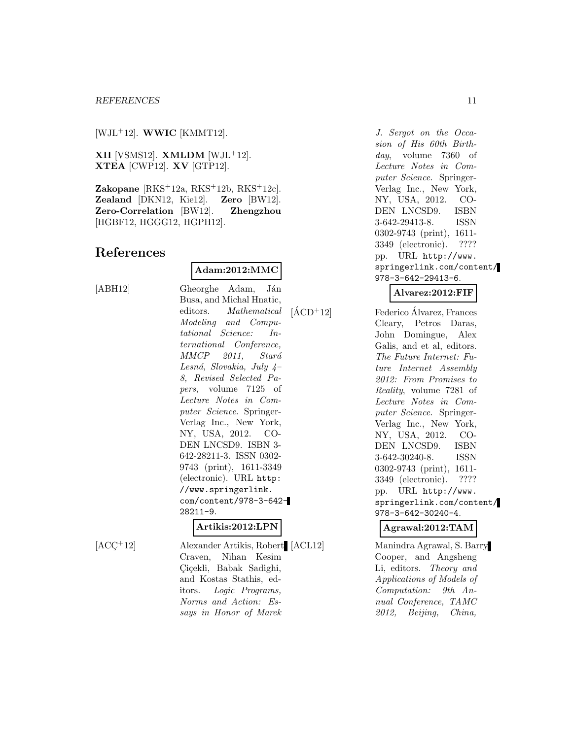[WJL<sup>+</sup>12]. **WWIC** [KMMT12].

**XII** [VSMS12]. **XMLDM** [WJL<sup>+</sup>12]. **XTEA** [CWP12]. **XV** [GTP12].

**Zakopane** [RKS<sup>+</sup>12a, RKS<sup>+</sup>12b, RKS<sup>+</sup>12c]. **Zealand** [DKN12, Kie12]. **Zero** [BW12]. **Zero-Correlation** [BW12]. **Zhengzhou** [HGBF12, HGGG12, HGPH12].

## **References**

#### **Adam:2012:MMC**

[ABH12] Gheorghe Adam, Ján Busa, and Michal Hnatic, editors. Mathematical Modeling and Computational Science: International Conference,  $MMCP$  2011, Stará Lesná, Slovakia, July  $\mu$ – 8, Revised Selected Papers, volume 7125 of Lecture Notes in Computer Science. Springer-Verlag Inc., New York, NY, USA, 2012. CO-DEN LNCSD9. ISBN 3- 642-28211-3. ISSN 0302- 9743 (print), 1611-3349 (electronic). URL http: //www.springerlink. com/content/978-3-642- 28211-9.

#### **Artikis:2012:LPN**

[ACC<sup>+</sup>12] Alexander Artikis, Robert [ACL12] Craven, Nihan Kesim Ciçekli, Babak Sadighi, and Kostas Stathis, editors. Logic Programs, Norms and Action: Essays in Honor of Marek

J. Sergot on the Occasion of His 60th Birthday, volume 7360 of Lecture Notes in Computer Science. Springer-Verlag Inc., New York, NY, USA, 2012. CO-DEN LNCSD9. ISBN 3-642-29413-8. ISSN 0302-9743 (print), 1611- 3349 (electronic). ???? pp. URL http://www. springerlink.com/content/ 978-3-642-29413-6.

## **Alvarez:2012:FIF**

 $[\text{ÁCD}^+12]$  Federico Álvarez, Frances Cleary, Petros Daras, John Domingue, Alex Galis, and et al, editors. The Future Internet: Future Internet Assembly 2012: From Promises to Reality, volume 7281 of Lecture Notes in Computer Science. Springer-Verlag Inc., New York, NY, USA, 2012. CO-DEN LNCSD9. ISBN 3-642-30240-8. ISSN 0302-9743 (print), 1611- 3349 (electronic). ???? pp. URL http://www. springerlink.com/content/ 978-3-642-30240-4.

**Agrawal:2012:TAM**

Manindra Agrawal, S. Barry Cooper, and Angsheng Li, editors. Theory and Applications of Models of Computation: 9th Annual Conference, TAMC 2012, Beijing, China,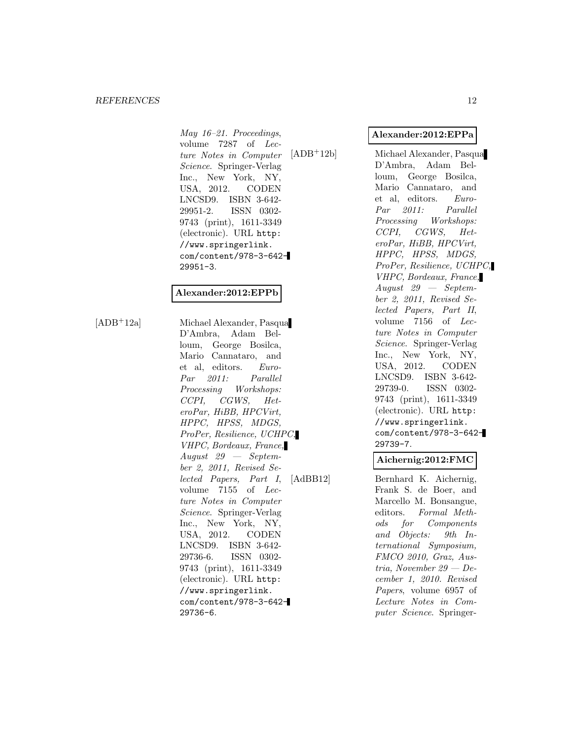#### *REFERENCES* 12

May 16–21. Proceedings, volume 7287 of Lecture Notes in Computer Science. Springer-Verlag Inc., New York, NY, USA, 2012. CODEN LNCSD9. ISBN 3-642- 29951-2. ISSN 0302- 9743 (print), 1611-3349 (electronic). URL http: //www.springerlink. com/content/978-3-642- 29951-3.

## **Alexander:2012:EPPb**

[ADB<sup>+</sup>12a] Michael Alexander, Pasqua D'Ambra, Adam Belloum, George Bosilca, Mario Cannataro, and et al, editors. Euro-Par 2011: Parallel Processing Workshops: CCPI, CGWS, HeteroPar, HiBB, HPCVirt, HPPC, HPSS, MDGS, ProPer, Resilience, UCHPC, VHPC, Bordeaux, France, August 29 — September 2, 2011, Revised Selected Papers, Part I, volume 7155 of Lecture Notes in Computer Science. Springer-Verlag Inc., New York, NY, USA, 2012. CODEN LNCSD9. ISBN 3-642- 29736-6. ISSN 0302- 9743 (print), 1611-3349 (electronic). URL http: //www.springerlink. com/content/978-3-642- 29736-6.

#### **Alexander:2012:EPPa**

[ADB<sup>+</sup>12b] Michael Alexander, Pasqua D'Ambra, Adam Belloum, George Bosilca, Mario Cannataro, and et al, editors. Euro-Par 2011: Parallel Processing Workshops: CCPI, CGWS, HeteroPar, HiBB, HPCVirt, HPPC, HPSS, MDGS, ProPer, Resilience, UCHPC, VHPC, Bordeaux, France, August 29 — September 2, 2011, Revised Selected Papers, Part II, volume 7156 of Lecture Notes in Computer Science. Springer-Verlag Inc., New York, NY, USA, 2012. CODEN LNCSD9. ISBN 3-642- 29739-0. ISSN 0302- 9743 (print), 1611-3349 (electronic). URL http: //www.springerlink. com/content/978-3-642- 29739-7.

## **Aichernig:2012:FMC**

[AdBB12] Bernhard K. Aichernig, Frank S. de Boer, and Marcello M. Bonsangue, editors. Formal Methods for Components and Objects: 9th International Symposium, FMCO 2010, Graz, Austria, November 29 — December 1, 2010. Revised Papers, volume 6957 of Lecture Notes in Computer Science. Springer-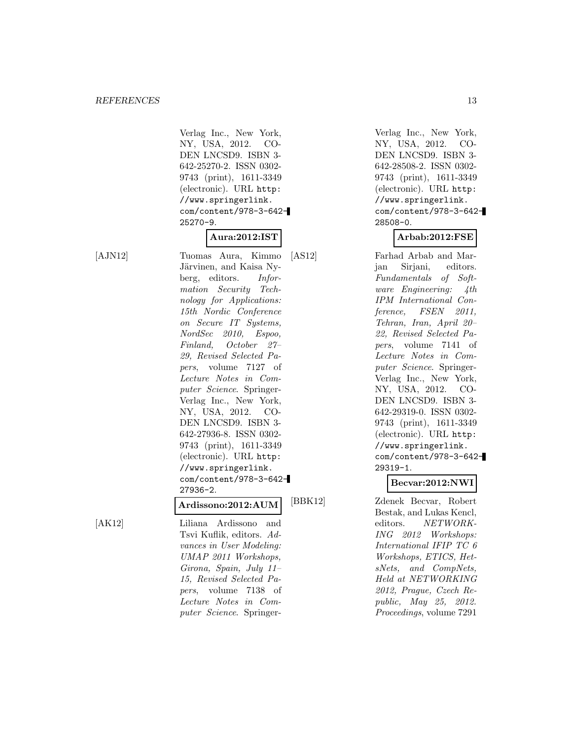Verlag Inc., New York, NY, USA, 2012. CO-DEN LNCSD9. ISBN 3- 642-25270-2. ISSN 0302- 9743 (print), 1611-3349 (electronic). URL http: //www.springerlink. com/content/978-3-642- 25270-9.

## **Aura:2012:IST**

[AJN12] Tuomas Aura, Kimmo Järvinen, and Kaisa Nyberg, editors. Information Security Technology for Applications: 15th Nordic Conference on Secure IT Systems, NordSec 2010, Espoo, Finland, October 27– 29, Revised Selected Papers, volume 7127 of Lecture Notes in Computer Science. Springer-Verlag Inc., New York, NY, USA, 2012. CO-DEN LNCSD9. ISBN 3- 642-27936-8. ISSN 0302- 9743 (print), 1611-3349 (electronic). URL http: //www.springerlink. com/content/978-3-642- 27936-2.

## **Ardissono:2012:AUM**

[AK12] Liliana Ardissono and Tsvi Kuflik, editors. Advances in User Modeling: UMAP 2011 Workshops, Girona, Spain, July 11– 15, Revised Selected Papers, volume 7138 of Lecture Notes in Computer Science. Springer-

Verlag Inc., New York, NY, USA, 2012. CO-DEN LNCSD9. ISBN 3- 642-28508-2. ISSN 0302- 9743 (print), 1611-3349 (electronic). URL http: //www.springerlink. com/content/978-3-642- 28508-0.

#### **Arbab:2012:FSE**

[AS12] Farhad Arbab and Marjan Sirjani, editors. Fundamentals of Software Engineering: 4th IPM International Conference, FSEN 2011, Tehran, Iran, April 20– 22, Revised Selected Papers, volume 7141 of Lecture Notes in Computer Science. Springer-Verlag Inc., New York, NY, USA, 2012. CO-DEN LNCSD9. ISBN 3- 642-29319-0. ISSN 0302- 9743 (print), 1611-3349 (electronic). URL http: //www.springerlink. com/content/978-3-642- 29319-1.

#### **Becvar:2012:NWI**

[BBK12] Zdenek Becvar, Robert Bestak, and Lukas Kencl, editors. NETWORK-ING 2012 Workshops: International IFIP TC 6 Workshops, ETICS, HetsNets, and CompNets, Held at NETWORKING 2012, Prague, Czech Republic, May 25, 2012. Proceedings, volume 7291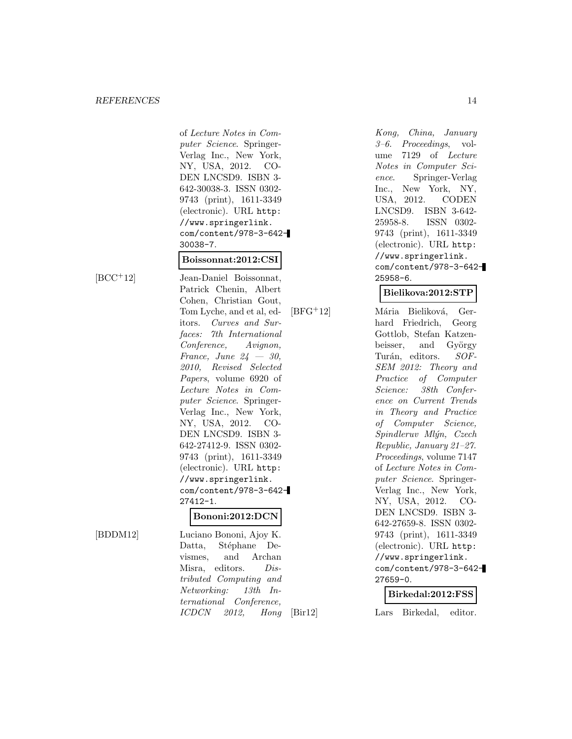of Lecture Notes in Computer Science. Springer-Verlag Inc., New York, NY, USA, 2012. CO-DEN LNCSD9. ISBN 3- 642-30038-3. ISSN 0302- 9743 (print), 1611-3349 (electronic). URL http: //www.springerlink. com/content/978-3-642- 30038-7.

#### **Boissonnat:2012:CSI**

[BCC<sup>+</sup>12] Jean-Daniel Boissonnat, Patrick Chenin, Albert Cohen, Christian Gout, Tom Lyche, and et al, editors. Curves and Surfaces: 7th International Conference, Avignon, France, June  $24 - 30$ , 2010, Revised Selected Papers, volume 6920 of Lecture Notes in Computer Science. Springer-Verlag Inc., New York, NY, USA, 2012. CO-DEN LNCSD9. ISBN 3- 642-27412-9. ISSN 0302- 9743 (print), 1611-3349 (electronic). URL http: //www.springerlink. com/content/978-3-642- 27412-1.

#### **Bononi:2012:DCN**

[BDDM12] Luciano Bononi, Ajoy K. Datta, Stéphane Devismes, and Archan Misra, editors. Distributed Computing and Networking: 13th International Conference, ICDCN 2012, Hong

Kong, China, January 3–6. Proceedings, volume 7129 of Lecture Notes in Computer Science. Springer-Verlag Inc., New York, NY, USA, 2012. CODEN LNCSD9. ISBN 3-642- 25958-8. ISSN 0302- 9743 (print), 1611-3349 (electronic). URL http: //www.springerlink. com/content/978-3-642- 25958-6.

## **Bielikova:2012:STP**

[BFG<sup>+</sup>12] Mária Bieliková, Gerhard Friedrich, Georg Gottlob, Stefan Katzenbeisser, and György Turán, editors. SOF-SEM 2012: Theory and Practice of Computer Science: 38th Conference on Current Trends in Theory and Practice of Computer Science, Spindleruv Mlýn, Czech Republic, January 21–27. Proceedings, volume 7147 of Lecture Notes in Computer Science. Springer-Verlag Inc., New York, NY, USA, 2012. CO-DEN LNCSD9. ISBN 3- 642-27659-8. ISSN 0302- 9743 (print), 1611-3349 (electronic). URL http: //www.springerlink. com/content/978-3-642- 27659-0.

#### **Birkedal:2012:FSS**

[Bir12] Lars Birkedal, editor.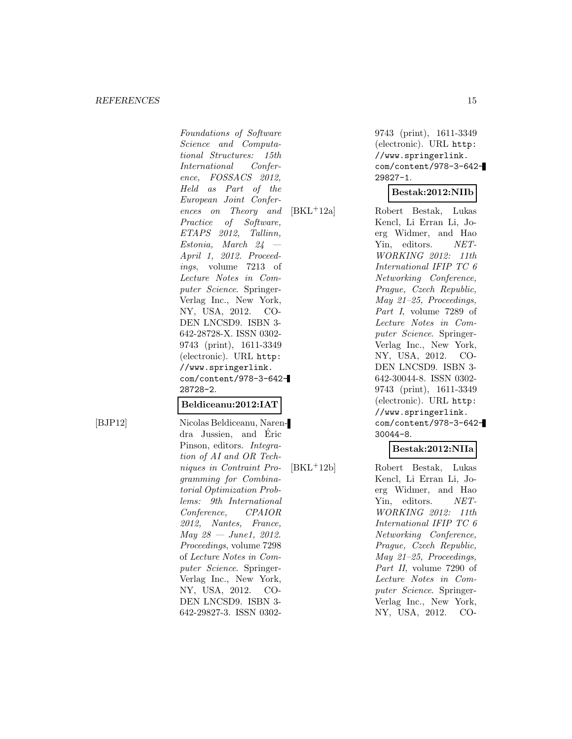Foundations of Software Science and Computational Structures: 15th International Conference, FOSSACS 2012, Held as Part of the European Joint Conferences on Theory and Practice of Software, ETAPS 2012, Tallinn, Estonia, March 24 — April 1, 2012. Proceedings, volume 7213 of Lecture Notes in Computer Science. Springer-Verlag Inc., New York, NY, USA, 2012. CO-DEN LNCSD9. ISBN 3- 642-28728-X. ISSN 0302- 9743 (print), 1611-3349 (electronic). URL http: //www.springerlink. com/content/978-3-642- 28728-2.

#### **Beldiceanu:2012:IAT**

[BJP12] Nicolas Beldiceanu, Narendra Jussien, and Eric ´ Pinson, editors. Integration of AI and OR Techniques in Contraint Programming for Combinatorial Optimization Problems: 9th International Conference, CPAIOR 2012, Nantes, France,  $May 28 - June1, 2012.$ Proceedings, volume 7298 of Lecture Notes in Computer Science. Springer-Verlag Inc., New York, NY, USA, 2012. CO-DEN LNCSD9. ISBN 3- 642-29827-3. ISSN 0302-

9743 (print), 1611-3349 (electronic). URL http: //www.springerlink. com/content/978-3-642- 29827-1.

#### **Bestak:2012:NIIb**

[BKL<sup>+</sup>12a] Robert Bestak, Lukas Kencl, Li Erran Li, Joerg Widmer, and Hao Yin, editors. NET-WORKING 2012: 11th International IFIP TC 6 Networking Conference, Prague, Czech Republic, May 21–25, Proceedings, Part I, volume 7289 of Lecture Notes in Computer Science. Springer-Verlag Inc., New York, NY, USA, 2012. CO-DEN LNCSD9. ISBN 3- 642-30044-8. ISSN 0302- 9743 (print), 1611-3349 (electronic). URL http: //www.springerlink. com/content/978-3-642- 30044-8.

#### **Bestak:2012:NIIa**

[BKL<sup>+</sup>12b] Robert Bestak, Lukas Kencl, Li Erran Li, Joerg Widmer, and Hao Yin, editors. NET-WORKING 2012: 11th International IFIP TC 6 Networking Conference, Prague, Czech Republic, May 21–25, Proceedings, Part II, volume 7290 of Lecture Notes in Computer Science. Springer-Verlag Inc., New York, NY, USA, 2012. CO-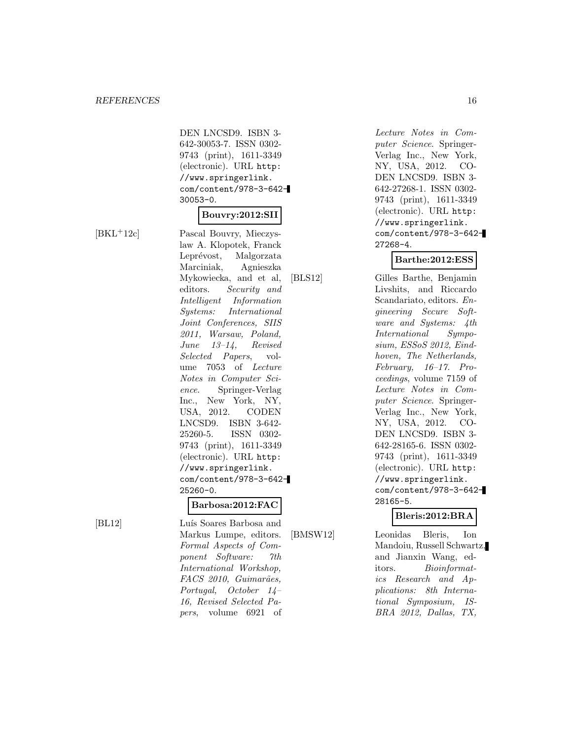DEN LNCSD9. ISBN 3- 642-30053-7. ISSN 0302- 9743 (print), 1611-3349 (electronic). URL http: //www.springerlink. com/content/978-3-642- 30053-0.

#### **Bouvry:2012:SII**

[BKL<sup>+</sup>12c] Pascal Bouvry, Mieczyslaw A. Klopotek, Franck Leprévost, Malgorzata Marciniak, Agnieszka Mykowiecka, and et al, editors. Security and Intelligent Information Systems: International Joint Conferences, SIIS 2011, Warsaw, Poland, June 13–14, Revised Selected Papers, volume 7053 of Lecture Notes in Computer Science. Springer-Verlag Inc., New York, NY, USA, 2012. CODEN LNCSD9. ISBN 3-642- 25260-5. ISSN 0302- 9743 (print), 1611-3349 (electronic). URL http: //www.springerlink. com/content/978-3-642- 25260-0.

#### **Barbosa:2012:FAC**

[BL12] Luís Soares Barbosa and Markus Lumpe, editors. Formal Aspects of Component Software: 7th International Workshop, FACS 2010, Guimarães, Portugal, October 14– 16, Revised Selected Papers, volume 6921 of

Lecture Notes in Computer Science. Springer-Verlag Inc., New York, NY, USA, 2012. CO-DEN LNCSD9. ISBN 3- 642-27268-1. ISSN 0302- 9743 (print), 1611-3349 (electronic). URL http: //www.springerlink. com/content/978-3-642- 27268-4.

#### **Barthe:2012:ESS**

[BLS12] Gilles Barthe, Benjamin Livshits, and Riccardo Scandariato, editors. Engineering Secure Software and Systems: 4th International Symposium, ESSoS 2012, Eindhoven, The Netherlands, February, 16–17. Proceedings, volume 7159 of Lecture Notes in Computer Science. Springer-Verlag Inc., New York, NY, USA, 2012. CO-DEN LNCSD9. ISBN 3- 642-28165-6. ISSN 0302- 9743 (print), 1611-3349 (electronic). URL http: //www.springerlink. com/content/978-3-642- 28165-5.

#### **Bleris:2012:BRA**

[BMSW12] Leonidas Bleris, Ion Mandoiu, Russell Schwartz, and Jianxin Wang, editors. Bioinformatics Research and Applications: 8th International Symposium, IS-BRA 2012, Dallas, TX,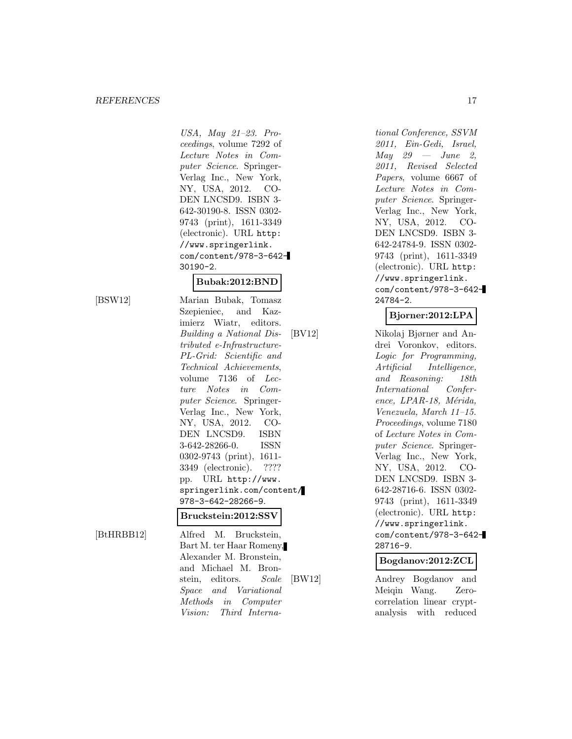#### *REFERENCES* 17

USA, May 21–23. Proceedings, volume 7292 of Lecture Notes in Computer Science. Springer-Verlag Inc., New York, NY, USA, 2012. CO-DEN LNCSD9. ISBN 3- 642-30190-8. ISSN 0302- 9743 (print), 1611-3349 (electronic). URL http: //www.springerlink. com/content/978-3-642- 30190-2.

## **Bubak:2012:BND**

[BSW12] Marian Bubak, Tomasz Szepieniec, and Kazimierz Wiatr, editors. Building a National Distributed e-Infrastructure-PL-Grid: Scientific and Technical Achievements, volume 7136 of Lecture Notes in Computer Science. Springer-Verlag Inc., New York, NY, USA, 2012. CO-DEN LNCSD9. ISBN 3-642-28266-0. ISSN 0302-9743 (print), 1611- 3349 (electronic). ???? pp. URL http://www. springerlink.com/content/ 978-3-642-28266-9.

#### **Bruckstein:2012:SSV**

[BtHRBB12] Alfred M. Bruckstein, Bart M. ter Haar Romeny, Alexander M. Bronstein, and Michael M. Bronstein, editors. Scale Space and Variational Methods in Computer Vision: Third Interna-

tional Conference, SSVM 2011, Ein-Gedi, Israel,  $May \quad 29 \quad - \quad June \quad 2$ 2011, Revised Selected Papers, volume 6667 of Lecture Notes in Computer Science. Springer-Verlag Inc., New York, NY, USA, 2012. CO-DEN LNCSD9. ISBN 3- 642-24784-9. ISSN 0302- 9743 (print), 1611-3349 (electronic). URL http: //www.springerlink. com/content/978-3-642- 24784-2.

## **Bjorner:2012:LPA**

[BV12] Nikolaj Bjørner and Andrei Voronkov, editors. Logic for Programming, Artificial Intelligence, and Reasoning: 18th International Conference, LPAR-18, Mérida, Venezuela, March 11–15. Proceedings, volume 7180 of Lecture Notes in Computer Science. Springer-Verlag Inc., New York, NY, USA, 2012. CO-DEN LNCSD9. ISBN 3- 642-28716-6. ISSN 0302- 9743 (print), 1611-3349 (electronic). URL http: //www.springerlink. com/content/978-3-642- 28716-9.

**Bogdanov:2012:ZCL**

[BW12] Andrey Bogdanov and Meiqin Wang. Zerocorrelation linear cryptanalysis with reduced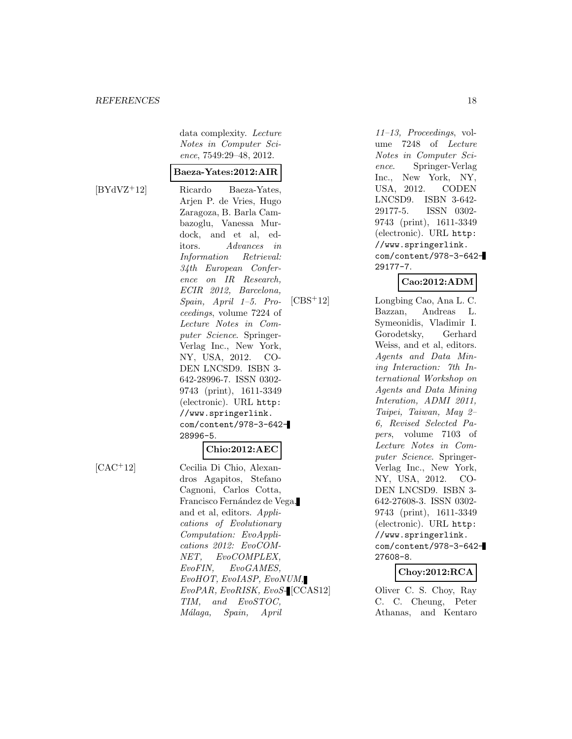data complexity. Lecture Notes in Computer Science, 7549:29–48, 2012.

#### **Baeza-Yates:2012:AIR**

[BYdVZ<sup>+</sup>12] Ricardo Baeza-Yates, Arjen P. de Vries, Hugo Zaragoza, B. Barla Cambazoglu, Vanessa Murdock, and et al, editors. Advances in Information Retrieval: 34th European Conference on IR Research, ECIR 2012, Barcelona, Spain, April 1–5. Proceedings, volume 7224 of Lecture Notes in Computer Science. Springer-Verlag Inc., New York, NY, USA, 2012. CO-DEN LNCSD9. ISBN 3- 642-28996-7. ISSN 0302- 9743 (print), 1611-3349 (electronic). URL http: //www.springerlink. com/content/978-3-642- 28996-5.

#### **Chio:2012:AEC**

dros Agapitos, Stefano Cagnoni, Carlos Cotta, Francisco Fernández de Vega, and et al, editors. Applications of Evolutionary Computation: EvoApplications 2012: EvoCOM-NET, EvoCOMPLEX, EvoFIN, EvoGAMES, EvoHOT, EvoIASP, EvoNUM, EvoPAR, EvoRISK, EvoS-

TIM, and EvoSTOC, M´alaga, Spain, April

[CAC<sup>+</sup>12] Cecilia Di Chio, Alexan-

11–13, Proceedings, volume 7248 of Lecture Notes in Computer Science. Springer-Verlag Inc., New York, NY, USA, 2012. CODEN LNCSD9. ISBN 3-642- 29177-5. ISSN 0302- 9743 (print), 1611-3349 (electronic). URL http: //www.springerlink. com/content/978-3-642- 29177-7.

## **Cao:2012:ADM**

[CBS<sup>+</sup>12] Longbing Cao, Ana L. C. Bazzan, Andreas L. Symeonidis, Vladimir I. Gorodetsky, Gerhard Weiss, and et al, editors. Agents and Data Mining Interaction: 7th International Workshop on Agents and Data Mining Interation, ADMI 2011, Taipei, Taiwan, May 2– 6, Revised Selected Papers, volume 7103 of Lecture Notes in Computer Science. Springer-Verlag Inc., New York, NY, USA, 2012. CO-DEN LNCSD9. ISBN 3- 642-27608-3. ISSN 0302- 9743 (print), 1611-3349 (electronic). URL http: //www.springerlink. com/content/978-3-642- 27608-8.

## **Choy:2012:RCA**

Oliver C. S. Choy, Ray C. C. Cheung, Peter Athanas, and Kentaro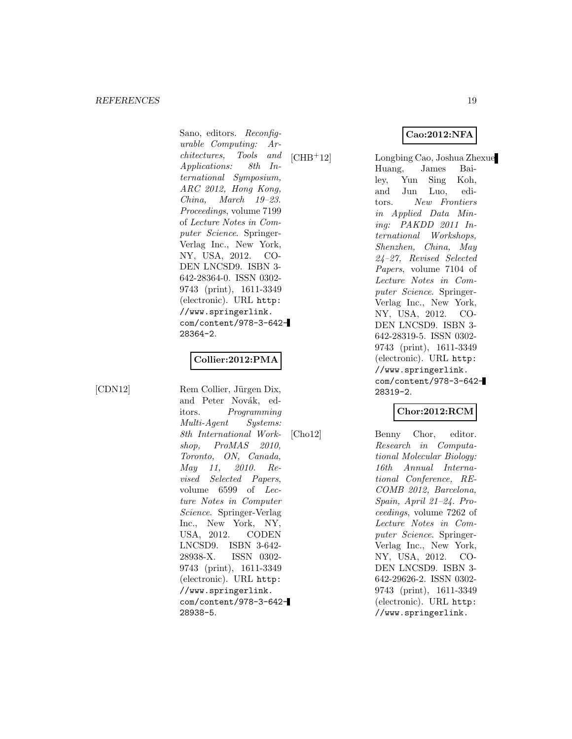Sano, editors. Reconfigurable Computing: Architectures, Tools and Applications: 8th International Symposium, ARC 2012, Hong Kong, China, March 19–23. Proceedings, volume 7199 of Lecture Notes in Computer Science. Springer-Verlag Inc., New York, NY, USA, 2012. CO-DEN LNCSD9. ISBN 3- 642-28364-0. ISSN 0302- 9743 (print), 1611-3349 (electronic). URL http: //www.springerlink. com/content/978-3-642- 28364-2.

## **Collier:2012:PMA**

[CDN12] Rem Collier, Jürgen Dix, and Peter Novák, editors. Programming Multi-Agent Systems: 8th International Workshop, ProMAS 2010, Toronto, ON, Canada, May 11, 2010. Revised Selected Papers, volume 6599 of Lecture Notes in Computer Science. Springer-Verlag Inc., New York, NY, USA, 2012. CODEN LNCSD9. ISBN 3-642- 28938-X. ISSN 0302- 9743 (print), 1611-3349 (electronic). URL http: //www.springerlink. com/content/978-3-642- 28938-5.

[CHB<sup>+</sup>12] Longbing Cao, Joshua Zhexue Huang, James Bailey, Yun Sing Koh, and Jun Luo, editors. New Frontiers in Applied Data Mining: PAKDD 2011 International Workshops, Shenzhen, China, May 24–27, Revised Selected Papers, volume 7104 of Lecture Notes in Computer Science. Springer-Verlag Inc., New York, NY, USA, 2012. CO-DEN LNCSD9. ISBN 3- 642-28319-5. ISSN 0302- 9743 (print), 1611-3349 (electronic). URL http: //www.springerlink. com/content/978-3-642- 28319-2.

**Cao:2012:NFA**

## **Chor:2012:RCM**

[Cho12] Benny Chor, editor. Research in Computational Molecular Biology: 16th Annual International Conference, RE-COMB 2012, Barcelona, Spain, April 21–24. Proceedings, volume 7262 of Lecture Notes in Computer Science. Springer-Verlag Inc., New York, NY, USA, 2012. CO-DEN LNCSD9. ISBN 3- 642-29626-2. ISSN 0302- 9743 (print), 1611-3349 (electronic). URL http: //www.springerlink.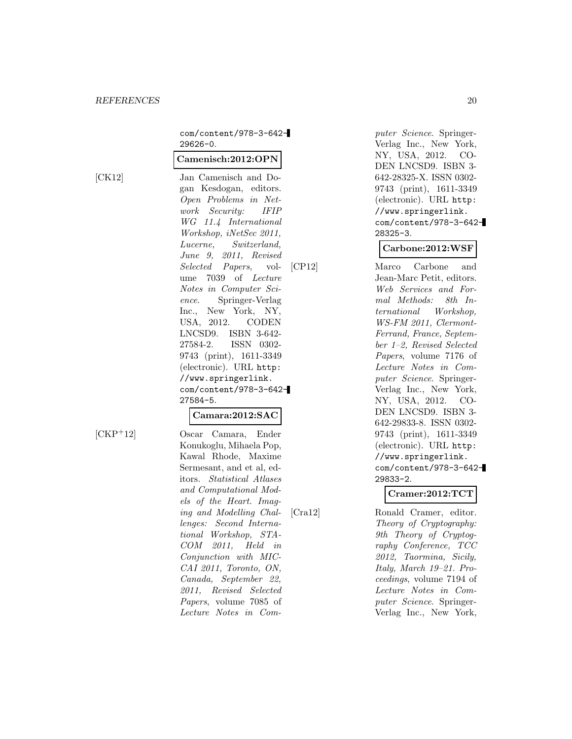com/content/978-3-642- 29626-0.

#### **Camenisch:2012:OPN**

[CK12] Jan Camenisch and Dogan Kesdogan, editors. Open Problems in Network Security: IFIP WG 11.4 International Workshop, iNetSec 2011, Lucerne, Switzerland, June 9, 2011, Revised Selected Papers, volume 7039 of Lecture Notes in Computer Science. Springer-Verlag Inc., New York, NY, USA, 2012. CODEN LNCSD9. ISBN 3-642- 27584-2. ISSN 0302- 9743 (print), 1611-3349 (electronic). URL http: //www.springerlink. com/content/978-3-642- 27584-5.

## **Camara:2012:SAC**

[CKP<sup>+</sup>12] Oscar Camara, Ender Konukoglu, Mihaela Pop, Kawal Rhode, Maxime Sermesant, and et al, editors. Statistical Atlases and Computational Models of the Heart. Imaging and Modelling Challenges: Second International Workshop, STA-COM 2011, Held in Conjunction with MIC-CAI 2011, Toronto, ON, Canada, September 22, 2011, Revised Selected Papers, volume 7085 of Lecture Notes in Com-

puter Science. Springer-Verlag Inc., New York, NY, USA, 2012. CO-DEN LNCSD9. ISBN 3- 642-28325-X. ISSN 0302- 9743 (print), 1611-3349 (electronic). URL http: //www.springerlink. com/content/978-3-642- 28325-3.

## **Carbone:2012:WSF**

[CP12] Marco Carbone and Jean-Marc Petit, editors. Web Services and Formal Methods: 8th International Workshop, WS-FM 2011, Clermont-Ferrand, France, September 1–2, Revised Selected Papers, volume 7176 of Lecture Notes in Computer Science. Springer-Verlag Inc., New York, NY, USA, 2012. CO-DEN LNCSD9. ISBN 3- 642-29833-8. ISSN 0302- 9743 (print), 1611-3349 (electronic). URL http: //www.springerlink. com/content/978-3-642- 29833-2.

## **Cramer:2012:TCT**

[Cra12] Ronald Cramer, editor. Theory of Cryptography: 9th Theory of Cryptography Conference, TCC 2012, Taormina, Sicily, Italy, March 19–21. Proceedings, volume 7194 of Lecture Notes in Computer Science. Springer-Verlag Inc., New York,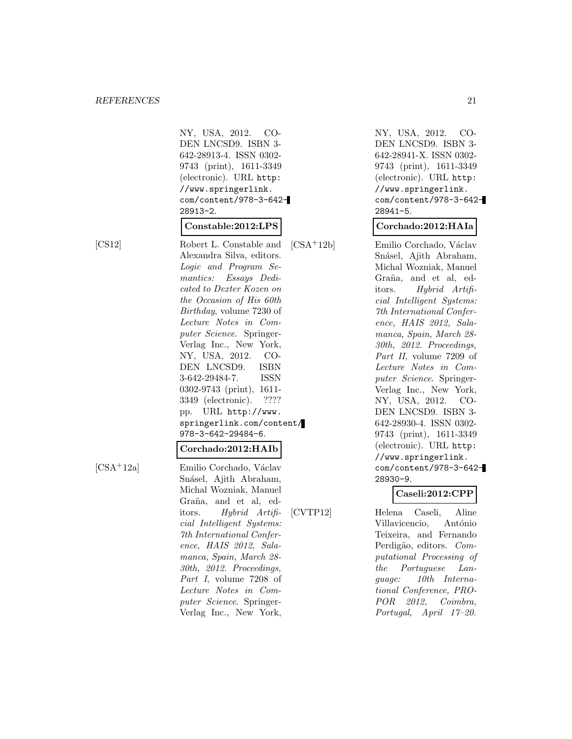NY, USA, 2012. CO-DEN LNCSD9. ISBN 3- 642-28913-4. ISSN 0302- 9743 (print), 1611-3349 (electronic). URL http: //www.springerlink. com/content/978-3-642- 28913-2.

## **Constable:2012:LPS**

[CS12] Robert L. Constable and Alexandra Silva, editors. Logic and Program Semantics: Essays Dedicated to Dexter Kozen on the Occasion of His 60th Birthday, volume 7230 of Lecture Notes in Computer Science. Springer-Verlag Inc., New York, NY, USA, 2012. CO-DEN LNCSD9. ISBN 3-642-29484-7. ISSN 0302-9743 (print), 1611- 3349 (electronic). ???? pp. URL http://www. springerlink.com/content/ 978-3-642-29484-6.

## **Corchado:2012:HAIb**

[CSA<sup>+</sup>12a] Emilio Corchado, Václav Snásel, Ajith Abraham, Michal Wozniak, Manuel Graña, and et al, editors. Hybrid Artificial Intelligent Systems: 7th International Conference, HAIS 2012, Salamanca, Spain, March 28- 30th, 2012. Proceedings, Part I, volume 7208 of Lecture Notes in Computer Science. Springer-Verlag Inc., New York,

NY, USA, 2012. CO-DEN LNCSD9. ISBN 3- 642-28941-X. ISSN 0302- 9743 (print), 1611-3349 (electronic). URL http: //www.springerlink. com/content/978-3-642- 28941-5.

#### **Corchado:2012:HAIa**

[CSA<sup>+</sup>12b] Emilio Corchado, Václav Snásel, Ajith Abraham, Michal Wozniak, Manuel Graña, and et al, editors. Hybrid Artificial Intelligent Systems: 7th International Conference, HAIS 2012, Salamanca, Spain, March 28- 30th, 2012. Proceedings, Part II, volume 7209 of Lecture Notes in Computer Science. Springer-Verlag Inc., New York, NY, USA, 2012. CO-DEN LNCSD9. ISBN 3- 642-28930-4. ISSN 0302- 9743 (print), 1611-3349 (electronic). URL http: //www.springerlink. com/content/978-3-642- 28930-9.

## **Caseli:2012:CPP**

[CVTP12] Helena Caseli, Aline Villavicencio, António Teixeira, and Fernando Perdigão, editors. Computational Processing of the Portuguese Language: 10th International Conference, PRO-POR 2012, Coimbra, Portugal, April 17–20.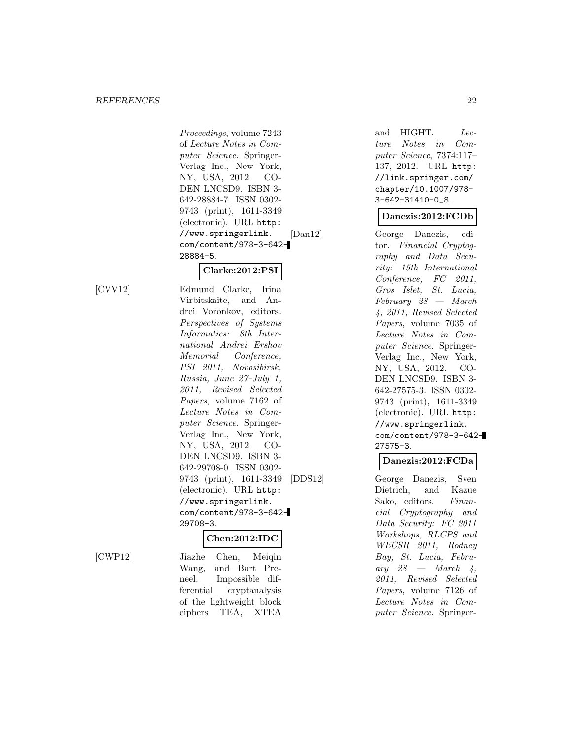Proceedings, volume 7243 of Lecture Notes in Computer Science. Springer-Verlag Inc., New York, NY, USA, 2012. CO-DEN LNCSD9. ISBN 3- 642-28884-7. ISSN 0302- 9743 (print), 1611-3349 (electronic). URL http: //www.springerlink. com/content/978-3-642- 28884-5.

## **Clarke:2012:PSI**

[CVV12] Edmund Clarke, Irina Virbitskaite, and Andrei Voronkov, editors. Perspectives of Systems Informatics: 8th International Andrei Ershov Memorial Conference, PSI 2011, Novosibirsk, Russia, June 27–July 1, 2011, Revised Selected Papers, volume 7162 of Lecture Notes in Computer Science. Springer-Verlag Inc., New York, NY, USA, 2012. CO-DEN LNCSD9. ISBN 3- 642-29708-0. ISSN 0302- 9743 (print), 1611-3349 (electronic). URL http: //www.springerlink. com/content/978-3-642- 29708-3.

#### **Chen:2012:IDC**

[CWP12] Jiazhe Chen, Meiqin Wang, and Bart Preneel. Impossible differential cryptanalysis of the lightweight block ciphers TEA, XTEA

and HIGHT. Lecture Notes in Computer Science, 7374:117– 137, 2012. URL http: //link.springer.com/ chapter/10.1007/978- 3-642-31410-0\_8.

## **Danezis:2012:FCDb**

[Dan12] George Danezis, editor. Financial Cryptography and Data Security: 15th International Conference, FC 2011, Gros Islet, St. Lucia, February 28 — March 4, 2011, Revised Selected Papers, volume 7035 of Lecture Notes in Computer Science. Springer-Verlag Inc., New York, NY, USA, 2012. CO-DEN LNCSD9. ISBN 3- 642-27575-3. ISSN 0302- 9743 (print), 1611-3349 (electronic). URL http: //www.springerlink. com/content/978-3-642- 27575-3.

## **Danezis:2012:FCDa**

[DDS12] George Danezis, Sven Dietrich, and Kazue Sako, editors. Financial Cryptography and Data Security: FC 2011 Workshops, RLCPS and WECSR 2011, Rodney Bay, St. Lucia, Febru- $\operatorname{arg}$  28 — March 4, 2011, Revised Selected Papers, volume 7126 of Lecture Notes in Computer Science. Springer-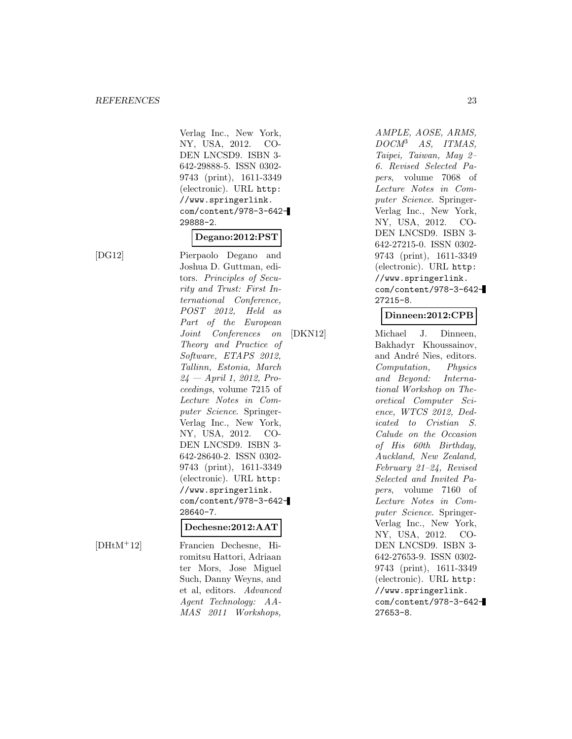Verlag Inc., New York, NY, USA, 2012. CO-DEN LNCSD9. ISBN 3- 642-29888-5. ISSN 0302- 9743 (print), 1611-3349 (electronic). URL http: //www.springerlink. com/content/978-3-642- 29888-2.

## **Degano:2012:PST**

[DG12] Pierpaolo Degano and Joshua D. Guttman, editors. Principles of Security and Trust: First International Conference, POST 2012, Held as Part of the European Joint Conferences on Theory and Practice of Software, ETAPS 2012, Tallinn, Estonia, March  $24$  — April 1, 2012, Proceedings, volume 7215 of Lecture Notes in Computer Science. Springer-Verlag Inc., New York, NY, USA, 2012. CO-DEN LNCSD9. ISBN 3- 642-28640-2. ISSN 0302- 9743 (print), 1611-3349 (electronic). URL http: //www.springerlink. com/content/978-3-642- 28640-7.

#### **Dechesne:2012:AAT**

[DHtM<sup>+</sup>12] Francien Dechesne, Hiromitsu Hattori, Adriaan ter Mors, Jose Miguel Such, Danny Weyns, and et al, editors. Advanced Agent Technology: AA-MAS 2011 Workshops,

AMPLE, AOSE, ARMS, DOCM<sup>3</sup> AS, ITMAS, Taipei, Taiwan, May 2– 6. Revised Selected Papers, volume 7068 of Lecture Notes in Computer Science. Springer-Verlag Inc., New York, NY, USA, 2012. CO-DEN LNCSD9. ISBN 3- 642-27215-0. ISSN 0302- 9743 (print), 1611-3349 (electronic). URL http: //www.springerlink. com/content/978-3-642- 27215-8.

## **Dinneen:2012:CPB**

[DKN12] Michael J. Dinneen, Bakhadyr Khoussainov, and André Nies, editors. Computation, Physics and Beyond: International Workshop on Theoretical Computer Science, WTCS 2012, Dedicated to Cristian S. Calude on the Occasion of His 60th Birthday, Auckland, New Zealand, February 21–24, Revised Selected and Invited Papers, volume 7160 of Lecture Notes in Computer Science. Springer-Verlag Inc., New York, NY, USA, 2012. CO-DEN LNCSD9. ISBN 3- 642-27653-9. ISSN 0302- 9743 (print), 1611-3349 (electronic). URL http: //www.springerlink. com/content/978-3-642- 27653-8.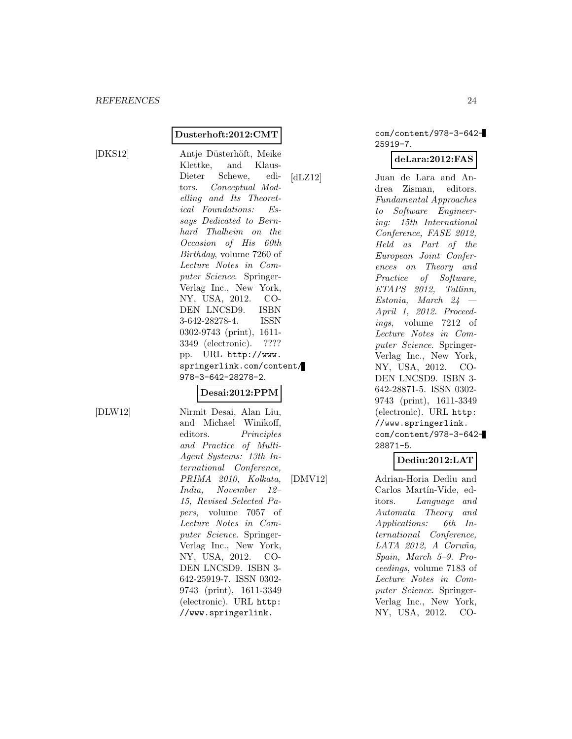#### **Dusterhoft:2012:CMT**

[DKS12] Antje Düsterhöft, Meike Klettke, and Klaus-Dieter Schewe, editors. Conceptual Modelling and Its Theoretical Foundations: Essays Dedicated to Bernhard Thalheim on the Occasion of His 60th Birthday, volume 7260 of Lecture Notes in Computer Science. Springer-Verlag Inc., New York, NY, USA, 2012. CO-DEN LNCSD9. ISBN 3-642-28278-4. ISSN 0302-9743 (print), 1611- 3349 (electronic). ???? pp. URL http://www. springerlink.com/content/ 978-3-642-28278-2.

## **Desai:2012:PPM**

[DLW12] Nirmit Desai, Alan Liu, and Michael Winikoff, editors. Principles and Practice of Multi-Agent Systems: 13th International Conference, PRIMA 2010, Kolkata, India, November 12– 15, Revised Selected Papers, volume 7057 of Lecture Notes in Computer Science. Springer-Verlag Inc., New York, NY, USA, 2012. CO-DEN LNCSD9. ISBN 3- 642-25919-7. ISSN 0302- 9743 (print), 1611-3349 (electronic). URL http: //www.springerlink.

com/content/978-3-642- 25919-7.

#### **deLara:2012:FAS**

[dLZ12] Juan de Lara and Andrea Zisman, editors. Fundamental Approaches to Software Engineering: 15th International Conference, FASE 2012, Held as Part of the European Joint Conferences on Theory and Practice of Software, ETAPS 2012, Tallinn, Estonia, March 24 — April 1, 2012. Proceedings, volume 7212 of Lecture Notes in Computer Science. Springer-Verlag Inc., New York, NY, USA, 2012. CO-DEN LNCSD9. ISBN 3- 642-28871-5. ISSN 0302- 9743 (print), 1611-3349 (electronic). URL http: //www.springerlink. com/content/978-3-642- 28871-5.

## **Dediu:2012:LAT**

[DMV12] Adrian-Horia Dediu and Carlos Martín-Vide, editors. Language and Automata Theory and Applications: 6th International Conference,  $LATA$  2012, A Coruña, Spain, March 5–9. Proceedings, volume 7183 of Lecture Notes in Computer Science. Springer-Verlag Inc., New York, NY, USA, 2012. CO-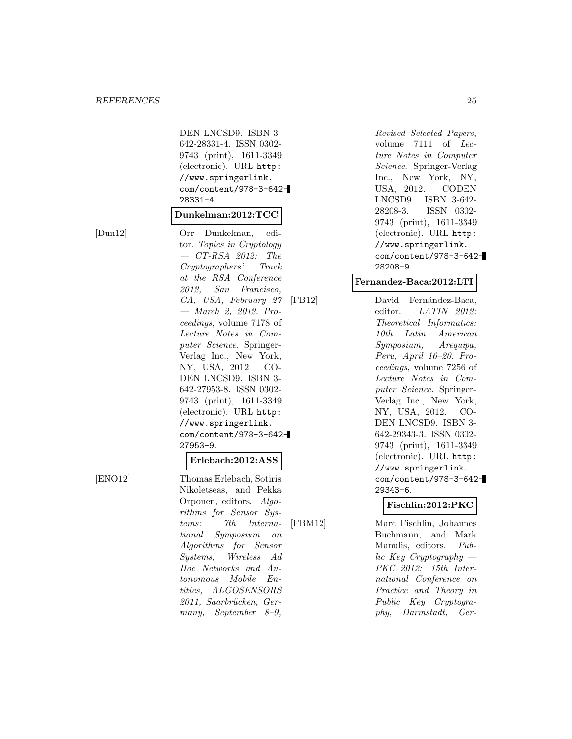DEN LNCSD9. ISBN 3- 642-28331-4. ISSN 0302- 9743 (print), 1611-3349 (electronic). URL http: //www.springerlink. com/content/978-3-642- 28331-4.

#### **Dunkelman:2012:TCC**

[Dun12] Orr Dunkelman, editor. Topics in Cryptology  $-$  CT-RSA 2012: The Cryptographers' Track at the RSA Conference 2012, San Francisco, CA, USA, February 27 — March 2, 2012. Proceedings, volume 7178 of Lecture Notes in Computer Science. Springer-Verlag Inc., New York, NY, USA, 2012. CO-DEN LNCSD9. ISBN 3- 642-27953-8. ISSN 0302- 9743 (print), 1611-3349 (electronic). URL http: //www.springerlink. com/content/978-3-642- 27953-9. **Erlebach:2012:ASS**

[ENO12] Thomas Erlebach, Sotiris Nikoletseas, and Pekka Orponen, editors. Algorithms for Sensor Systems: 7th International Symposium on Algorithms for Sensor Systems, Wireless Ad Hoc Networks and Autonomous Mobile Entities, ALGOSENSORS 2011, Saarbrücken, Germany, September 8–9,

Revised Selected Papers, volume 7111 of Lecture Notes in Computer Science. Springer-Verlag Inc., New York, NY, USA, 2012. CODEN LNCSD9. ISBN 3-642- 28208-3. ISSN 0302- 9743 (print), 1611-3349 (electronic). URL http: //www.springerlink. com/content/978-3-642- 28208-9.

#### **Fernandez-Baca:2012:LTI**

[FB12] David Fernández-Baca, editor. LATIN 2012: Theoretical Informatics: 10th Latin American Symposium, Arequipa, Peru, April 16–20. Proceedings, volume 7256 of Lecture Notes in Computer Science. Springer-Verlag Inc., New York, NY, USA, 2012. CO-DEN LNCSD9. ISBN 3- 642-29343-3. ISSN 0302- 9743 (print), 1611-3349 (electronic). URL http: //www.springerlink. com/content/978-3-642- 29343-6.

## **Fischlin:2012:PKC**

[FBM12] Marc Fischlin, Johannes Buchmann, and Mark Manulis, editors. Public Key Cryptography — PKC 2012: 15th International Conference on Practice and Theory in Public Key Cryptography, Darmstadt, Ger-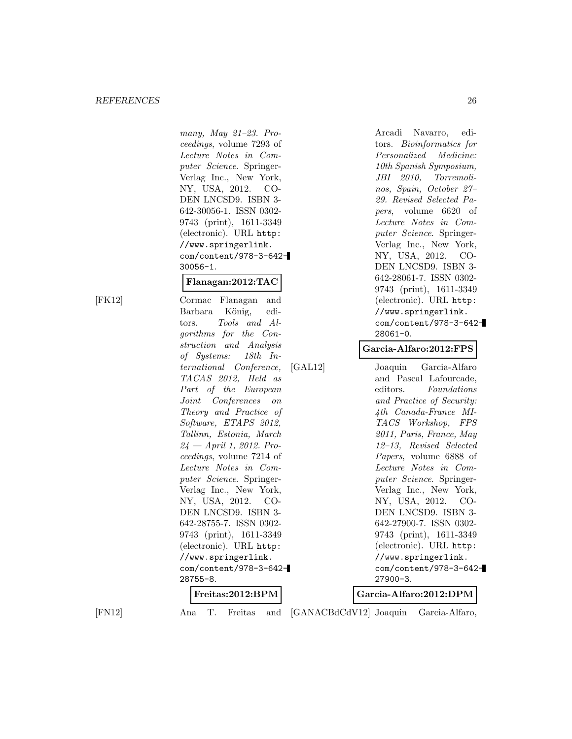many, May 21–23. Proceedings, volume 7293 of Lecture Notes in Computer Science. Springer-Verlag Inc., New York, NY, USA, 2012. CO-DEN LNCSD9. ISBN 3- 642-30056-1. ISSN 0302- 9743 (print), 1611-3349 (electronic). URL http: //www.springerlink. com/content/978-3-642- 30056-1.

#### **Flanagan:2012:TAC**

[FK12] Cormac Flanagan and Barbara König, editors. Tools and Algorithms for the Construction and Analysis of Systems: 18th International Conference, TACAS 2012, Held as Part of the European Joint Conferences on Theory and Practice of Software, ETAPS 2012, Tallinn, Estonia, March  $24$  — April 1, 2012. Proceedings, volume 7214 of Lecture Notes in Computer Science. Springer-Verlag Inc., New York, NY, USA, 2012. CO-DEN LNCSD9. ISBN 3- 642-28755-7. ISSN 0302- 9743 (print), 1611-3349 (electronic). URL http: //www.springerlink. com/content/978-3-642- 28755-8.

Arcadi Navarro, editors. Bioinformatics for Personalized Medicine: 10th Spanish Symposium, JBI 2010, Torremolinos, Spain, October 27– 29. Revised Selected Papers, volume 6620 of Lecture Notes in Computer Science. Springer-Verlag Inc., New York, NY, USA, 2012. CO-DEN LNCSD9. ISBN 3- 642-28061-7. ISSN 0302- 9743 (print), 1611-3349 (electronic). URL http: //www.springerlink. com/content/978-3-642- 28061-0.

#### **Garcia-Alfaro:2012:FPS**

[GAL12] Joaquin Garcia-Alfaro and Pascal Lafourcade, editors. Foundations and Practice of Security: 4th Canada-France MI-TACS Workshop, FPS 2011, Paris, France, May 12–13, Revised Selected Papers, volume 6888 of Lecture Notes in Computer Science. Springer-Verlag Inc., New York, NY, USA, 2012. CO-DEN LNCSD9. ISBN 3- 642-27900-7. ISSN 0302- 9743 (print), 1611-3349 (electronic). URL http: //www.springerlink. com/content/978-3-642- 27900-3.

#### **Freitas:2012:BPM**

[FN12] Ana T. Freitas and [GANACBdCdV12] Joaquin Garcia-Alfaro,

**Garcia-Alfaro:2012:DPM**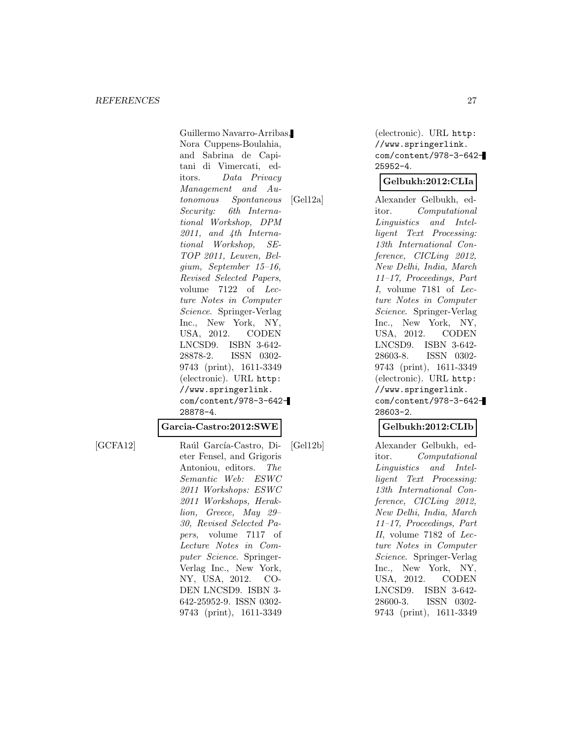Guillermo Navarro-Arribas, Nora Cuppens-Boulahia, and Sabrina de Capitani di Vimercati, editors. Data Privacy Management and Autonomous Spontaneous Security: 6th International Workshop, DPM 2011, and 4th International Workshop, SE-TOP 2011, Leuven, Belgium, September 15–16, Revised Selected Papers, volume 7122 of Lecture Notes in Computer Science. Springer-Verlag Inc., New York, NY, USA, 2012. CODEN LNCSD9. ISBN 3-642- 28878-2. ISSN 0302- 9743 (print), 1611-3349 (electronic). URL http: //www.springerlink. com/content/978-3-642- 28878-4.

#### **Garcia-Castro:2012:SWE**

[GCFA12] Raúl García-Castro, Dieter Fensel, and Grigoris Antoniou, editors. The Semantic Web: ESWC 2011 Workshops: ESWC 2011 Workshops, Heraklion, Greece, May 29– 30, Revised Selected Papers, volume 7117 of Lecture Notes in Computer Science. Springer-Verlag Inc., New York, NY, USA, 2012. CO-DEN LNCSD9. ISBN 3- 642-25952-9. ISSN 0302- 9743 (print), 1611-3349 (electronic). URL http: //www.springerlink. com/content/978-3-642- 25952-4.

#### **Gelbukh:2012:CLIa**

[Gel12a] Alexander Gelbukh, editor. Computational Linguistics and Intelligent Text Processing: 13th International Conference, CICLing 2012, New Delhi, India, March 11–17, Proceedings, Part I, volume 7181 of Lecture Notes in Computer Science. Springer-Verlag Inc., New York, NY, USA, 2012. CODEN LNCSD9. ISBN 3-642- 28603-8. ISSN 0302- 9743 (print), 1611-3349 (electronic). URL http: //www.springerlink. com/content/978-3-642- 28603-2.

#### **Gelbukh:2012:CLIb**

[Gel12b] Alexander Gelbukh, editor. Computational Linguistics and Intelligent Text Processing: 13th International Conference, CICLing 2012, New Delhi, India, March 11–17, Proceedings, Part II, volume 7182 of Lecture Notes in Computer Science. Springer-Verlag Inc., New York, NY, USA, 2012. CODEN LNCSD9. ISBN 3-642- 28600-3. ISSN 0302- 9743 (print), 1611-3349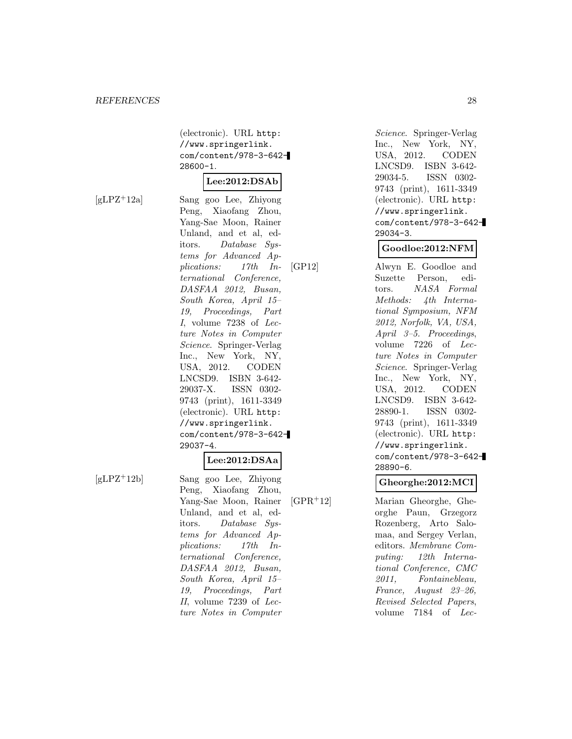(electronic). URL http: //www.springerlink. com/content/978-3-642- 28600-1.

## **Lee:2012:DSAb**

[gLPZ<sup>+</sup>12a] Sang goo Lee, Zhiyong Peng, Xiaofang Zhou, Yang-Sae Moon, Rainer Unland, and et al, editors. Database Systems for Advanced Applications: 17th International Conference, DASFAA 2012, Busan, South Korea, April 15– 19, Proceedings, Part I, volume 7238 of Lecture Notes in Computer Science. Springer-Verlag Inc., New York, NY, USA, 2012. CODEN LNCSD9. ISBN 3-642- 29037-X. ISSN 0302- 9743 (print), 1611-3349 (electronic). URL http: //www.springerlink. com/content/978-3-642- 29037-4.

#### **Lee:2012:DSAa**

[gLPZ<sup>+</sup>12b] Sang goo Lee, Zhiyong Peng, Xiaofang Zhou, Yang-Sae Moon, Rainer Unland, and et al, editors. Database Systems for Advanced Applications: 17th International Conference, DASFAA 2012, Busan, South Korea, April 15– 19, Proceedings, Part II, volume 7239 of Lecture Notes in Computer

Science. Springer-Verlag Inc., New York, NY, USA, 2012. CODEN LNCSD9. ISBN 3-642- 29034-5. ISSN 0302- 9743 (print), 1611-3349 (electronic). URL http: //www.springerlink. com/content/978-3-642- 29034-3.

## **Goodloe:2012:NFM**

[GP12] Alwyn E. Goodloe and Suzette Person, editors. NASA Formal Methods: 4th International Symposium, NFM 2012, Norfolk, VA, USA, April 3–5. Proceedings, volume 7226 of Lecture Notes in Computer Science. Springer-Verlag Inc., New York, NY, USA, 2012. CODEN LNCSD9. ISBN 3-642- 28890-1. ISSN 0302- 9743 (print), 1611-3349 (electronic). URL http: //www.springerlink. com/content/978-3-642- 28890-6.

#### **Gheorghe:2012:MCI**

[GPR<sup>+</sup>12] Marian Gheorghe, Gheorghe Paun, Grzegorz Rozenberg, Arto Salomaa, and Sergey Verlan, editors. Membrane Computing: 12th International Conference, CMC 2011, Fontainebleau, France, August 23–26, Revised Selected Papers, volume 7184 of Lec-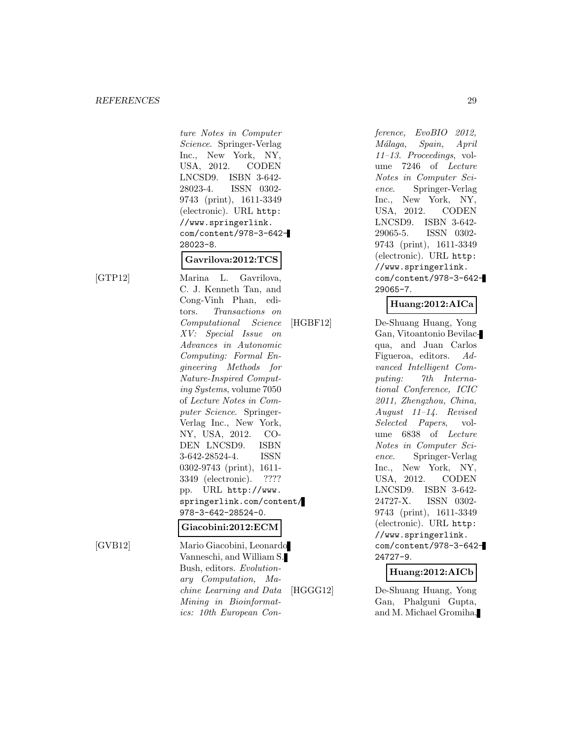ture Notes in Computer Science. Springer-Verlag Inc., New York, NY, USA, 2012. CODEN LNCSD9. ISBN 3-642- 28023-4. ISSN 0302- 9743 (print), 1611-3349 (electronic). URL http: //www.springerlink. com/content/978-3-642- 28023-8.

## **Gavrilova:2012:TCS**

[GTP12] Marina L. Gavrilova, C. J. Kenneth Tan, and Cong-Vinh Phan, editors. Transactions on Computational Science XV: Special Issue on Advances in Autonomic Computing: Formal Engineering Methods for Nature-Inspired Computing Systems, volume 7050 of Lecture Notes in Computer Science. Springer-Verlag Inc., New York, NY, USA, 2012. CO-DEN LNCSD9. ISBN 3-642-28524-4. ISSN 0302-9743 (print), 1611- 3349 (electronic). ???? pp. URL http://www. springerlink.com/content/ 978-3-642-28524-0.

#### **Giacobini:2012:ECM**

[GVB12] Mario Giacobini, Leonardo Vanneschi, and William S. Bush, editors. Evolutionary Computation, Machine Learning and Data Mining in Bioinformatics: 10th European Conference, EvoBIO 2012, M´alaga, Spain, April 11–13. Proceedings, volume 7246 of Lecture Notes in Computer Science. Springer-Verlag Inc., New York, NY, USA, 2012. CODEN LNCSD9. ISBN 3-642- 29065-5. ISSN 0302- 9743 (print), 1611-3349 (electronic). URL http: //www.springerlink. com/content/978-3-642- 29065-7.

## **Huang:2012:AICa**

[HGBF12] De-Shuang Huang, Yong Gan, Vitoantonio Bevilacqua, and Juan Carlos Figueroa, editors. Advanced Intelligent Computing: 7th International Conference, ICIC 2011, Zhengzhou, China, August 11–14. Revised Selected Papers, volume 6838 of Lecture Notes in Computer Science. Springer-Verlag Inc., New York, NY, USA, 2012. CODEN LNCSD9. ISBN 3-642- 24727-X. ISSN 0302- 9743 (print), 1611-3349 (electronic). URL http: //www.springerlink. com/content/978-3-642- 24727-9.

#### **Huang:2012:AICb**

[HGGG12] De-Shuang Huang, Yong Gan, Phalguni Gupta, and M. Michael Gromiha,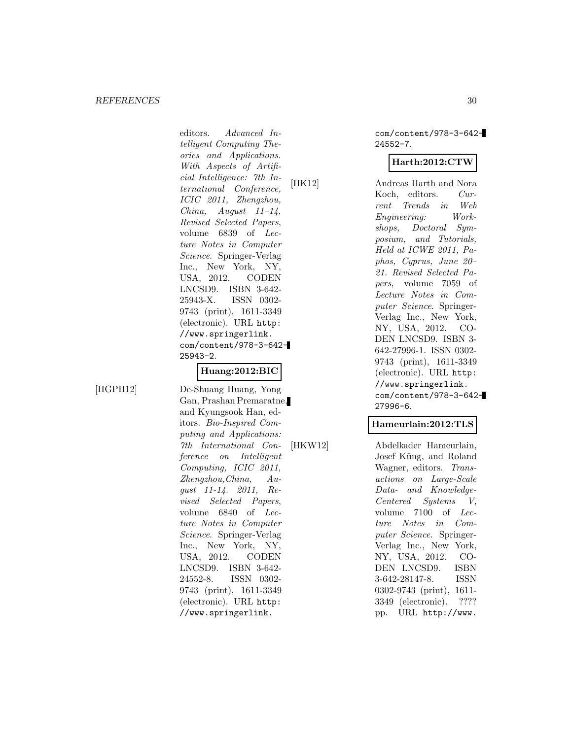editors. Advanced Intelligent Computing Theories and Applications. With Aspects of Artificial Intelligence: 7th International Conference, ICIC 2011, Zhengzhou, China, August 11–14, Revised Selected Papers, volume 6839 of Lecture Notes in Computer Science. Springer-Verlag Inc., New York, NY, USA, 2012. CODEN LNCSD9. ISBN 3-642- 25943-X. ISSN 0302- 9743 (print), 1611-3349 (electronic). URL http: //www.springerlink. com/content/978-3-642- 25943-2.

## **Huang:2012:BIC**

[HGPH12] De-Shuang Huang, Yong Gan, Prashan Premaratne, and Kyungsook Han, editors. Bio-Inspired Computing and Applications: 7th International Conference on Intelligent Computing, ICIC 2011, Zhengzhou,China, August 11-14. 2011, Revised Selected Papers, volume 6840 of Lecture Notes in Computer Science. Springer-Verlag Inc., New York, NY, USA, 2012. CODEN LNCSD9. ISBN 3-642- 24552-8. ISSN 0302- 9743 (print), 1611-3349 (electronic). URL http: //www.springerlink.

com/content/978-3-642- 24552-7.

## **Harth:2012:CTW**

[HK12] Andreas Harth and Nora Koch, editors. Current Trends in Web Engineering: Workshops, Doctoral Symposium, and Tutorials, Held at ICWE 2011, Paphos, Cyprus, June 20– 21. Revised Selected Papers, volume 7059 of Lecture Notes in Computer Science. Springer-Verlag Inc., New York, NY, USA, 2012. CO-DEN LNCSD9. ISBN 3- 642-27996-1. ISSN 0302- 9743 (print), 1611-3349 (electronic). URL http: //www.springerlink. com/content/978-3-642- 27996-6.

#### **Hameurlain:2012:TLS**

[HKW12] Abdelkader Hameurlain, Josef Küng, and Roland Wagner, editors. Transactions on Large-Scale Data- and Knowledge-Centered Systems V, volume 7100 of Lecture Notes in Computer Science. Springer-Verlag Inc., New York, NY, USA, 2012. CO-DEN LNCSD9. ISBN 3-642-28147-8. ISSN 0302-9743 (print), 1611- 3349 (electronic). ???? pp. URL http://www.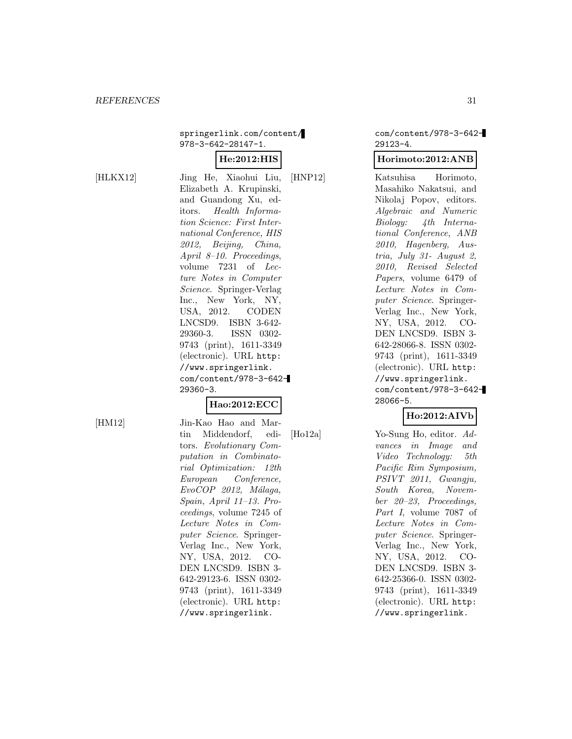springerlink.com/content/ 978-3-642-28147-1.

## **He:2012:HIS**

[HLKX12] Jing He, Xiaohui Liu, Elizabeth A. Krupinski, and Guandong Xu, editors. Health Information Science: First International Conference, HIS 2012, Beijing, China, April 8–10. Proceedings, volume 7231 of Lecture Notes in Computer Science. Springer-Verlag Inc., New York, NY, USA, 2012. CODEN LNCSD9. ISBN 3-642- 29360-3. ISSN 0302- 9743 (print), 1611-3349 (electronic). URL http: //www.springerlink. com/content/978-3-642- 29360-3.

## **Hao:2012:ECC**

[HM12] Jin-Kao Hao and Martin Middendorf, editors. Evolutionary Computation in Combinatorial Optimization: 12th European Conference,  $EvoCOP$  2012, Málaga, Spain, April 11–13. Proceedings, volume 7245 of Lecture Notes in Computer Science. Springer-Verlag Inc., New York, NY, USA, 2012. CO-DEN LNCSD9. ISBN 3- 642-29123-6. ISSN 0302- 9743 (print), 1611-3349 (electronic). URL http: //www.springerlink.

com/content/978-3-642- 29123-4.

#### **Horimoto:2012:ANB**

[HNP12] Katsuhisa Horimoto, Masahiko Nakatsui, and Nikolaj Popov, editors. Algebraic and Numeric Biology: 4th International Conference, ANB 2010, Hagenberg, Austria, July 31- August 2, 2010, Revised Selected Papers, volume 6479 of Lecture Notes in Computer Science. Springer-Verlag Inc., New York, NY, USA, 2012. CO-DEN LNCSD9. ISBN 3- 642-28066-8. ISSN 0302- 9743 (print), 1611-3349 (electronic). URL http: //www.springerlink. com/content/978-3-642- 28066-5.

## **Ho:2012:AIVb**

[Ho12a] Yo-Sung Ho, editor. Advances in Image and Video Technology: 5th Pacific Rim Symposium, PSIVT 2011, Gwangju, South Korea, November 20–23, Proceedings, Part I, volume 7087 of Lecture Notes in Computer Science. Springer-Verlag Inc., New York, NY, USA, 2012. CO-DEN LNCSD9. ISBN 3- 642-25366-0. ISSN 0302- 9743 (print), 1611-3349 (electronic). URL http: //www.springerlink.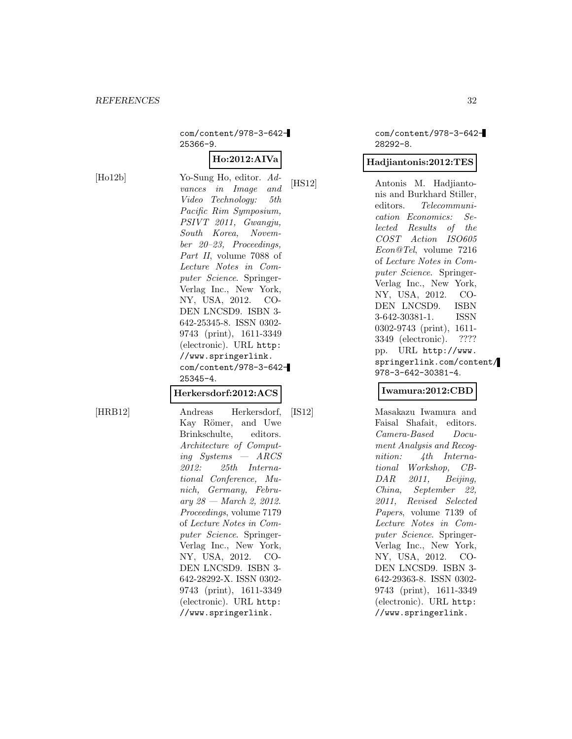com/content/978-3-642- 25366-9.

## **Ho:2012:AIVa**

[Ho12b] Yo-Sung Ho, editor. Advances in Image and Video Technology: 5th Pacific Rim Symposium, PSIVT 2011, Gwangju, South Korea, November 20–23, Proceedings, Part II, volume 7088 of Lecture Notes in Computer Science. Springer-Verlag Inc., New York, NY, USA, 2012. CO-DEN LNCSD9. ISBN 3- 642-25345-8. ISSN 0302- 9743 (print), 1611-3349 (electronic). URL http: //www.springerlink. com/content/978-3-642- 25345-4.

#### **Herkersdorf:2012:ACS**

[HRB12] Andreas Herkersdorf, Kay Römer, and Uwe Brinkschulte, editors. Architecture of Computing Systems — ARCS 2012: 25th International Conference, Munich, Germany, Febru $ary 28 - March 2, 2012.$ Proceedings, volume 7179 of Lecture Notes in Computer Science. Springer-Verlag Inc., New York, NY, USA, 2012. CO-DEN LNCSD9. ISBN 3- 642-28292-X. ISSN 0302- 9743 (print), 1611-3349 (electronic). URL http: //www.springerlink.

com/content/978-3-642- 28292-8.

## **Hadjiantonis:2012:TES**

[HS12] Antonis M. Hadjiantonis and Burkhard Stiller, editors. Telecommunication Economics: Selected Results of the COST Action ISO605 Econ@Tel, volume 7216 of Lecture Notes in Computer Science. Springer-Verlag Inc., New York, NY, USA, 2012. CO-DEN LNCSD9. ISBN 3-642-30381-1. ISSN 0302-9743 (print), 1611- 3349 (electronic). ???? pp. URL http://www. springerlink.com/content/ 978-3-642-30381-4.

#### **Iwamura:2012:CBD**

[IS12] Masakazu Iwamura and Faisal Shafait, editors. Camera-Based Document Analysis and Recognition: 4th International Workshop, CB-DAR 2011, Beijing, China, September 22, 2011, Revised Selected Papers, volume 7139 of Lecture Notes in Computer Science. Springer-Verlag Inc., New York, NY, USA, 2012. CO-DEN LNCSD9. ISBN 3- 642-29363-8. ISSN 0302- 9743 (print), 1611-3349 (electronic). URL http: //www.springerlink.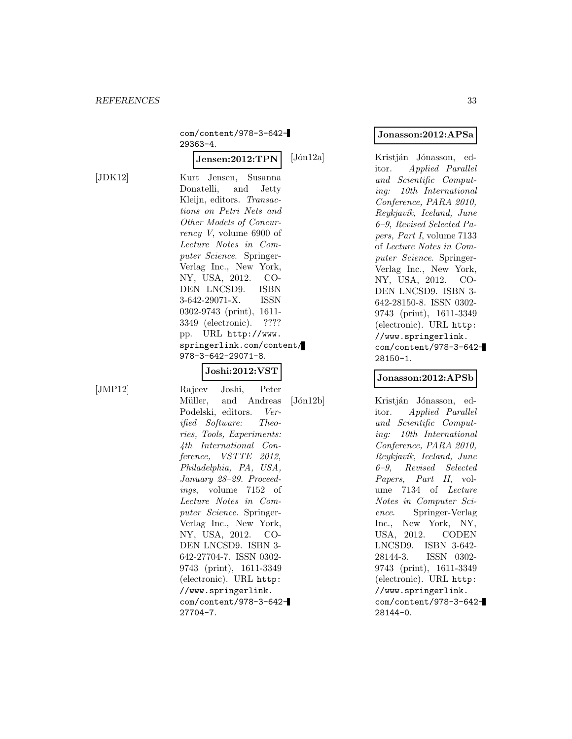$[JDK12]$ 

| com/content/978-3-642-                       |
|----------------------------------------------|
| 29363-4.                                     |
| ${\rm Jensen:} 2012{:} \mathrm{TPN}$<br>[Jón |
| Kurt Jensen, Susanna                         |
| Donatelli, and Jetty                         |
| Kleijn, editors. Transac-                    |
| tions on Petri Nets and                      |
| Other Models of Concur-                      |
| $rency$ V, volume 6900 of                    |
| Lecture Notes in Com-                        |
| puter Science. Springer-                     |
| Verlag Inc., New York,                       |
| NY, USA, 2012. CO-                           |
| DEN LNCSD9. ISBN                             |
| 3-642-29071-X. ISSN                          |
| 0302-9743 (print), 1611-                     |
| 3349 (electronic). ????                      |
| pp. URL http://www.                          |
| springerlink.com/content/                    |
| 978-3-642-29071-8.                           |
| ${\bf Joshi:} 2012{:}\bf VST$                |
| Rajeev Joshi, Peter                          |
| $\rm{Jón}$<br>Müller, and Andreas            |
| Podelski, editors. Ver-                      |
| ified Software: Theo-                        |
| ries, Tools, Experiments:                    |

**Jonasson:2012:APSa**

[12a] Kristján Jónasson, editor. Applied Parallel and Scientific Computing: 10th International Conference, PARA 2010, Reykjavík, Iceland, June 6–9, Revised Selected Papers, Part I, volume 7133 of Lecture Notes in Computer Science. Springer-Verlag Inc., New York, NY, USA, 2012. CO-DEN LNCSD9. ISBN 3- 642-28150-8. ISSN 0302- 9743 (print), 1611-3349 (electronic). URL http: //www.springerlink. com/content/978-3-642- 28150-1.

#### **Jonasson:2012:APSb**

12b] Kristján Jónasson, editor. Applied Parallel and Scientific Computing: 10th International Conference, PARA 2010, Reykjavík, Iceland, June 6–9, Revised Selected Papers, Part II, volume 7134 of Lecture Notes in Computer Science. Springer-Verlag Inc., New York, NY, USA, 2012. CODEN LNCSD9. ISBN 3-642- 28144-3. ISSN 0302- 9743 (print), 1611-3349 (electronic). URL http: //www.springerlink. com/content/978-3-642- 28144-0.

 $[JMP12]$ 

4th International Conference, VSTTE 2012, Philadelphia, PA, USA, January 28–29. Proceedings, volume 7152 of Lecture Notes in Computer Science. Springer-Verlag Inc., New York, NY, USA, 2012. CO-DEN LNCSD9. ISBN 3- 642-27704-7. ISSN 0302- 9743 (print), 1611-3349 (electronic). URL http: //www.springerlink. com/content/978-3-642- 27704-7.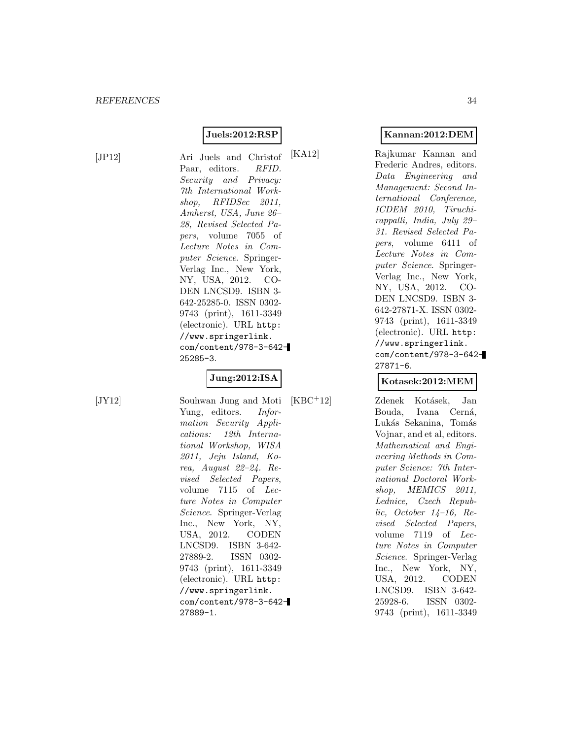## **Juels:2012:RSP**

[JP12] Ari Juels and Christof Paar, editors. RFID. Security and Privacy: 7th International Workshop, RFIDSec 2011. Amherst, USA, June 26– 28, Revised Selected Papers, volume 7055 of Lecture Notes in Computer Science. Springer-Verlag Inc., New York, NY, USA, 2012. CO-DEN LNCSD9. ISBN 3- 642-25285-0. ISSN 0302- 9743 (print), 1611-3349 (electronic). URL http: //www.springerlink. com/content/978-3-642- 25285-3.

## **Jung:2012:ISA**

[JY12] Souhwan Jung and Moti Yung, editors. Information Security Applications: 12th International Workshop, WISA 2011, Jeju Island, Korea, August 22–24. Revised Selected Papers, volume 7115 of Lecture Notes in Computer Science. Springer-Verlag Inc., New York, NY, USA, 2012. CODEN LNCSD9. ISBN 3-642- 27889-2. ISSN 0302- 9743 (print), 1611-3349 (electronic). URL http: //www.springerlink. com/content/978-3-642- 27889-1.

## **Kannan:2012:DEM**

[KA12] Rajkumar Kannan and Frederic Andres, editors. Data Engineering and Management: Second International Conference, ICDEM 2010, Tiruchirappalli, India, July 29– 31. Revised Selected Papers, volume 6411 of Lecture Notes in Computer Science. Springer-Verlag Inc., New York, NY, USA, 2012. CO-DEN LNCSD9. ISBN 3- 642-27871-X. ISSN 0302- 9743 (print), 1611-3349 (electronic). URL http: //www.springerlink. com/content/978-3-642- 27871-6.

#### **Kotasek:2012:MEM**

[KBC<sup>+</sup>12] Zdenek Kotásek, Jan Bouda, Ivana Cerná, Lukás Sekanina, Tomás Vojnar, and et al, editors. Mathematical and Engineering Methods in Computer Science: 7th International Doctoral Workshop, MEMICS 2011, Lednice, Czech Republic, October 14–16, Revised Selected Papers, volume 7119 of Lecture Notes in Computer Science. Springer-Verlag Inc., New York, NY, USA, 2012. CODEN LNCSD9. ISBN 3-642- 25928-6. ISSN 0302- 9743 (print), 1611-3349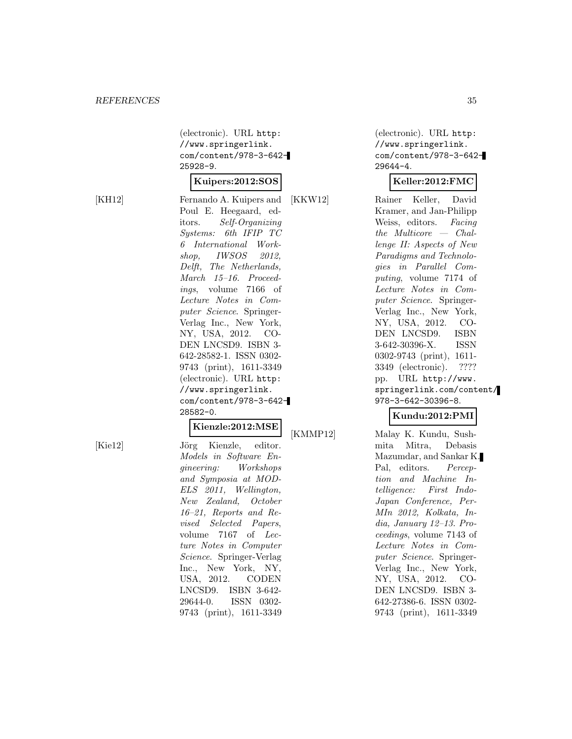(electronic). URL http: //www.springerlink. com/content/978-3-642- 25928-9.

#### **Kuipers:2012:SOS**

[KH12] Fernando A. Kuipers and Poul E. Heegaard, editors. Self-Organizing Systems: 6th IFIP TC 6 International Workshop, IWSOS 2012, Delft, The Netherlands, March 15–16. Proceedings, volume 7166 of Lecture Notes in Computer Science. Springer-Verlag Inc., New York, NY, USA, 2012. CO-DEN LNCSD9. ISBN 3- 642-28582-1. ISSN 0302- 9743 (print), 1611-3349 (electronic). URL http: //www.springerlink. com/content/978-3-642- 28582-0.

## **Kienzle:2012:MSE**

[Kie12] Jörg Kienzle, editor. Models in Software Engineering: Workshops and Symposia at MOD-ELS 2011, Wellington, New Zealand, October 16–21, Reports and Revised Selected Papers, volume 7167 of Lecture Notes in Computer Science. Springer-Verlag Inc., New York, NY, USA, 2012. CODEN LNCSD9. ISBN 3-642- 29644-0. ISSN 0302- 9743 (print), 1611-3349

(electronic). URL http: //www.springerlink. com/content/978-3-642- 29644-4.

## **Keller:2012:FMC**

[KKW12] Rainer Keller, David Kramer, and Jan-Philipp Weiss, editors. Facing the Multicore — Challenge II: Aspects of New Paradigms and Technologies in Parallel Computing, volume 7174 of Lecture Notes in Computer Science. Springer-Verlag Inc., New York, NY, USA, 2012. CO-DEN LNCSD9. ISBN 3-642-30396-X. ISSN 0302-9743 (print), 1611- 3349 (electronic). ???? pp. URL http://www. springerlink.com/content/ 978-3-642-30396-8.

## **Kundu:2012:PMI**

[KMMP12] Malay K. Kundu, Sushmita Mitra, Debasis Mazumdar, and Sankar K. Pal, editors. Perception and Machine Intelligence: First Indo-Japan Conference, Per-MIn 2012, Kolkata, India, January 12–13. Proceedings, volume 7143 of Lecture Notes in Computer Science. Springer-Verlag Inc., New York, NY, USA, 2012. CO-DEN LNCSD9. ISBN 3- 642-27386-6. ISSN 0302- 9743 (print), 1611-3349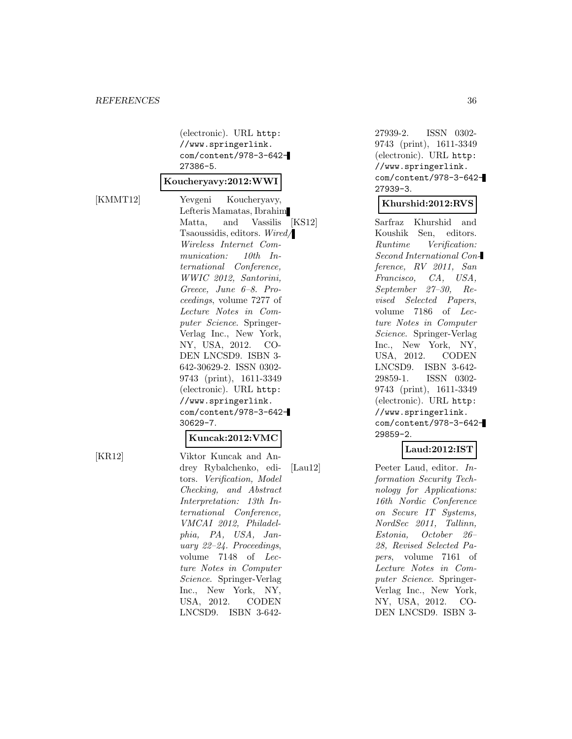(electronic). URL http: //www.springerlink. com/content/978-3-642- 27386-5.

#### **Koucheryavy:2012:WWI**

[KMMT12] Yevgeni Koucheryavy, Lefteris Mamatas, Ibrahim Matta, and Vassilis [KS12] Tsaoussidis, editors. Wired/ Wireless Internet Communication: 10th International Conference, WWIC 2012, Santorini, Greece, June 6–8. Proceedings, volume 7277 of Lecture Notes in Computer Science. Springer-Verlag Inc., New York, NY, USA, 2012. CO-DEN LNCSD9. ISBN 3- 642-30629-2. ISSN 0302- 9743 (print), 1611-3349 (electronic). URL http: //www.springerlink. com/content/978-3-642- 30629-7.

#### **Kuncak:2012:VMC**

[KR12] Viktor Kuncak and Andrey Rybalchenko, editors. Verification, Model Checking, and Abstract Interpretation: 13th International Conference, VMCAI 2012, Philadelphia, PA, USA, January 22–24. Proceedings, volume 7148 of Lecture Notes in Computer Science. Springer-Verlag Inc., New York, NY, USA, 2012. CODEN LNCSD9. ISBN 3-642-

27939-2. ISSN 0302- 9743 (print), 1611-3349 (electronic). URL http: //www.springerlink. com/content/978-3-642- 27939-3.

#### **Khurshid:2012:RVS**

Sarfraz Khurshid and Koushik Sen, editors. Runtime Verification: Second International Conference, RV 2011, San Francisco, CA, USA, September 27–30, Revised Selected Papers, volume 7186 of Lecture Notes in Computer Science. Springer-Verlag Inc., New York, NY, USA, 2012. CODEN LNCSD9. ISBN 3-642- 29859-1. ISSN 0302- 9743 (print), 1611-3349 (electronic). URL http: //www.springerlink. com/content/978-3-642- 29859-2.

## **Laud:2012:IST**

[Lau12] Peeter Laud, editor. Information Security Technology for Applications: 16th Nordic Conference on Secure IT Systems, NordSec 2011, Tallinn, Estonia, October 26– 28, Revised Selected Papers, volume 7161 of Lecture Notes in Computer Science. Springer-Verlag Inc., New York, NY, USA, 2012. CO-DEN LNCSD9. ISBN 3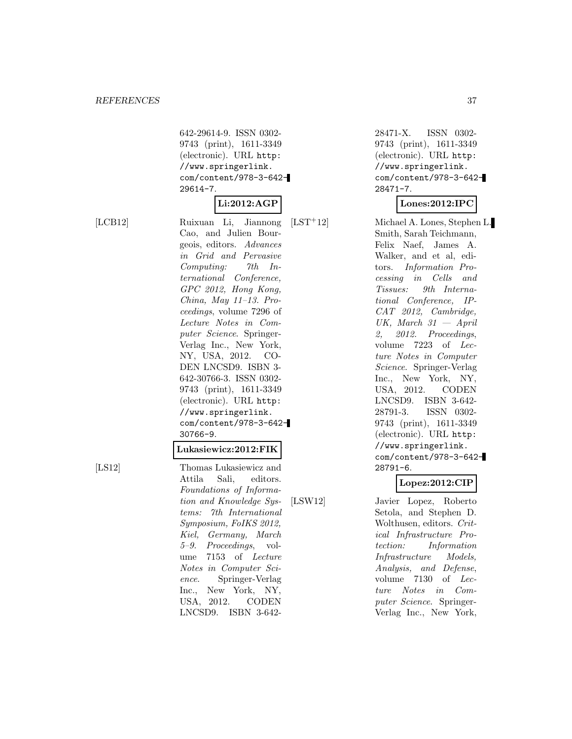642-29614-9. ISSN 0302- 9743 (print), 1611-3349 (electronic). URL http: //www.springerlink. com/content/978-3-642- 29614-7.

## **Li:2012:AGP**

[LCB12] Ruixuan Li, Jiannong Cao, and Julien Bourgeois, editors. Advances in Grid and Pervasive Computing: 7th International Conference, GPC 2012, Hong Kong, China, May 11–13. Proceedings, volume 7296 of Lecture Notes in Computer Science. Springer-Verlag Inc., New York, NY, USA, 2012. CO-DEN LNCSD9. ISBN 3- 642-30766-3. ISSN 0302- 9743 (print), 1611-3349 (electronic). URL http: //www.springerlink. com/content/978-3-642- 30766-9.

#### **Lukasiewicz:2012:FIK**

[LS12] Thomas Lukasiewicz and Attila Sali, editors. Foundations of Information and Knowledge Systems: 7th International Symposium, FoIKS 2012, Kiel, Germany, March 5–9. Proceedings, volume 7153 of Lecture Notes in Computer Science. Springer-Verlag Inc., New York, NY, USA, 2012. CODEN LNCSD9. ISBN 3-642-

28471-X. ISSN 0302- 9743 (print), 1611-3349 (electronic). URL http: //www.springerlink. com/content/978-3-642- 28471-7.

## **Lones:2012:IPC**

[LST<sup>+</sup>12] Michael A. Lones, Stephen L. Smith, Sarah Teichmann, Felix Naef, James A. Walker, and et al, editors. Information Processing in Cells and Tissues: 9th International Conference, IP-CAT 2012, Cambridge, UK, March  $31 - April$ 2, 2012. Proceedings, volume 7223 of Lecture Notes in Computer Science. Springer-Verlag Inc., New York, NY, USA, 2012. CODEN LNCSD9. ISBN 3-642- 28791-3. ISSN 0302- 9743 (print), 1611-3349 (electronic). URL http: //www.springerlink. com/content/978-3-642- 28791-6.

## **Lopez:2012:CIP**

[LSW12] Javier Lopez, Roberto Setola, and Stephen D. Wolthusen, editors. Critical Infrastructure Protection: Information Infrastructure Models, Analysis, and Defense, volume 7130 of Lecture Notes in Computer Science. Springer-Verlag Inc., New York,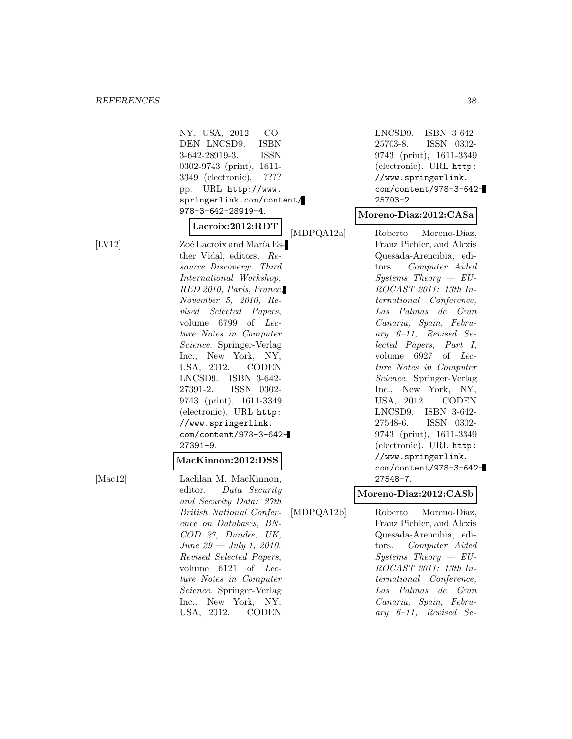$[LV12]$ 

| NY, USA, 2012.<br>– CO-<br>DEN LNCSD9. ISBN<br>3-642-28919-3.<br>ISSN<br>0302-9743 (print), 1611-<br>3349 (electronic). ????<br>pp. URL http://www.<br>springerlink.com/content/                                                                                                                                                                                                                                                                                                                         |
|----------------------------------------------------------------------------------------------------------------------------------------------------------------------------------------------------------------------------------------------------------------------------------------------------------------------------------------------------------------------------------------------------------------------------------------------------------------------------------------------------------|
| 978-3-642-28919-4.<br>Lacroix:2012:RDT                                                                                                                                                                                                                                                                                                                                                                                                                                                                   |
| [MDPQA12a]<br>Zoé Lacroix and María Es-<br>ther Vidal, editors. Re-<br>source Discovery: Third<br>International Workshop,<br>RED 2010, Paris, France,<br>November 5, 2010, Re-<br>vised Selected Papers,<br>volume 6799 of<br>Lec-<br>ture Notes in Computer<br>Science. Springer-Verlag<br>Inc., New York, NY,<br>USA, 2012. CODEN<br>LNCSD9. ISBN 3-642-<br>27391-2. ISSN 0302-<br>9743 (print), 1611-3349<br>(electronic). URL http:<br>//www.springerlink.<br>com/content/978-3-642-<br>$27391 - 9.$ |
| MacKinnon:2012:DSS                                                                                                                                                                                                                                                                                                                                                                                                                                                                                       |
| Lachlan M. MacKinnon,<br>editor.<br>Data Security<br>and Security Data: 27th<br>[MDPQA12b]<br>British National Confer-<br>ence on Databases, BN-<br>COD 27, Dundee, UK,<br>June 29 $-$ July 1, 2010.<br>Revised Selected Papers,<br>volume 6121 of Lec-<br>ture Notes in Computer<br>Science. Springer-Verlag                                                                                                                                                                                            |

Inc., New York, NY, USA, 2012. CODEN LNCSD9. ISBN 3-642- 25703-8. ISSN 0302- 9743 (print), 1611-3349 (electronic). URL http: //www.springerlink. com/content/978-3-642- 25703-2.

#### **Moreno-Diaz:2012:CASa**

Roberto Moreno-Díaz, Franz Pichler, and Alexis Quesada-Arencibia, editors. Computer Aided  $Systems$  Theory  $-EU-$ ROCAST 2011: 13th International Conference, Las Palmas de Gran Canaria, Spain, February 6–11, Revised Selected Papers, Part I, volume 6927 of Lecture Notes in Computer Science. Springer-Verlag Inc., New York, NY, USA, 2012. CODEN LNCSD9. ISBN 3-642- 27548-6. ISSN 0302- 9743 (print), 1611-3349 (electronic). URL http: //www.springerlink. com/content/978-3-642- 27548-7.

## **Moreno-Diaz:2012:CASb**

Roberto Moreno-Díaz, Franz Pichler, and Alexis Quesada-Arencibia, editors. Computer Aided  $Systems$  Theory  $-EU-$ ROCAST 2011: 13th International Conference, Las Palmas de Gran Canaria, Spain, February 6–11, Revised Se-

 $[Mac12]$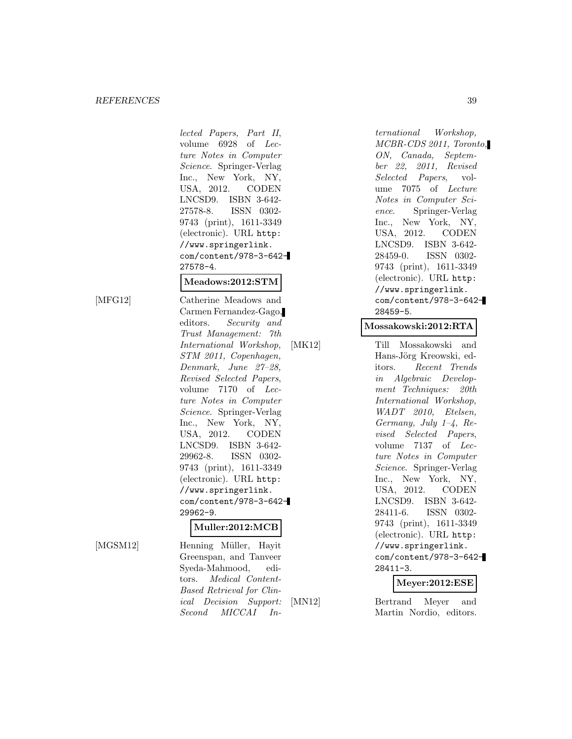#### *REFERENCES* 39

lected Papers, Part II, volume 6928 of Lecture Notes in Computer Science. Springer-Verlag Inc., New York, NY, USA, 2012. CODEN LNCSD9. ISBN 3-642- 27578-8. ISSN 0302- 9743 (print), 1611-3349 (electronic). URL http: //www.springerlink. com/content/978-3-642- 27578-4.

#### **Meadows:2012:STM**

[MFG12] Catherine Meadows and Carmen Fernandez-Gago, editors. Security and Trust Management: 7th International Workshop, STM 2011, Copenhagen, Denmark, June 27–28, Revised Selected Papers, volume 7170 of Lecture Notes in Computer Science. Springer-Verlag Inc., New York, NY, USA, 2012. CODEN LNCSD9. ISBN 3-642- 29962-8. ISSN 0302- 9743 (print), 1611-3349 (electronic). URL http: //www.springerlink. com/content/978-3-642- 29962-9.

#### **Muller:2012:MCB**

[MGSM12] Henning Müller, Hayit Greenspan, and Tanveer Syeda-Mahmood, editors. Medical Content-Based Retrieval for Clinical Decision Support: Second MICCAI In-

ternational Workshop, MCBR-CDS 2011, Toronto, ON, Canada, September 22, 2011, Revised Selected Papers, volume 7075 of Lecture Notes in Computer Science. Springer-Verlag Inc., New York, NY, USA, 2012. CODEN LNCSD9. ISBN 3-642- 28459-0. ISSN 0302- 9743 (print), 1611-3349 (electronic). URL http: //www.springerlink. com/content/978-3-642- 28459-5.

#### **Mossakowski:2012:RTA**

[MK12] Till Mossakowski and Hans-Jörg Kreowski, editors. Recent Trends in Algebraic Development Techniques: 20th International Workshop, WADT 2010, Etelsen, Germany, July  $1-\frac{1}{4}$ , Revised Selected Papers, volume 7137 of Lecture Notes in Computer Science. Springer-Verlag Inc., New York, NY, USA, 2012. CODEN LNCSD9. ISBN 3-642- 28411-6. ISSN 0302- 9743 (print), 1611-3349 (electronic). URL http: //www.springerlink. com/content/978-3-642- 28411-3.

#### **Meyer:2012:ESE**

[MN12] Bertrand Meyer and Martin Nordio, editors.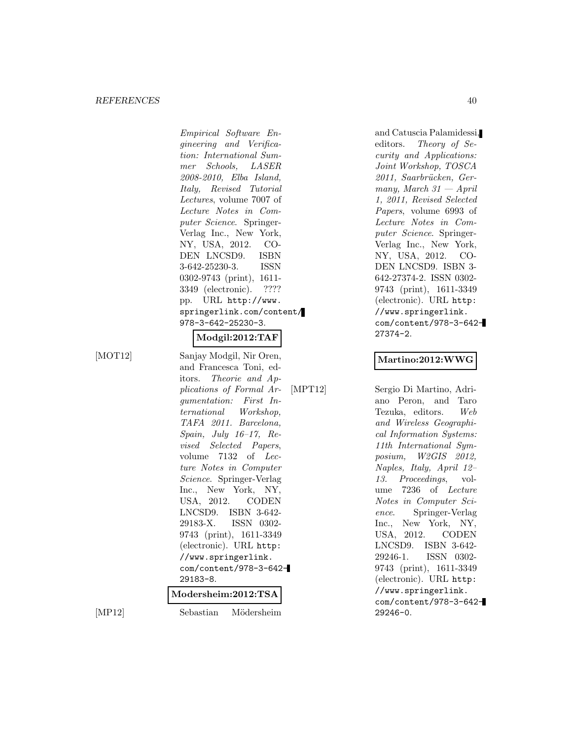#### *REFERENCES* 40

Empirical Software Engineering and Verification: International Summer Schools, LASER 2008-2010, Elba Island, Italy, Revised Tutorial Lectures, volume 7007 of Lecture Notes in Computer Science. Springer-Verlag Inc., New York, NY, USA, 2012. CO-DEN LNCSD9. ISBN 3-642-25230-3. ISSN 0302-9743 (print), 1611- 3349 (electronic). ???? pp. URL http://www. springerlink.com/content/ 978-3-642-25230-3.

## **Modgil:2012:TAF**

[MOT12] Sanjay Modgil, Nir Oren, and Francesca Toni, editors. Theorie and Applications of Formal Argumentation: First International Workshop, TAFA 2011. Barcelona, Spain, July 16–17, Revised Selected Papers, volume 7132 of Lecture Notes in Computer Science. Springer-Verlag Inc., New York, NY, USA, 2012. CODEN LNCSD9. ISBN 3-642- 29183-X. ISSN 0302- 9743 (print), 1611-3349 (electronic). URL http: //www.springerlink. com/content/978-3-642- 29183-8.

### **Modersheim:2012:TSA**

[MP12] Sebastian Mödersheim

and Catuscia Palamidessi, editors. Theory of Security and Applications: Joint Workshop, TOSCA 2011, Saarbrücken, Germany, March  $31$  – April 1, 2011, Revised Selected Papers, volume 6993 of Lecture Notes in Computer Science. Springer-Verlag Inc., New York, NY, USA, 2012. CO-DEN LNCSD9. ISBN 3- 642-27374-2. ISSN 0302- 9743 (print), 1611-3349 (electronic). URL http: //www.springerlink. com/content/978-3-642- 27374-2.

#### **Martino:2012:WWG**

[MPT12] Sergio Di Martino, Adriano Peron, and Taro Tezuka, editors. Web and Wireless Geographical Information Systems: 11th International Symposium, W2GIS 2012, Naples, Italy, April 12– 13. Proceedings, volume 7236 of Lecture Notes in Computer Science. Springer-Verlag Inc., New York, NY, USA, 2012. CODEN LNCSD9. ISBN 3-642- 29246-1. ISSN 0302- 9743 (print), 1611-3349 (electronic). URL http: //www.springerlink. com/content/978-3-642- 29246-0.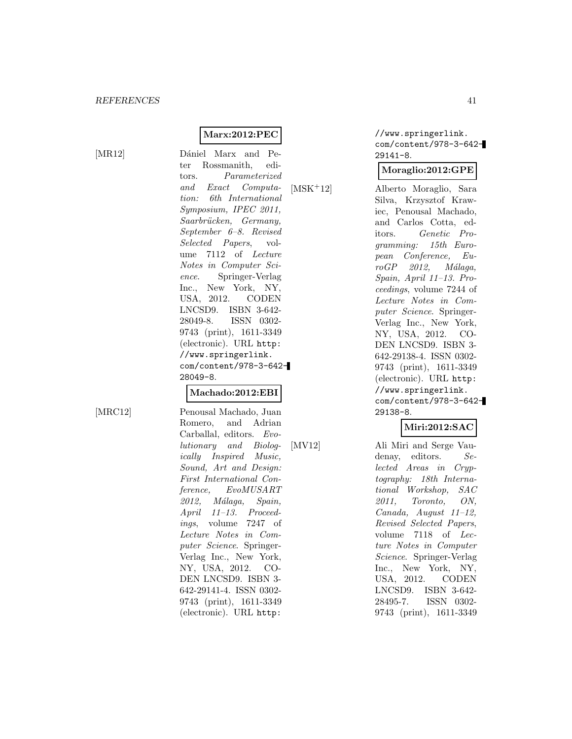## **Marx:2012:PEC**

[MR12] Dániel Marx and Peter Rossmanith, editors. Parameterized and Exact Computation: 6th International Symposium, IPEC 2011, Saarbrücken, Germany, September 6–8. Revised Selected Papers, volume 7112 of Lecture Notes in Computer Science. Springer-Verlag Inc., New York, NY, USA, 2012. CODEN LNCSD9. ISBN 3-642- 28049-8. ISSN 0302- 9743 (print), 1611-3349 (electronic). URL http: //www.springerlink. com/content/978-3-642- 28049-8.

#### **Machado:2012:EBI**

[MRC12] Penousal Machado, Juan Romero, and Adrian Carballal, editors. Evolutionary and Biologically Inspired Music, Sound, Art and Design: First International Conference, EvoMUSART 2012, Málaga, Spain, April 11–13. Proceedings, volume 7247 of Lecture Notes in Computer Science. Springer-Verlag Inc., New York, NY, USA, 2012. CO-DEN LNCSD9. ISBN 3- 642-29141-4. ISSN 0302- 9743 (print), 1611-3349 (electronic). URL http:

//www.springerlink. com/content/978-3-642- 29141-8.

## **Moraglio:2012:GPE**

[MSK<sup>+</sup>12] Alberto Moraglio, Sara Silva, Krzysztof Krawiec, Penousal Machado, and Carlos Cotta, editors. Genetic Programming: 15th European Conference, Eu $roGP$  2012, Málaga, Spain, April 11–13. Proceedings, volume 7244 of Lecture Notes in Computer Science. Springer-Verlag Inc., New York, NY, USA, 2012. CO-DEN LNCSD9. ISBN 3- 642-29138-4. ISSN 0302- 9743 (print), 1611-3349 (electronic). URL http: //www.springerlink. com/content/978-3-642- 29138-8.

## **Miri:2012:SAC**

[MV12] Ali Miri and Serge Vaudenay, editors. Selected Areas in Cryptography: 18th International Workshop, SAC 2011, Toronto, ON, Canada, August 11–12, Revised Selected Papers, volume 7118 of Lecture Notes in Computer Science. Springer-Verlag Inc., New York, NY, USA, 2012. CODEN LNCSD9. ISBN 3-642- 28495-7. ISSN 0302- 9743 (print), 1611-3349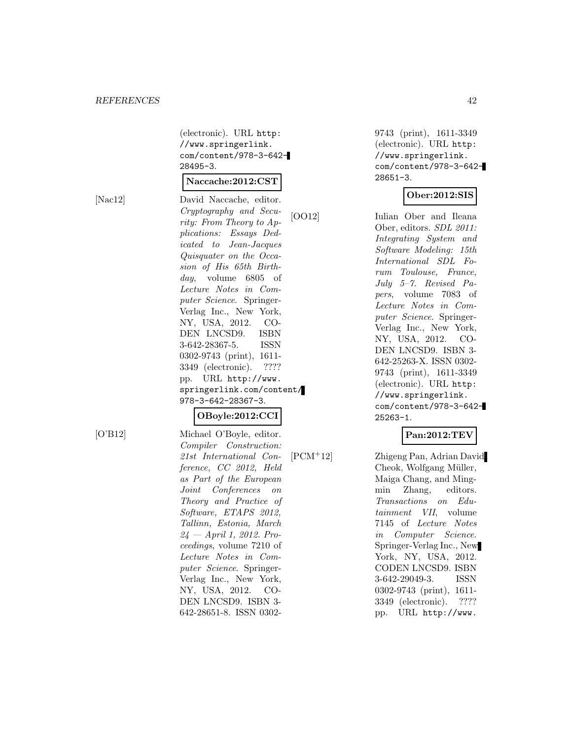(electronic). URL http: //www.springerlink. com/content/978-3-642- 28495-3.

## **Naccache:2012:CST**

[Nac12] David Naccache, editor. Cryptography and Security: From Theory to Applications: Essays Dedicated to Jean-Jacques Quisquater on the Occasion of His 65th Birthday, volume 6805 of Lecture Notes in Computer Science. Springer-Verlag Inc., New York, NY, USA, 2012. CO-DEN LNCSD9. ISBN 3-642-28367-5. ISSN 0302-9743 (print), 1611- 3349 (electronic). ???? pp. URL http://www. springerlink.com/content/ 978-3-642-28367-3.

## **OBoyle:2012:CCI**

[O'B12] Michael O'Boyle, editor. Compiler Construction: 21st International Conference, CC 2012, Held as Part of the European Joint Conferences on Theory and Practice of Software, ETAPS 2012, Tallinn, Estonia, March  $24$  — April 1, 2012. Proceedings, volume 7210 of Lecture Notes in Computer Science. Springer-Verlag Inc., New York, NY, USA, 2012. CO-DEN LNCSD9. ISBN 3- 642-28651-8. ISSN 0302-

9743 (print), 1611-3349 (electronic). URL http: //www.springerlink. com/content/978-3-642- 28651-3.

#### **Ober:2012:SIS**

[OO12] Iulian Ober and Ileana Ober, editors. SDL 2011: Integrating System and Software Modeling: 15th International SDL Forum Toulouse, France, July 5–7. Revised Papers, volume 7083 of Lecture Notes in Computer Science. Springer-Verlag Inc., New York, NY, USA, 2012. CO-DEN LNCSD9. ISBN 3- 642-25263-X. ISSN 0302- 9743 (print), 1611-3349 (electronic). URL http: //www.springerlink. com/content/978-3-642- 25263-1.

## **Pan:2012:TEV**

[PCM<sup>+</sup>12] Zhigeng Pan, Adrian David Cheok, Wolfgang Müller, Maiga Chang, and Mingmin Zhang, editors. Transactions on Edutainment VII, volume 7145 of Lecture Notes in Computer Science. Springer-Verlag Inc., New York, NY, USA, 2012. CODEN LNCSD9. ISBN 3-642-29049-3. ISSN 0302-9743 (print), 1611- 3349 (electronic). ???? pp. URL http://www.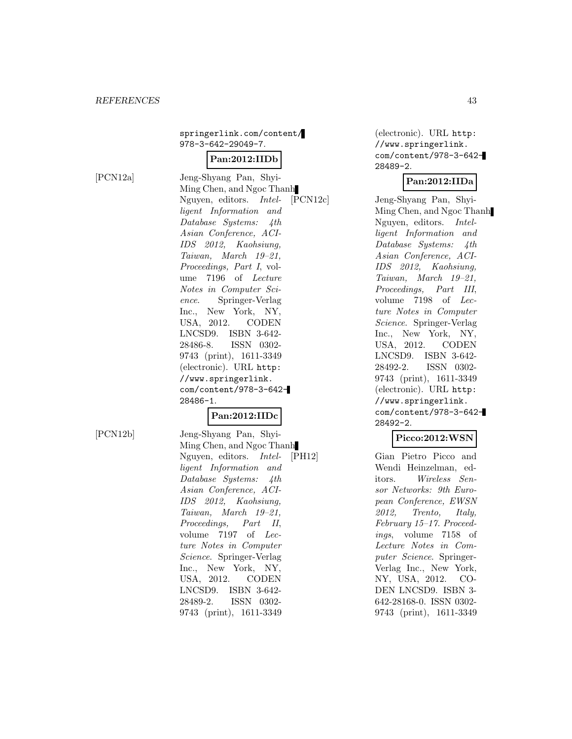## springerlink.com/content/ 978-3-642-29049-7.

## **Pan:2012:IIDb**

[PCN12a] Jeng-Shyang Pan, Shyi-Ming Chen, and Ngoc Thanh Nguyen, editors. Intelligent Information and Database Systems: 4th Asian Conference, ACI-IDS 2012, Kaohsiung, Taiwan, March 19–21, Proceedings, Part I, volume 7196 of Lecture Notes in Computer Science. Springer-Verlag Inc., New York, NY, USA, 2012. CODEN LNCSD9. ISBN 3-642- 28486-8. ISSN 0302- 9743 (print), 1611-3349 (electronic). URL http: //www.springerlink. com/content/978-3-642- 28486-1.

## **Pan:2012:IIDc**

[PCN12b] Jeng-Shyang Pan, Shyi-Ming Chen, and Ngoc Thanh Nguyen, editors. Intelligent Information and Database Systems: 4th Asian Conference, ACI-IDS 2012, Kaohsiung, Taiwan, March 19–21, Proceedings, Part II, volume 7197 of Lecture Notes in Computer Science. Springer-Verlag Inc., New York, NY, USA, 2012. CODEN LNCSD9. ISBN 3-642- 28489-2. ISSN 0302- 9743 (print), 1611-3349

(electronic). URL http: //www.springerlink. com/content/978-3-642- 28489-2.

#### **Pan:2012:IIDa**

[PCN12c] Jeng-Shyang Pan, Shyi-Ming Chen, and Ngoc Thanh Nguyen, editors. Intelligent Information and Database Systems: 4th Asian Conference, ACI-IDS 2012, Kaohsiung, Taiwan, March 19–21, Proceedings, Part III, volume 7198 of Lecture Notes in Computer Science. Springer-Verlag Inc., New York, NY, USA, 2012. CODEN LNCSD9. ISBN 3-642- 28492-2. ISSN 0302- 9743 (print), 1611-3349 (electronic). URL http: //www.springerlink. com/content/978-3-642- 28492-2.

#### **Picco:2012:WSN**

[PH12] Gian Pietro Picco and Wendi Heinzelman, editors. Wireless Sensor Networks: 9th European Conference, EWSN 2012, Trento, Italy, February 15–17. Proceedings, volume 7158 of Lecture Notes in Computer Science. Springer-Verlag Inc., New York, NY, USA, 2012. CO-DEN LNCSD9. ISBN 3- 642-28168-0. ISSN 0302- 9743 (print), 1611-3349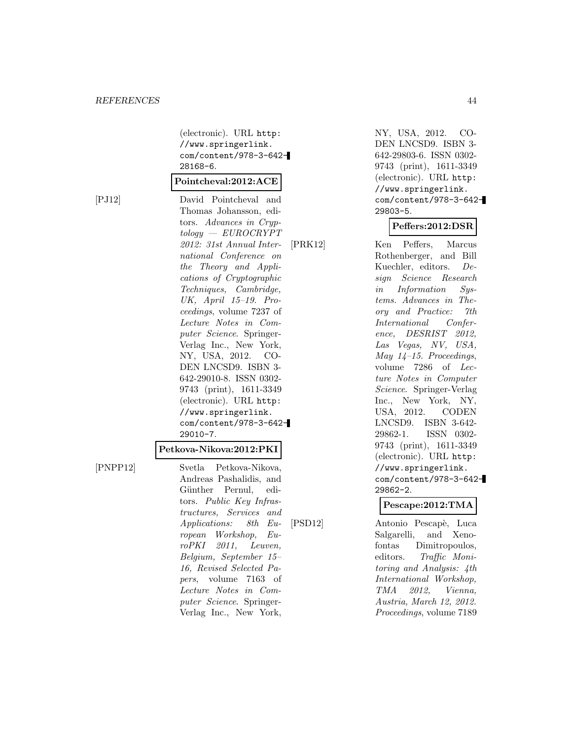(electronic). URL http: //www.springerlink. com/content/978-3-642- 28168-6.

#### **Pointcheval:2012:ACE**

[PJ12] David Pointcheval and Thomas Johansson, editors. Advances in Cryptology — EUROCRYPT 2012: 31st Annual International Conference on the Theory and Applications of Cryptographic Techniques, Cambridge, UK, April 15–19. Proceedings, volume 7237 of Lecture Notes in Computer Science. Springer-Verlag Inc., New York, NY, USA, 2012. CO-DEN LNCSD9. ISBN 3- 642-29010-8. ISSN 0302- 9743 (print), 1611-3349 (electronic). URL http: //www.springerlink. com/content/978-3-642- 29010-7.

#### **Petkova-Nikova:2012:PKI**

[PNPP12] Svetla Petkova-Nikova, Andreas Pashalidis, and Günther Pernul, editors. Public Key Infrastructures, Services and Applications: 8th European Workshop, EuroPKI 2011, Leuven, Belgium, September 15– 16, Revised Selected Papers, volume 7163 of Lecture Notes in Computer Science. Springer-Verlag Inc., New York,

NY, USA, 2012. CO-DEN LNCSD9. ISBN 3- 642-29803-6. ISSN 0302- 9743 (print), 1611-3349 (electronic). URL http: //www.springerlink. com/content/978-3-642- 29803-5.

#### **Peffers:2012:DSR**

[PRK12] Ken Peffers, Marcus Rothenberger, and Bill Kuechler, editors. Design Science Research in Information Systems. Advances in Theory and Practice: 7th International Conference, DESRIST 2012, Las Vegas, NV, USA, May 14–15. Proceedings, volume 7286 of Lecture Notes in Computer Science. Springer-Verlag Inc., New York, NY, USA, 2012. CODEN LNCSD9. ISBN 3-642- 29862-1. ISSN 0302- 9743 (print), 1611-3349 (electronic). URL http: //www.springerlink. com/content/978-3-642- 29862-2.

#### **Pescape:2012:TMA**

[PSD12] Antonio Pescapè, Luca Salgarelli, and Xenofontas Dimitropoulos, editors. Traffic Monitoring and Analysis: 4th International Workshop, TMA 2012, Vienna, Austria, March 12, 2012. Proceedings, volume 7189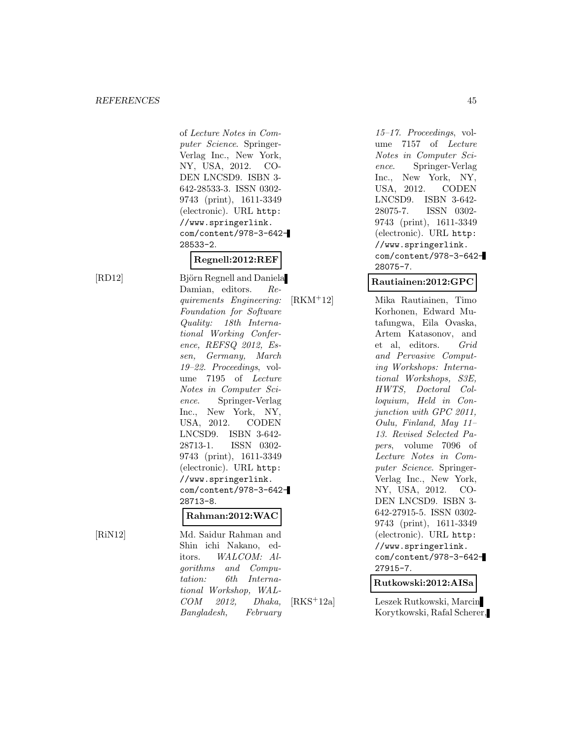of Lecture Notes in Computer Science. Springer-Verlag Inc., New York, NY, USA, 2012. CO-DEN LNCSD9. ISBN 3- 642-28533-3. ISSN 0302- 9743 (print), 1611-3349 (electronic). URL http: //www.springerlink. com/content/978-3-642- 28533-2.

## **Regnell:2012:REF**

[RD12] Björn Regnell and Daniela Damian, editors. Requirements Engineering: Foundation for Software Quality: 18th International Working Conference, REFSQ 2012, Essen, Germany, March 19–22. Proceedings, volume 7195 of Lecture Notes in Computer Science. Springer-Verlag Inc., New York, NY, USA, 2012. CODEN LNCSD9. ISBN 3-642- 28713-1. ISSN 0302- 9743 (print), 1611-3349 (electronic). URL http: //www.springerlink. com/content/978-3-642- 28713-8.

#### **Rahman:2012:WAC**

[RiN12] Md. Saidur Rahman and Shin ichi Nakano, editors. WALCOM: Algorithms and Computation: 6th International Workshop, WAL-COM 2012, Dhaka, Bangladesh, February

15–17. Proceedings, volume 7157 of Lecture Notes in Computer Science. Springer-Verlag Inc., New York, NY, USA, 2012. CODEN LNCSD9. ISBN 3-642- 28075-7. ISSN 0302- 9743 (print), 1611-3349 (electronic). URL http: //www.springerlink. com/content/978-3-642- 28075-7.

## **Rautiainen:2012:GPC**

[RKM<sup>+</sup>12] Mika Rautiainen, Timo Korhonen, Edward Mutafungwa, Eila Ovaska, Artem Katasonov, and et al, editors. Grid and Pervasive Computing Workshops: International Workshops, S3E, HWTS, Doctoral Colloquium, Held in Conjunction with GPC 2011, Oulu, Finland, May 11– 13. Revised Selected Papers, volume 7096 of Lecture Notes in Computer Science. Springer-Verlag Inc., New York, NY, USA, 2012. CO-DEN LNCSD9. ISBN 3- 642-27915-5. ISSN 0302- 9743 (print), 1611-3349 (electronic). URL http: //www.springerlink. com/content/978-3-642- 27915-7.

**Rutkowski:2012:AISa**

[RKS<sup>+</sup>12a] Leszek Rutkowski, Marcin Korytkowski, Rafal Scherer,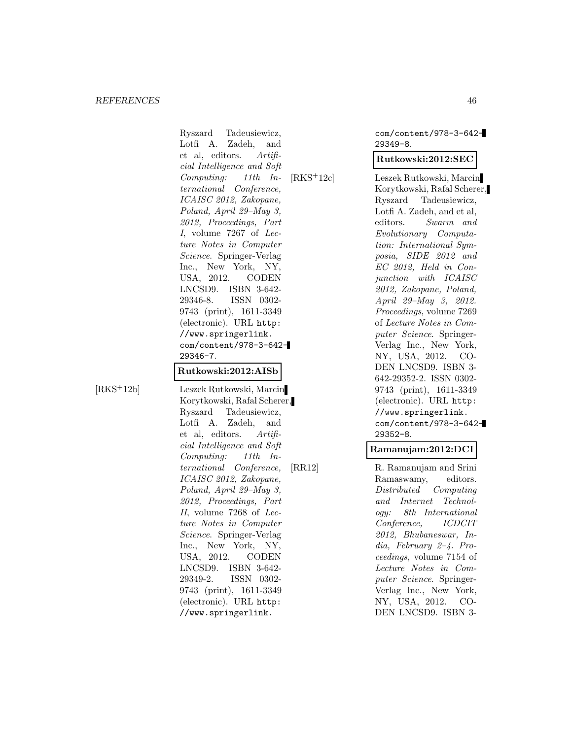Ryszard Tadeusiewicz, Lotfi A. Zadeh, and et al, editors. Artificial Intelligence and Soft Computing: 11th International Conference, ICAISC 2012, Zakopane, Poland, April 29–May 3, 2012, Proceedings, Part I, volume 7267 of Lecture Notes in Computer Science. Springer-Verlag Inc., New York, NY, USA, 2012. CODEN LNCSD9. ISBN 3-642- 29346-8. ISSN 0302- 9743 (print), 1611-3349 (electronic). URL http: //www.springerlink. com/content/978-3-642- 29346-7.

## **Rutkowski:2012:AISb**

[RKS<sup>+</sup>12b] Leszek Rutkowski, Marcin Korytkowski, Rafal Scherer, Ryszard Tadeusiewicz, Lotfi A. Zadeh, and et al, editors. Artificial Intelligence and Soft Computing: 11th International Conference, ICAISC 2012, Zakopane, Poland, April 29–May 3, 2012, Proceedings, Part II, volume 7268 of Lecture Notes in Computer Science. Springer-Verlag Inc., New York, NY, USA, 2012. CODEN LNCSD9. ISBN 3-642- 29349-2. ISSN 0302- 9743 (print), 1611-3349 (electronic). URL http: //www.springerlink.

com/content/978-3-642- 29349-8.

#### **Rutkowski:2012:SEC**

[RKS<sup>+</sup>12c] Leszek Rutkowski, Marcin Korytkowski, Rafal Scherer, Ryszard Tadeusiewicz, Lotfi A. Zadeh, and et al, editors. Swarm and Evolutionary Computation: International Symposia, SIDE 2012 and EC 2012, Held in Conjunction with ICAISC 2012, Zakopane, Poland, April 29–May 3, 2012. Proceedings, volume 7269 of Lecture Notes in Computer Science. Springer-Verlag Inc., New York, NY, USA, 2012. CO-DEN LNCSD9. ISBN 3- 642-29352-2. ISSN 0302- 9743 (print), 1611-3349 (electronic). URL http: //www.springerlink. com/content/978-3-642- 29352-8.

#### **Ramanujam:2012:DCI**

[RR12] R. Ramanujam and Srini Ramaswamy, editors. Distributed Computing and Internet Technology: 8th International Conference, ICDCIT 2012, Bhubaneswar, India, February 2–4. Proceedings, volume 7154 of Lecture Notes in Computer Science. Springer-Verlag Inc., New York, NY, USA, 2012. CO-DEN LNCSD9. ISBN 3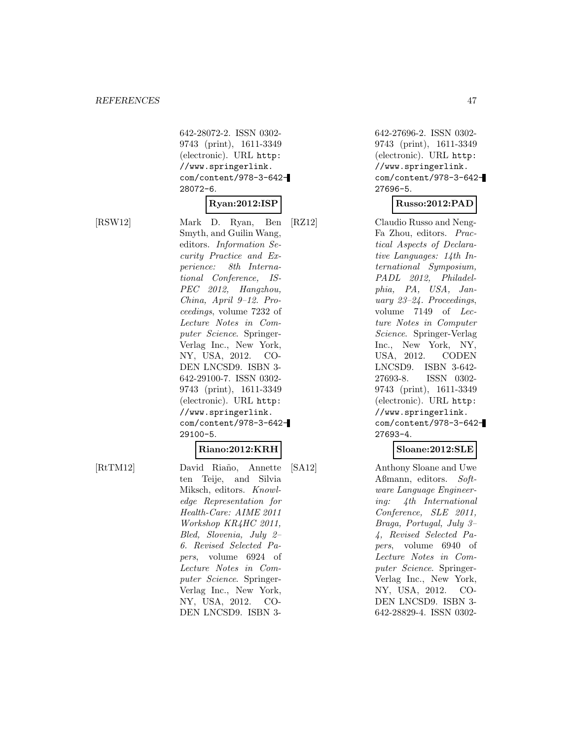642-28072-2. ISSN 0302- 9743 (print), 1611-3349 (electronic). URL http: //www.springerlink. com/content/978-3-642- 28072-6.

#### **Ryan:2012:ISP**

[RSW12] Mark D. Ryan, Ben Smyth, and Guilin Wang, editors. Information Security Practice and Experience: 8th International Conference, IS-PEC 2012, Hangzhou, China, April 9–12. Proceedings, volume 7232 of Lecture Notes in Computer Science. Springer-Verlag Inc., New York, NY, USA, 2012. CO-DEN LNCSD9. ISBN 3- 642-29100-7. ISSN 0302- 9743 (print), 1611-3349 (electronic). URL http: //www.springerlink. com/content/978-3-642- 29100-5.

## **Riano:2012:KRH**

[RtTM12] David Riaño, Annette ten Teije, and Silvia Miksch, editors. Knowledge Representation for Health-Care: AIME 2011 Workshop KR4HC 2011, Bled, Slovenia, July 2– 6. Revised Selected Papers, volume 6924 of Lecture Notes in Computer Science. Springer-Verlag Inc., New York, NY, USA, 2012. CO-DEN LNCSD9. ISBN 3-

642-27696-2. ISSN 0302- 9743 (print), 1611-3349 (electronic). URL http: //www.springerlink. com/content/978-3-642- 27696-5.

#### **Russo:2012:PAD**

[RZ12] Claudio Russo and Neng-Fa Zhou, editors. Practical Aspects of Declarative Languages: 14th International Symposium, PADL 2012, Philadelphia, PA, USA, January 23–24. Proceedings, volume 7149 of Lecture Notes in Computer Science. Springer-Verlag Inc., New York, NY, USA, 2012. CODEN LNCSD9. ISBN 3-642- 27693-8. ISSN 0302- 9743 (print), 1611-3349 (electronic). URL http: //www.springerlink. com/content/978-3-642- 27693-4.

#### **Sloane:2012:SLE**

[SA12] Anthony Sloane and Uwe Aßmann, editors. Software Language Engineering: 4th International Conference, SLE 2011, Braga, Portugal, July 3– 4, Revised Selected Papers, volume 6940 of Lecture Notes in Computer Science. Springer-Verlag Inc., New York, NY, USA, 2012. CO-DEN LNCSD9. ISBN 3- 642-28829-4. ISSN 0302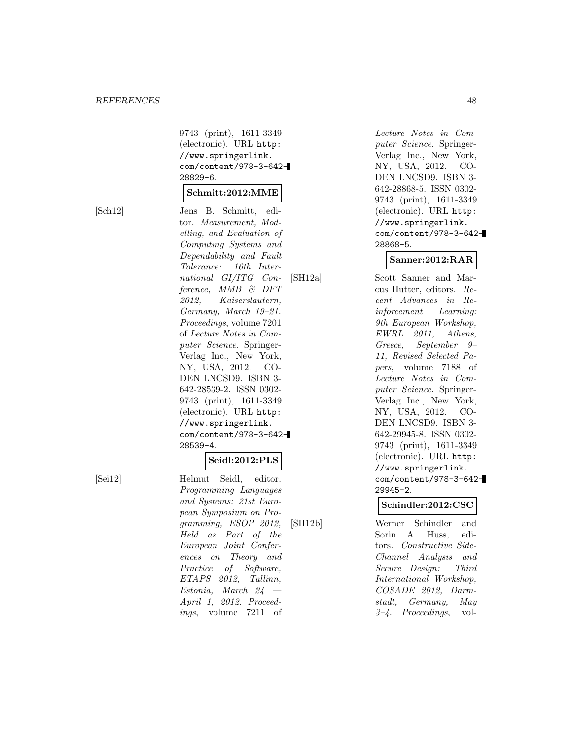9743 (print), 1611-3349 (electronic). URL http: //www.springerlink. com/content/978-3-642- 28829-6.

#### **Schmitt:2012:MME**

[Sch12] Jens B. Schmitt, editor. Measurement, Modelling, and Evaluation of Computing Systems and Dependability and Fault Tolerance: 16th International GI/ITG Conference, MMB & DFT 2012, Kaiserslautern, Germany, March 19–21. Proceedings, volume 7201 of Lecture Notes in Computer Science. Springer-Verlag Inc., New York, NY, USA, 2012. CO-DEN LNCSD9. ISBN 3- 642-28539-2. ISSN 0302- 9743 (print), 1611-3349 (electronic). URL http: //www.springerlink. com/content/978-3-642- 28539-4.

#### **Seidl:2012:PLS**

[Sei12] Helmut Seidl, editor. Programming Languages and Systems: 21st European Symposium on Programming, ESOP 2012, Held as Part of the European Joint Conferences on Theory and Practice of Software, ETAPS 2012, Tallinn, Estonia, March 24 — April 1, 2012. Proceedings, volume 7211 of

Lecture Notes in Computer Science. Springer-Verlag Inc., New York, NY, USA, 2012. CO-DEN LNCSD9. ISBN 3- 642-28868-5. ISSN 0302- 9743 (print), 1611-3349 (electronic). URL http: //www.springerlink. com/content/978-3-642- 28868-5.

## **Sanner:2012:RAR**

[SH12a] Scott Sanner and Marcus Hutter, editors. Recent Advances in Reinforcement Learning: 9th European Workshop, EWRL 2011, Athens, Greece, September 9– 11, Revised Selected Papers, volume 7188 of Lecture Notes in Computer Science. Springer-Verlag Inc., New York, NY, USA, 2012. CO-DEN LNCSD9. ISBN 3- 642-29945-8. ISSN 0302- 9743 (print), 1611-3349 (electronic). URL http: //www.springerlink. com/content/978-3-642- 29945-2.

#### **Schindler:2012:CSC**

[SH12b] Werner Schindler and Sorin A. Huss, editors. Constructive Side-Channel Analysis and Secure Design: Third International Workshop, COSADE 2012, Darmstadt, Germany, May 3–4. Proceedings, vol-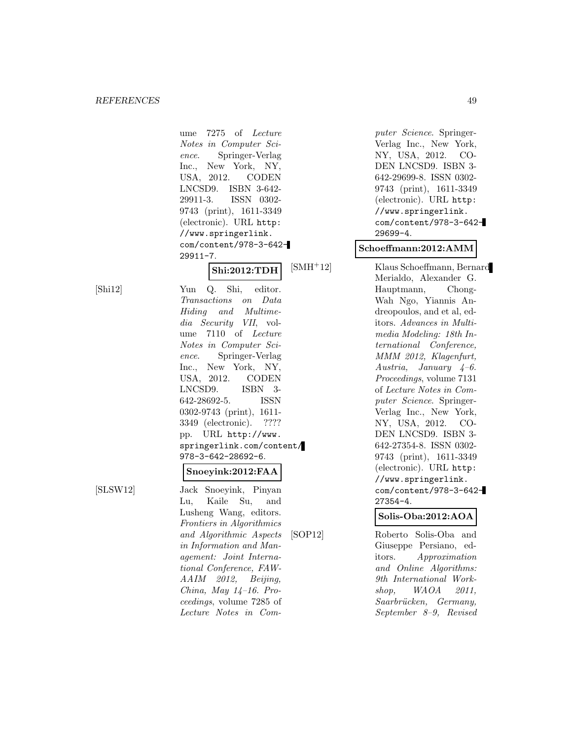ume 7275 of Lecture Notes in Computer Science. Springer-Verlag Inc., New York, NY, USA, 2012. CODEN LNCSD9. ISBN 3-642- 29911-3. ISSN 0302- 9743 (print), 1611-3349 (electronic). URL http: //www.springerlink. com/content/978-3-642- 29911-7. **Shi:2012:TDH** [Shi12] Yun Q. Shi, editor. Transactions on Data Hiding and Multimedia Security VII, volume 7110 of Lecture Notes in Computer Science. Springer-Verlag Inc., New York, NY, USA, 2012. CODEN LNCSD9. ISBN 3- 642-28692-5. ISSN 0302-9743 (print), 1611- 3349 (electronic). ???? pp. URL http://www. springerlink.com/content/ 978-3-642-28692-6. **Snoeyink:2012:FAA** [SLSW12] Jack Snoeyink, Pinyan Lu, Kaile Su, and Lusheng Wang, editors. Frontiers in Algorithmics and Algorithmic Aspects in Information and Management: Joint International Conference, FAW-AAIM 2012, Beijing, China, May 14–16. Proceedings, volume 7285 of Lecture Notes in Com-

puter Science. Springer-Verlag Inc., New York, NY, USA, 2012. CO-DEN LNCSD9. ISBN 3- 642-29699-8. ISSN 0302- 9743 (print), 1611-3349 (electronic). URL http: //www.springerlink. com/content/978-3-642- 29699-4.

#### **Schoeffmann:2012:AMM**

[SMH<sup>+</sup>12] Klaus Schoeffmann, Bernard Merialdo, Alexander G. Hauptmann, Chong-Wah Ngo, Yiannis Andreopoulos, and et al, editors. Advances in Multimedia Modeling: 18th International Conference, MMM 2012, Klagenfurt, Austria, January  $4-6$ . Proceedings, volume 7131 of Lecture Notes in Computer Science. Springer-Verlag Inc., New York, NY, USA, 2012. CO-DEN LNCSD9. ISBN 3- 642-27354-8. ISSN 0302- 9743 (print), 1611-3349 (electronic). URL http: //www.springerlink. com/content/978-3-642- 27354-4.

**Solis-Oba:2012:AOA**

[SOP12] Roberto Solis-Oba and Giuseppe Persiano, editors. Approximation and Online Algorithms: 9th International Workshop, WAOA 2011, Saarbrücken, Germany, September 8–9, Revised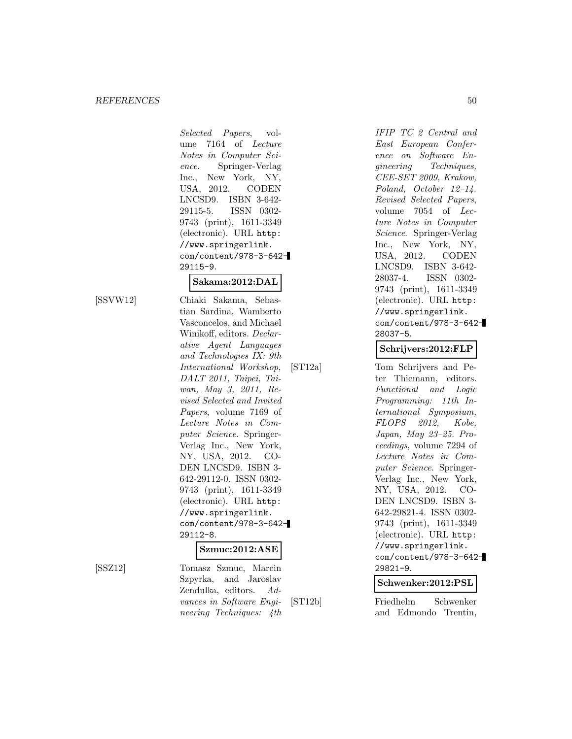Selected Papers, volume 7164 of Lecture Notes in Computer Science. Springer-Verlag Inc., New York, NY, USA, 2012. CODEN LNCSD9. ISBN 3-642- 29115-5. ISSN 0302- 9743 (print), 1611-3349 (electronic). URL http: //www.springerlink. com/content/978-3-642- 29115-9.

#### **Sakama:2012:DAL**

[SSVW12] Chiaki Sakama, Sebastian Sardina, Wamberto Vasconcelos, and Michael Winikoff, editors. Declarative Agent Languages and Technologies IX: 9th International Workshop, DALT 2011, Taipei, Taiwan, May 3, 2011, Revised Selected and Invited Papers, volume 7169 of Lecture Notes in Computer Science. Springer-Verlag Inc., New York, NY, USA, 2012. CO-DEN LNCSD9. ISBN 3- 642-29112-0. ISSN 0302- 9743 (print), 1611-3349 (electronic). URL http: //www.springerlink. com/content/978-3-642- 29112-8.

#### **Szmuc:2012:ASE**

[SSZ12] Tomasz Szmuc, Marcin Szpyrka, and Jaroslav Zendulka, editors. Advances in Software Engineering Techniques: 4th

IFIP TC 2 Central and East European Conference on Software Engineering Techniques, CEE-SET 2009, Krakow, Poland, October 12–14. Revised Selected Papers, volume 7054 of Lecture Notes in Computer Science. Springer-Verlag Inc., New York, NY, USA, 2012. CODEN LNCSD9. ISBN 3-642- 28037-4. ISSN 0302- 9743 (print), 1611-3349 (electronic). URL http: //www.springerlink. com/content/978-3-642- 28037-5.

#### **Schrijvers:2012:FLP**

[ST12a] Tom Schrijvers and Peter Thiemann, editors. Functional and Logic Programming: 11th International Symposium, FLOPS 2012, Kobe, Japan, May 23–25. Proceedings, volume 7294 of Lecture Notes in Computer Science. Springer-Verlag Inc., New York, NY, USA, 2012. CO-DEN LNCSD9. ISBN 3- 642-29821-4. ISSN 0302- 9743 (print), 1611-3349 (electronic). URL http: //www.springerlink. com/content/978-3-642- 29821-9.

#### **Schwenker:2012:PSL**

[ST12b] Friedhelm Schwenker and Edmondo Trentin,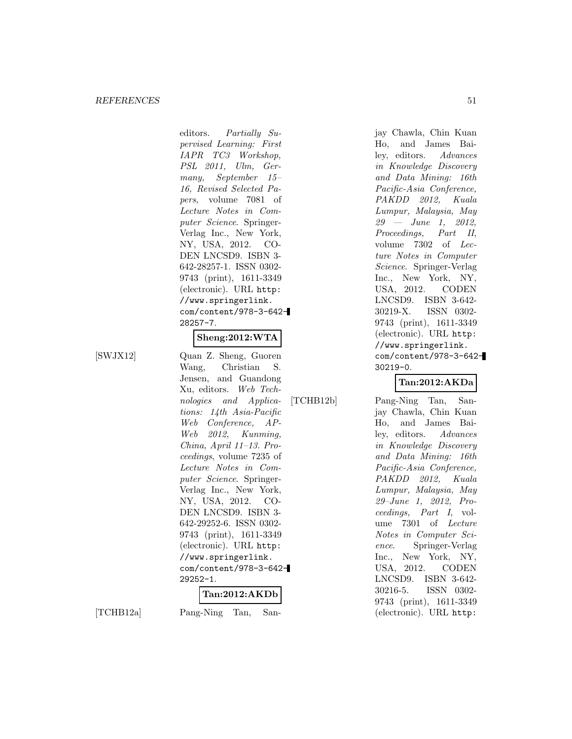editors. Partially Supervised Learning: First IAPR TC3 Workshop, PSL 2011, Ulm, Germany, September 15– 16, Revised Selected Papers, volume 7081 of Lecture Notes in Computer Science. Springer-Verlag Inc., New York, NY, USA, 2012. CO-DEN LNCSD9. ISBN 3- 642-28257-1. ISSN 0302- 9743 (print), 1611-3349 (electronic). URL http: //www.springerlink. com/content/978-3-642- 28257-7.

## **Sheng:2012:WTA**

[SWJX12] Quan Z. Sheng, Guoren Wang, Christian S. Jensen, and Guandong Xu, editors. Web Technologies and Applications: 14th Asia-Pacific Web Conference, AP-Web 2012, Kunming, China, April 11–13. Proceedings, volume 7235 of Lecture Notes in Computer Science. Springer-Verlag Inc., New York, NY, USA, 2012. CO-DEN LNCSD9. ISBN 3- 642-29252-6. ISSN 0302- 9743 (print), 1611-3349 (electronic). URL http: //www.springerlink. com/content/978-3-642- 29252-1. **Tan:2012:AKDb**

[TCHB12a] Pang-Ning Tan, San-

jay Chawla, Chin Kuan Ho, and James Bailey, editors. Advances in Knowledge Discovery and Data Mining: 16th Pacific-Asia Conference, PAKDD 2012, Kuala Lumpur, Malaysia, May 29 — June 1, 2012, Proceedings, Part II, volume 7302 of Lecture Notes in Computer Science. Springer-Verlag Inc., New York, NY, USA, 2012. CODEN LNCSD9. ISBN 3-642- 30219-X. ISSN 0302- 9743 (print), 1611-3349 (electronic). URL http: //www.springerlink. com/content/978-3-642- 30219-0.

## **Tan:2012:AKDa**

[TCHB12b] Pang-Ning Tan, Sanjay Chawla, Chin Kuan Ho, and James Bailey, editors. Advances in Knowledge Discovery and Data Mining: 16th Pacific-Asia Conference, PAKDD 2012, Kuala Lumpur, Malaysia, May 29–June 1, 2012, Proceedings, Part I, volume 7301 of Lecture Notes in Computer Science. Springer-Verlag Inc., New York, NY, USA, 2012. CODEN LNCSD9. ISBN 3-642- 30216-5. ISSN 0302- 9743 (print), 1611-3349 (electronic). URL http: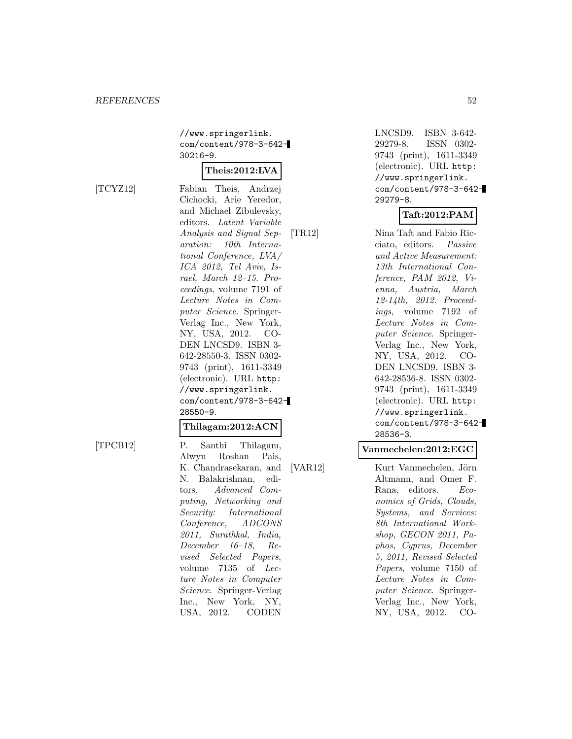//www.springerlink. com/content/978-3-642- 30216-9.

#### **Theis:2012:LVA**

[TCYZ12] Fabian Theis, Andrzej Cichocki, Arie Yeredor, and Michael Zibulevsky, editors. Latent Variable Analysis and Signal Separation: 10th International Conference, LVA/ ICA 2012, Tel Aviv, Israel, March 12–15. Proceedings, volume 7191 of Lecture Notes in Computer Science. Springer-Verlag Inc., New York, NY, USA, 2012. CO-DEN LNCSD9. ISBN 3- 642-28550-3. ISSN 0302- 9743 (print), 1611-3349 (electronic). URL http: //www.springerlink. com/content/978-3-642- 28550-9.

#### **Thilagam:2012:ACN**

[TPCB12] P. Santhi Thilagam, Alwyn Roshan Pais, K. Chandrasekaran, and N. Balakrishnan, editors. Advanced Computing, Networking and Security: International Conference, ADCONS 2011, Surathkal, India, December 16–18, Revised Selected Papers, volume 7135 of Lecture Notes in Computer Science. Springer-Verlag Inc., New York, NY, USA, 2012. CODEN

LNCSD9. ISBN 3-642- 29279-8. ISSN 0302- 9743 (print), 1611-3349 (electronic). URL http: //www.springerlink. com/content/978-3-642- 29279-8.

## **Taft:2012:PAM**

[TR12] Nina Taft and Fabio Ricciato, editors. Passive and Active Measurement: 13th International Conference, PAM 2012, Vienna, Austria, March 12-14th, 2012. Proceedings, volume 7192 of Lecture Notes in Computer Science. Springer-Verlag Inc., New York, NY, USA, 2012. CO-DEN LNCSD9. ISBN 3- 642-28536-8. ISSN 0302- 9743 (print), 1611-3349 (electronic). URL http: //www.springerlink. com/content/978-3-642- 28536-3.

#### **Vanmechelen:2012:EGC**

[VAR12] Kurt Vanmechelen, Jörn Altmann, and Omer F. Rana, editors. Economics of Grids, Clouds, Systems, and Services: 8th International Workshop, GECON 2011, Paphos, Cyprus, December 5, 2011, Revised Selected Papers, volume 7150 of Lecture Notes in Computer Science. Springer-Verlag Inc., New York, NY, USA, 2012. CO-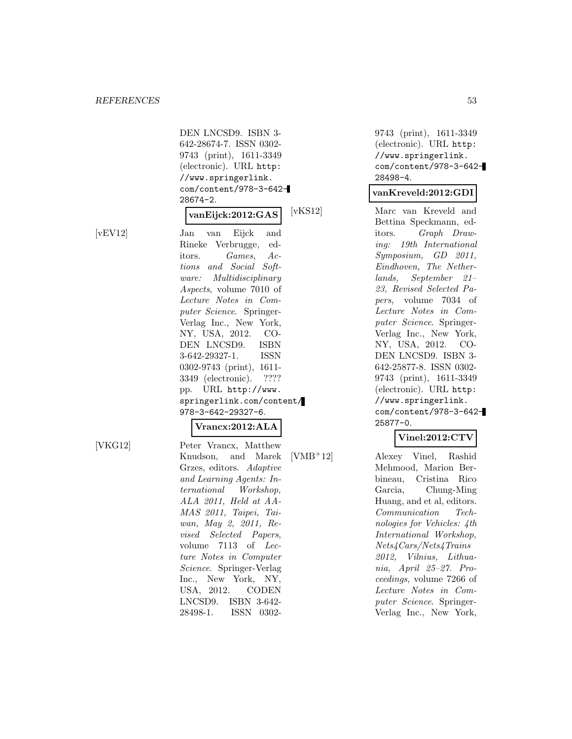DEN LNCSD9. ISBN 3- 642-28674-7. ISSN 0302- 9743 (print), 1611-3349 (electronic). URL http: //www.springerlink. com/content/978-3-642- 28674-2.

## **vanEijck:2012:GAS**

[vEV12] Jan van Eijck and Rineke Verbrugge, editors. Games, Actions and Social Software: Multidisciplinary Aspects, volume 7010 of Lecture Notes in Computer Science. Springer-Verlag Inc., New York, NY, USA, 2012. CO-DEN LNCSD9. ISBN 3-642-29327-1. ISSN 0302-9743 (print), 1611- 3349 (electronic). ???? pp. URL http://www. springerlink.com/content/ 978-3-642-29327-6.

## **Vrancx:2012:ALA**

[VKG12] Peter Vrancx, Matthew Knudson, and Marek Grzes, editors. Adaptive and Learning Agents: International Workshop, ALA 2011, Held at AA-MAS 2011, Taipei, Taiwan, May 2, 2011, Revised Selected Papers, volume 7113 of Lecture Notes in Computer Science. Springer-Verlag Inc., New York, NY, USA, 2012. CODEN LNCSD9. ISBN 3-642- 28498-1. ISSN 0302-

9743 (print), 1611-3349 (electronic). URL http: //www.springerlink. com/content/978-3-642- 28498-4.

#### **vanKreveld:2012:GDI**

[vKS12] Marc van Kreveld and Bettina Speckmann, editors. Graph Drawing: 19th International Symposium, GD 2011, Eindhoven, The Netherlands, September 21– 23, Revised Selected Papers, volume 7034 of Lecture Notes in Computer Science. Springer-Verlag Inc., New York, NY, USA, 2012. CO-DEN LNCSD9. ISBN 3- 642-25877-8. ISSN 0302- 9743 (print), 1611-3349 (electronic). URL http: //www.springerlink. com/content/978-3-642- 25877-0.

#### **Vinel:2012:CTV**

[VMB<sup>+</sup>12] Alexey Vinel, Rashid Mehmood, Marion Berbineau, Cristina Rico Garcia, Chung-Ming Huang, and et al, editors. Communication Technologies for Vehicles: 4th International Workshop, Nets4Cars/Nets4Trains 2012, Vilnius, Lithuania, April 25–27. Proceedings, volume 7266 of Lecture Notes in Computer Science. Springer-Verlag Inc., New York,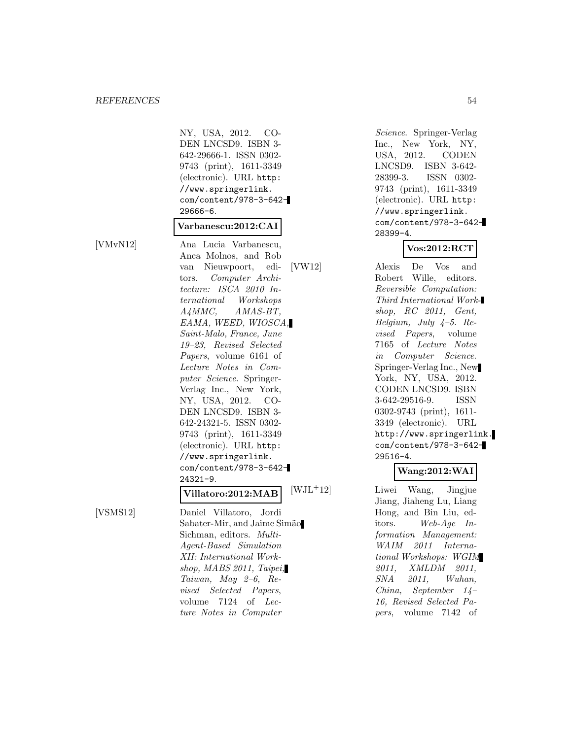NY, USA, 2012. CO-DEN LNCSD9. ISBN 3- 642-29666-1. ISSN 0302- 9743 (print), 1611-3349 (electronic). URL http: //www.springerlink. com/content/978-3-642- 29666-6.

## **Varbanescu:2012:CAI**

[VMvN12] Ana Lucia Varbanescu, Anca Molnos, and Rob van Nieuwpoort, editors. Computer Architecture: ISCA 2010 International Workshops A4MMC, AMAS-BT, EAMA, WEED, WIOSCA, Saint-Malo, France, June 19–23, Revised Selected Papers, volume 6161 of Lecture Notes in Computer Science. Springer-Verlag Inc., New York, NY, USA, 2012. CO-DEN LNCSD9. ISBN 3- 642-24321-5. ISSN 0302- 9743 (print), 1611-3349 (electronic). URL http: //www.springerlink. com/content/978-3-642- 24321-9. **Villatoro:2012:MAB**

[VSMS12] Daniel Villatoro, Jordi Sabater-Mir, and Jaime Simão Sichman, editors. Multi-Agent-Based Simulation XII: International Workshop, MABS 2011, Taipei, Taiwan, May 2–6, Revised Selected Papers, volume 7124 of Lecture Notes in Computer

Science. Springer-Verlag Inc., New York, NY, USA, 2012. CODEN LNCSD9. ISBN 3-642- 28399-3. ISSN 0302- 9743 (print), 1611-3349 (electronic). URL http: //www.springerlink. com/content/978-3-642- 28399-4.

## **Vos:2012:RCT**

[VW12] Alexis De Vos and Robert Wille, editors. Reversible Computation: Third International Workshop, RC 2011, Gent, Belgium, July 4–5. Revised Papers, volume 7165 of Lecture Notes in Computer Science. Springer-Verlag Inc., New York, NY, USA, 2012. CODEN LNCSD9. ISBN 3-642-29516-9. ISSN 0302-9743 (print), 1611- 3349 (electronic). URL http://www.springerlink. com/content/978-3-642- 29516-4.

#### **Wang:2012:WAI**

[WJL<sup>+</sup>12] Liwei Wang, Jingjue Jiang, Jiaheng Lu, Liang Hong, and Bin Liu, editors. Web-Age Information Management: WAIM 2011 International Workshops: WGIM 2011, XMLDM 2011, SNA 2011, Wuhan, China, September 14– 16, Revised Selected Papers, volume 7142 of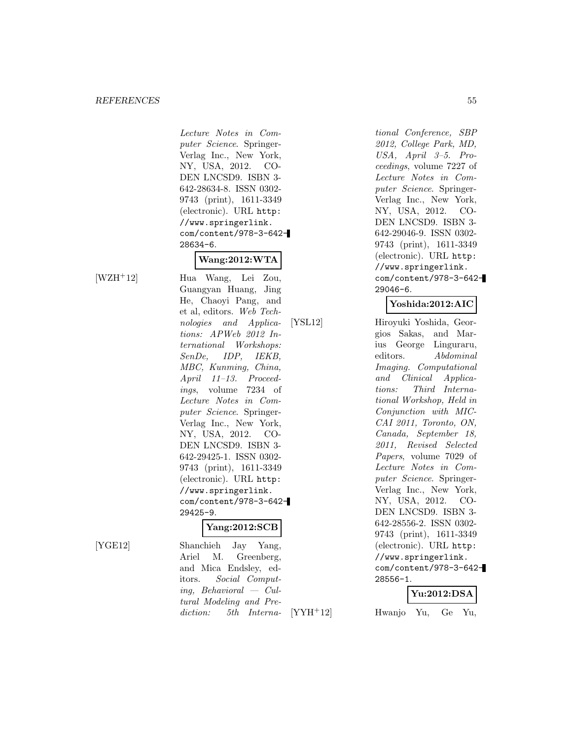Lecture Notes in Computer Science. Springer-Verlag Inc., New York, NY, USA, 2012. CO-DEN LNCSD9. ISBN 3- 642-28634-8. ISSN 0302- 9743 (print), 1611-3349 (electronic). URL http: //www.springerlink. com/content/978-3-642- 28634-6.

## **Wang:2012:WTA**

[WZH<sup>+</sup>12] Hua Wang, Lei Zou, Guangyan Huang, Jing He, Chaoyi Pang, and et al, editors. Web Technologies and Applications: APWeb 2012 International Workshops: SenDe, IDP, IEKB, MBC, Kunming, China, April 11–13. Proceedings, volume 7234 of Lecture Notes in Computer Science. Springer-Verlag Inc., New York, NY, USA, 2012. CO-DEN LNCSD9. ISBN 3- 642-29425-1. ISSN 0302- 9743 (print), 1611-3349 (electronic). URL http: //www.springerlink. com/content/978-3-642- 29425-9.

#### **Yang:2012:SCB**

[YGE12] Shanchieh Jay Yang, Ariel M. Greenberg, and Mica Endsley, editors. Social Computing, Behavioral — Cultural Modeling and Prediction: 5th Interna-

tional Conference, SBP 2012, College Park, MD, USA, April 3–5. Proceedings, volume 7227 of Lecture Notes in Computer Science. Springer-Verlag Inc., New York, NY, USA, 2012. CO-DEN LNCSD9. ISBN 3- 642-29046-9. ISSN 0302- 9743 (print), 1611-3349 (electronic). URL http: //www.springerlink. com/content/978-3-642- 29046-6.

## **Yoshida:2012:AIC**

[YSL12] Hiroyuki Yoshida, Georgios Sakas, and Marius George Linguraru, editors. Abdominal Imaging. Computational and Clinical Applications: Third International Workshop, Held in Conjunction with MIC-CAI 2011, Toronto, ON, Canada, September 18, 2011, Revised Selected Papers, volume 7029 of Lecture Notes in Computer Science. Springer-Verlag Inc., New York, NY, USA, 2012. CO-DEN LNCSD9. ISBN 3- 642-28556-2. ISSN 0302- 9743 (print), 1611-3349 (electronic). URL http: //www.springerlink. com/content/978-3-642- 28556-1.

#### **Yu:2012:DSA**

[YYH<sup>+</sup>12] Hwanjo Yu, Ge Yu,